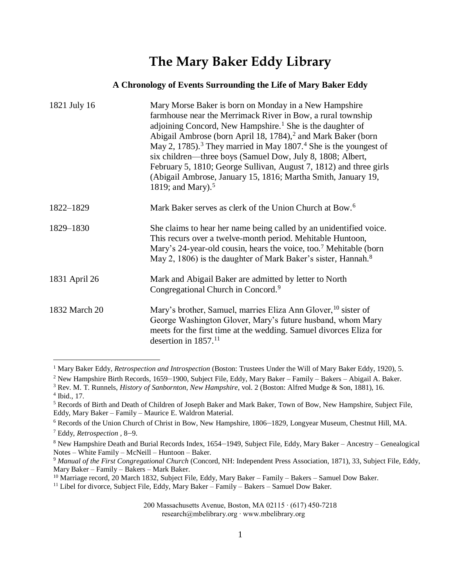## **The Mary Baker Eddy Library**

## **A Chronology of Events Surrounding the Life of Mary Baker Eddy**

| 1821 July 16  | Mary Morse Baker is born on Monday in a New Hampshire<br>farmhouse near the Merrimack River in Bow, a rural township<br>adjoining Concord, New Hampshire. <sup>1</sup> She is the daughter of<br>Abigail Ambrose (born April 18, 1784), <sup>2</sup> and Mark Baker (born<br>May 2, 1785). <sup>3</sup> They married in May 1807. <sup>4</sup> She is the youngest of<br>six children—three boys (Samuel Dow, July 8, 1808; Albert,<br>February 5, 1810; George Sullivan, August 7, 1812) and three girls<br>(Abigail Ambrose, January 15, 1816; Martha Smith, January 19,<br>1819; and Mary). <sup>5</sup> |
|---------------|-------------------------------------------------------------------------------------------------------------------------------------------------------------------------------------------------------------------------------------------------------------------------------------------------------------------------------------------------------------------------------------------------------------------------------------------------------------------------------------------------------------------------------------------------------------------------------------------------------------|
| 1822-1829     | Mark Baker serves as clerk of the Union Church at Bow. <sup>6</sup>                                                                                                                                                                                                                                                                                                                                                                                                                                                                                                                                         |
| 1829-1830     | She claims to hear her name being called by an unidentified voice.<br>This recurs over a twelve-month period. Mehitable Huntoon,<br>Mary's 24-year-old cousin, hears the voice, too. <sup>7</sup> Mehitable (born<br>May 2, 1806) is the daughter of Mark Baker's sister, Hannah. <sup>8</sup>                                                                                                                                                                                                                                                                                                              |
| 1831 April 26 | Mark and Abigail Baker are admitted by letter to North<br>Congregational Church in Concord. <sup>9</sup>                                                                                                                                                                                                                                                                                                                                                                                                                                                                                                    |
| 1832 March 20 | Mary's brother, Samuel, marries Eliza Ann Glover, <sup>10</sup> sister of<br>George Washington Glover, Mary's future husband, whom Mary<br>meets for the first time at the wedding. Samuel divorces Eliza for<br>desertion in 1857. <sup>11</sup>                                                                                                                                                                                                                                                                                                                                                           |

<sup>&</sup>lt;sup>1</sup> Mary Baker Eddy, *Retrospection and Introspection* (Boston: Trustees Under the Will of Mary Baker Eddy, 1920), 5.

<sup>2</sup> New Hampshire Birth Records, 1659–1900, Subject File, Eddy, Mary Baker – Family – Bakers – Abigail A. Baker.

<sup>3</sup> Rev. M. T. Runnels, *History of Sanbornton, New Hampshire,* vol. 2 (Boston: Alfred Mudge & Son, 1881), 16. 4 Ibid., 17.

<sup>5</sup> Records of Birth and Death of Children of Joseph Baker and Mark Baker, Town of Bow, New Hampshire, Subject File, Eddy, Mary Baker – Family – Maurice E. Waldron Material.

<sup>6</sup> Records of the Union Church of Christ in Bow, New Hampshire, 1806–1829, Longyear Museum, Chestnut Hill, MA.

<sup>7</sup> Eddy, *Retrospection ,* 8–9.

<sup>8</sup> New Hampshire Death and Burial Records Index, 1654–1949, Subject File, Eddy, Mary Baker – Ancestry – Genealogical Notes – White Family – McNeill – Huntoon – Baker.

<sup>9</sup> *Manual of the First Congregational Church* (Concord, NH: Independent Press Association, 1871), 33, Subject File, Eddy, Mary Baker – Family – Bakers – Mark Baker.

<sup>&</sup>lt;sup>10</sup> Marriage record, 20 March 1832, Subject File, Eddy, Mary Baker – Family – Bakers – Samuel Dow Baker.

<sup>&</sup>lt;sup>11</sup> Libel for divorce, Subject File, Eddy, Mary Baker – Family – Bakers – Samuel Dow Baker.

<sup>200</sup> Massachusetts Avenue, Boston, MA 02115 ∙ (617) 450-7218 research@mbelibrary.org ∙ www.mbelibrary.org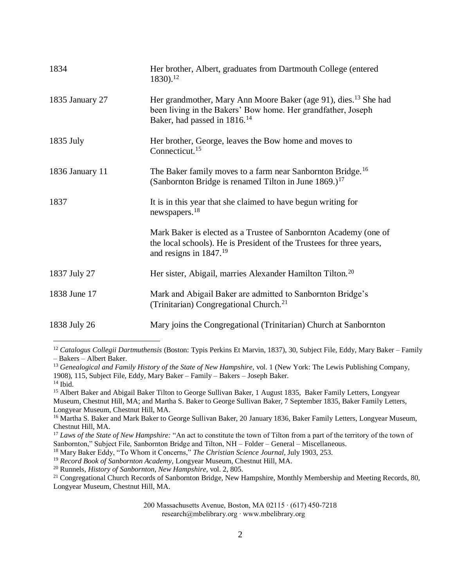| 1834            | Her brother, Albert, graduates from Dartmouth College (entered<br>1830). <sup>12</sup>                                                                                                  |
|-----------------|-----------------------------------------------------------------------------------------------------------------------------------------------------------------------------------------|
| 1835 January 27 | Her grandmother, Mary Ann Moore Baker (age 91), dies. <sup>13</sup> She had<br>been living in the Bakers' Bow home. Her grandfather, Joseph<br>Baker, had passed in 1816. <sup>14</sup> |
| 1835 July       | Her brother, George, leaves the Bow home and moves to<br>Connecticut. <sup>15</sup>                                                                                                     |
| 1836 January 11 | The Baker family moves to a farm near Sanbornton Bridge. <sup>16</sup><br>(Sanbornton Bridge is renamed Tilton in June $1869.$ ) <sup>17</sup>                                          |
| 1837            | It is in this year that she claimed to have begun writing for<br>newspapers. <sup>18</sup>                                                                                              |
|                 | Mark Baker is elected as a Trustee of Sanbornton Academy (one of<br>the local schools). He is President of the Trustees for three years,<br>and resigns in $1847.19$                    |
| 1837 July 27    | Her sister, Abigail, marries Alexander Hamilton Tilton. <sup>20</sup>                                                                                                                   |
| 1838 June 17    | Mark and Abigail Baker are admitted to Sanbornton Bridge's<br>(Trinitarian) Congregational Church. <sup>21</sup>                                                                        |
| 1838 July 26    | Mary joins the Congregational (Trinitarian) Church at Sanbornton                                                                                                                        |

<sup>13</sup> Genealogical and Family History of the State of New Hampshire, vol. 1 (New York: The Lewis Publishing Company, 1908), 115, Subject File, Eddy, Mary Baker – Family – Bakers – Joseph Baker. <sup>14</sup> Ibid.

<sup>15</sup> Albert Baker and Abigail Baker Tilton to George Sullivan Baker, 1 August 1835, Baker Family Letters, Longyear Museum, Chestnut Hill, MA; and Martha S. Baker to George Sullivan Baker, 7 September 1835, Baker Family Letters, Longyear Museum, Chestnut Hill, MA.

<sup>19</sup> *Record Book of Sanbornton Academy,* Longyear Museum, Chestnut Hill, MA.

<sup>20</sup> Runnels, *History of Sanbornton, New Hampshire,* vol. 2, 805.

 $\overline{a}$ 

 $^{21}$  Congregational Church Records of Sanbornton Bridge, New Hampshire, Monthly Membership and Meeting Records, 80, Longyear Museum, Chestnut Hill, MA.

<sup>12</sup> *Catalogus Collegii Dartmuthensis* (Boston: Typis Perkins Et Marvin, 1837), 30, Subject File, Eddy, Mary Baker – Family – Bakers – Albert Baker.

<sup>&</sup>lt;sup>16</sup> Martha S. Baker and Mark Baker to George Sullivan Baker, 20 January 1836, Baker Family Letters, Longyear Museum, Chestnut Hill, MA.

<sup>&</sup>lt;sup>17</sup> Laws of the State of New Hampshire: "An act to constitute the town of Tilton from a part of the territory of the town of Sanbornton," Subject File, Sanbornton Bridge and Tilton, NH – Folder – General – Miscellaneous.

<sup>&</sup>lt;sup>18</sup> Mary Baker Eddy, "To Whom it Concerns," *The Christian Science Journal*, July 1903, 253.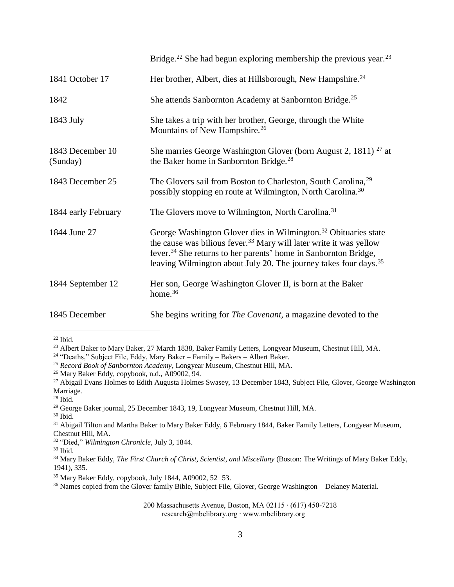|                              | Bridge. <sup>22</sup> She had begun exploring membership the previous year. <sup>23</sup>                                                                                                                                                                                                                                    |
|------------------------------|------------------------------------------------------------------------------------------------------------------------------------------------------------------------------------------------------------------------------------------------------------------------------------------------------------------------------|
| 1841 October 17              | Her brother, Albert, dies at Hillsborough, New Hampshire. <sup>24</sup>                                                                                                                                                                                                                                                      |
| 1842                         | She attends Sanbornton Academy at Sanbornton Bridge. <sup>25</sup>                                                                                                                                                                                                                                                           |
| 1843 July                    | She takes a trip with her brother, George, through the White<br>Mountains of New Hampshire. <sup>26</sup>                                                                                                                                                                                                                    |
| 1843 December 10<br>(Sunday) | She marries George Washington Glover (born August 2, 1811) <sup>27</sup> at<br>the Baker home in Sanbornton Bridge. <sup>28</sup>                                                                                                                                                                                            |
| 1843 December 25             | The Glovers sail from Boston to Charleston, South Carolina, <sup>29</sup><br>possibly stopping en route at Wilmington, North Carolina. <sup>30</sup>                                                                                                                                                                         |
| 1844 early February          | The Glovers move to Wilmington, North Carolina. <sup>31</sup>                                                                                                                                                                                                                                                                |
| 1844 June 27                 | George Washington Glover dies in Wilmington. <sup>32</sup> Obituaries state<br>the cause was bilious fever. <sup>33</sup> Mary will later write it was yellow<br>fever. <sup>34</sup> She returns to her parents' home in Sanbornton Bridge,<br>leaving Wilmington about July 20. The journey takes four days. <sup>35</sup> |
| 1844 September 12            | Her son, George Washington Glover II, is born at the Baker<br>home. <sup>36</sup>                                                                                                                                                                                                                                            |
| 1845 December                | She begins writing for <i>The Covenant</i> , a magazine devoted to the                                                                                                                                                                                                                                                       |

 $22$  Ibid.

<sup>23</sup> Albert Baker to Mary Baker, 27 March 1838, Baker Family Letters, Longyear Museum, Chestnut Hill, MA.

<sup>24</sup> "Deaths," Subject File, Eddy, Mary Baker – Family – Bakers – Albert Baker.

<sup>25</sup> *Record Book of Sanbornton Academy*, Longyear Museum, Chestnut Hill, MA.

<sup>26</sup> Mary Baker Eddy, copybook, n.d., A09002, 94.

<sup>27</sup> Abigail Evans Holmes to Edith Augusta Holmes Swasey, 13 December 1843, Subject File, Glover, George Washington – Marriage.

<sup>29</sup> George Baker journal, 25 December 1843, 19, Longyear Museum, Chestnut Hill, MA.

<sup>30</sup> Ibid.

<sup>31</sup> Abigail Tilton and Martha Baker to Mary Baker Eddy, 6 February 1844, Baker Family Letters, Longyear Museum, Chestnut Hill, MA.

<sup>32</sup> "Died," *Wilmington Chronicle,* July 3, 1844.

 $33$  Ibid.

<sup>34</sup> Mary Baker Eddy, *The First Church of Christ, Scientist, and Miscellany* (Boston: The Writings of Mary Baker Eddy, 1941), 335.

<sup>36</sup> Names copied from the Glover family Bible, Subject File, Glover, George Washington – Delaney Material.

 $28$  Ibid.

<sup>35</sup> Mary Baker Eddy, copybook, July 1844, A09002, 52–53.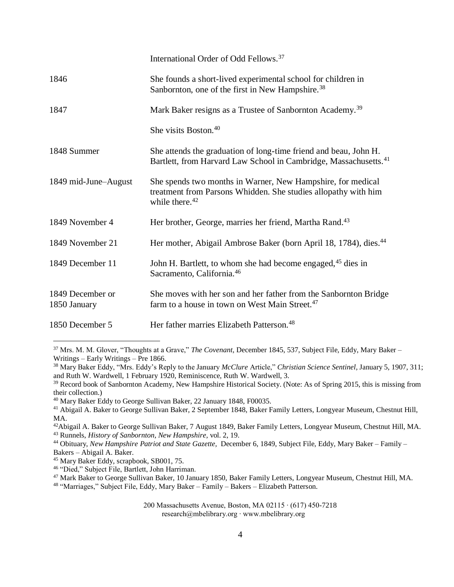|                                  | International Order of Odd Fellows. <sup>37</sup>                                                                                                           |
|----------------------------------|-------------------------------------------------------------------------------------------------------------------------------------------------------------|
| 1846                             | She founds a short-lived experimental school for children in<br>Sanbornton, one of the first in New Hampshire. <sup>38</sup>                                |
| 1847                             | Mark Baker resigns as a Trustee of Sanbornton Academy. <sup>39</sup>                                                                                        |
|                                  | She visits Boston. <sup>40</sup>                                                                                                                            |
| 1848 Summer                      | She attends the graduation of long-time friend and beau, John H.<br>Bartlett, from Harvard Law School in Cambridge, Massachusetts. <sup>41</sup>            |
| 1849 mid-June-August             | She spends two months in Warner, New Hampshire, for medical<br>treatment from Parsons Whidden. She studies allopathy with him<br>while there. <sup>42</sup> |
| 1849 November 4                  | Her brother, George, marries her friend, Martha Rand. <sup>43</sup>                                                                                         |
| 1849 November 21                 | Her mother, Abigail Ambrose Baker (born April 18, 1784), dies. <sup>44</sup>                                                                                |
| 1849 December 11                 | John H. Bartlett, to whom she had become engaged, <sup>45</sup> dies in<br>Sacramento, California. <sup>46</sup>                                            |
| 1849 December or<br>1850 January | She moves with her son and her father from the Sanbornton Bridge<br>farm to a house in town on West Main Street. <sup>47</sup>                              |
| 1850 December 5                  | Her father marries Elizabeth Patterson. <sup>48</sup>                                                                                                       |

<sup>37</sup> Mrs. M. M. Glover, "Thoughts at a Grave," *The Covenant*, December 1845, 537, Subject File, Eddy, Mary Baker – Writings – Early Writings – Pre 1866.

<sup>38</sup> Mary Baker Eddy, "Mrs. Eddy's Reply to the January *McClure* Article," *Christian Science Sentinel,* January 5, 1907, 311; and Ruth W. Wardwell, 1 February 1920, Reminiscence, Ruth W. Wardwell, 3.

<sup>39</sup> Record book of Sanbornton Academy, New Hampshire Historical Society. (Note: As of Spring 2015, this is missing from their collection.)

<sup>42</sup>Abigail A. Baker to George Sullivan Baker, 7 August 1849, Baker Family Letters, Longyear Museum, Chestnut Hill, MA.

<sup>43</sup> Runnels, *History of Sanbornton, New Hampshire,* vol. 2, 19.

<sup>44</sup> Obituary, *New Hampshire Patriot and State Gazette,* December 6, 1849, Subject File, Eddy, Mary Baker – Family – Bakers – Abigail A. Baker.

<sup>45</sup> Mary Baker Eddy, scrapbook, SB001, 75.

 $\overline{a}$ 

- <sup>46</sup> "Died," Subject File, Bartlett, John Harriman.
- <sup>47</sup> Mark Baker to George Sullivan Baker, 10 January 1850, Baker Family Letters, Longyear Museum, Chestnut Hill, MA.

<sup>48</sup> "Marriages," Subject File, Eddy, Mary Baker – Family – Bakers – Elizabeth Patterson.

<sup>40</sup> Mary Baker Eddy to George Sullivan Baker, 22 January 1848, F00035.

<sup>41</sup> Abigail A. Baker to George Sullivan Baker, 2 September 1848, Baker Family Letters, Longyear Museum, Chestnut Hill, MA.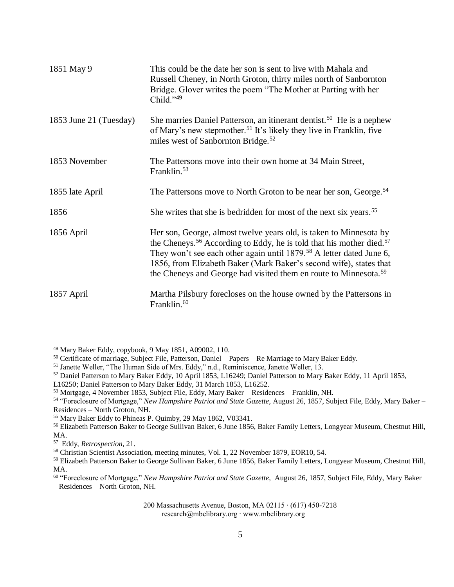| 1851 May 9             | This could be the date her son is sent to live with Mahala and<br>Russell Cheney, in North Groton, thirty miles north of Sanbornton<br>Bridge. Glover writes the poem "The Mother at Parting with her<br>Child."49                                                                                                                                                                                           |
|------------------------|--------------------------------------------------------------------------------------------------------------------------------------------------------------------------------------------------------------------------------------------------------------------------------------------------------------------------------------------------------------------------------------------------------------|
| 1853 June 21 (Tuesday) | She marries Daniel Patterson, an itinerant dentist. <sup>50</sup> He is a nephew<br>of Mary's new stepmother. <sup>51</sup> It's likely they live in Franklin, five<br>miles west of Sanbornton Bridge. <sup>52</sup>                                                                                                                                                                                        |
| 1853 November          | The Pattersons move into their own home at 34 Main Street,<br>Franklin. <sup>53</sup>                                                                                                                                                                                                                                                                                                                        |
| 1855 late April        | The Pattersons move to North Groton to be near her son, George. <sup>54</sup>                                                                                                                                                                                                                                                                                                                                |
| 1856                   | She writes that she is bedridden for most of the next six years. <sup>55</sup>                                                                                                                                                                                                                                                                                                                               |
| 1856 April             | Her son, George, almost twelve years old, is taken to Minnesota by<br>the Cheneys. <sup>56</sup> According to Eddy, he is told that his mother died. <sup>57</sup><br>They won't see each other again until 1879. <sup>58</sup> A letter dated June 6,<br>1856, from Elizabeth Baker (Mark Baker's second wife), states that<br>the Cheneys and George had visited them en route to Minnesota. <sup>59</sup> |
| 1857 April             | Martha Pilsbury forecloses on the house owned by the Pattersons in<br>Franklin. <sup>60</sup>                                                                                                                                                                                                                                                                                                                |

<sup>49</sup> Mary Baker Eddy, copybook, 9 May 1851, A09002, 110.

<sup>50</sup> Certificate of marriage, Subject File, Patterson, Daniel – Papers – Re Marriage to Mary Baker Eddy.

<sup>51</sup> Janette Weller, "The Human Side of Mrs. Eddy," n.d., Reminiscence, Janette Weller, 13.

<sup>&</sup>lt;sup>52</sup> Daniel Patterson to Mary Baker Eddy, 10 April 1853, L16249; Daniel Patterson to Mary Baker Eddy, 11 April 1853,

L16250; Daniel Patterson to Mary Baker Eddy, 31 March 1853, L16252.

<sup>53</sup> Mortgage, 4 November 1853, Subject File, Eddy, Mary Baker – Residences – Franklin, NH.

<sup>54</sup> "Foreclosure of Mortgage," *New Hampshire Patriot and State Gazette,* August 26, 1857, Subject File, Eddy, Mary Baker – Residences – North Groton, NH.

<sup>55</sup> Mary Baker Eddy to Phineas P. Quimby, 29 May 1862, V03341.

<sup>56</sup> Elizabeth Patterson Baker to George Sullivan Baker, 6 June 1856, Baker Family Letters, Longyear Museum, Chestnut Hill, MA.

<sup>57</sup> Eddy, *Retrospection*, 21.

<sup>58</sup> Christian Scientist Association, meeting minutes, Vol. 1, 22 November 1879, EOR10, 54.

<sup>59</sup> Elizabeth Patterson Baker to George Sullivan Baker, 6 June 1856, Baker Family Letters, Longyear Museum, Chestnut Hill, MA.

<sup>60</sup> "Foreclosure of Mortgage," *New Hampshire Patriot and State Gazette,* August 26, 1857, Subject File, Eddy, Mary Baker – Residences – North Groton, NH.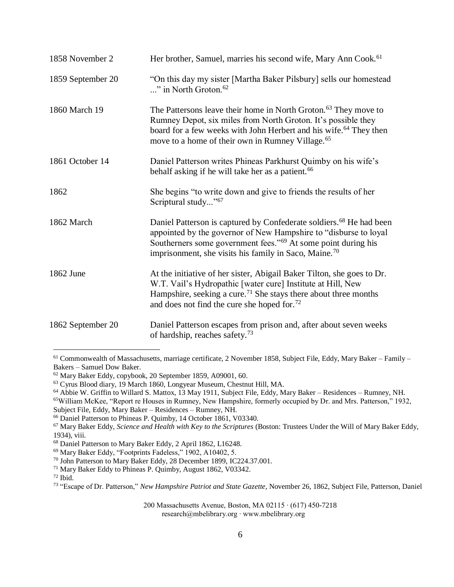| 1858 November 2   | Her brother, Samuel, marries his second wife, Mary Ann Cook. <sup>61</sup>                                                                                                                                                                                                                             |
|-------------------|--------------------------------------------------------------------------------------------------------------------------------------------------------------------------------------------------------------------------------------------------------------------------------------------------------|
| 1859 September 20 | "On this day my sister [Martha Baker Pilsbury] sells our homestead<br>" in North Groton. <sup>62</sup>                                                                                                                                                                                                 |
| 1860 March 19     | The Pattersons leave their home in North Groton. <sup>63</sup> They move to<br>Rumney Depot, six miles from North Groton. It's possible they<br>board for a few weeks with John Herbert and his wife. <sup>64</sup> They then<br>move to a home of their own in Rumney Village. <sup>65</sup>          |
| 1861 October 14   | Daniel Patterson writes Phineas Parkhurst Quimby on his wife's<br>behalf asking if he will take her as a patient. <sup>66</sup>                                                                                                                                                                        |
| 1862              | She begins "to write down and give to friends the results of her<br>Scriptural study"67                                                                                                                                                                                                                |
| 1862 March        | Daniel Patterson is captured by Confederate soldiers. <sup>68</sup> He had been<br>appointed by the governor of New Hampshire to "disburse to loyal"<br>Southerners some government fees." <sup>69</sup> At some point during his<br>imprisonment, she visits his family in Saco, Maine. <sup>70</sup> |
| 1862 June         | At the initiative of her sister, Abigail Baker Tilton, she goes to Dr.<br>W.T. Vail's Hydropathic [water cure] Institute at Hill, New<br>Hampshire, seeking a cure. <sup>71</sup> She stays there about three months<br>and does not find the cure she hoped for. <sup>72</sup>                        |
| 1862 September 20 | Daniel Patterson escapes from prison and, after about seven weeks<br>of hardship, reaches safety. <sup>73</sup>                                                                                                                                                                                        |

<sup>61</sup> Commonwealth of Massachusetts, marriage certificate, 2 November 1858, Subject File, Eddy, Mary Baker – Family – Bakers – Samuel Dow Baker.

research@mbelibrary.org ∙ www.mbelibrary.org

<sup>&</sup>lt;sup>62</sup> Mary Baker Eddy, copybook, 20 September 1859, A09001, 60.

<sup>63</sup> Cyrus Blood diary, 19 March 1860, Longyear Museum, Chestnut Hill, MA.

<sup>64</sup> Abbie W. Griffin to Willard S. Mattox, 13 May 1911, Subject File, Eddy, Mary Baker – Residences – Rumney, NH.

<sup>&</sup>lt;sup>65</sup>William McKee, "Report re Houses in Rumney, New Hampshire, formerly occupied by Dr. and Mrs. Patterson," 1932, Subject File, Eddy, Mary Baker – Residences – Rumney, NH.

<sup>66</sup> Daniel Patterson to Phineas P. Quimby, 14 October 1861, V03340.

<sup>67</sup> Mary Baker Eddy, *Science and Health with Key to the Scriptures* (Boston: Trustees Under the Will of Mary Baker Eddy, 1934), viii.

<sup>68</sup> Daniel Patterson to Mary Baker Eddy, 2 April 1862, L16248.

<sup>69</sup> Mary Baker Eddy, "Footprints Fadeless," 1902, A10402, 5.

<sup>70</sup> John Patterson to Mary Baker Eddy, 28 December 1899, IC224.37.001.

<sup>71</sup> Mary Baker Eddy to Phineas P. Quimby, August 1862, V03342.

 $72$  Ibid.

<sup>73</sup> "Escape of Dr. Patterson," *New Hampshire Patriot and State Gazette,* November 26, 1862, Subject File, Patterson, Daniel

<sup>200</sup> Massachusetts Avenue, Boston, MA 02115 ∙ (617) 450-7218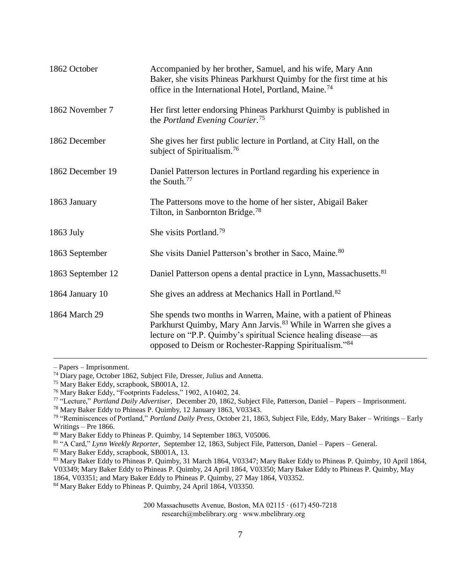| 1862 October      | Accompanied by her brother, Samuel, and his wife, Mary Ann<br>Baker, she visits Phineas Parkhurst Quimby for the first time at his<br>office in the International Hotel, Portland, Maine. <sup>74</sup>                                                                       |
|-------------------|-------------------------------------------------------------------------------------------------------------------------------------------------------------------------------------------------------------------------------------------------------------------------------|
| 1862 November 7   | Her first letter endorsing Phineas Parkhurst Quimby is published in<br>the Portland Evening Courier. <sup>75</sup>                                                                                                                                                            |
| 1862 December     | She gives her first public lecture in Portland, at City Hall, on the<br>subject of Spiritualism. <sup>76</sup>                                                                                                                                                                |
| 1862 December 19  | Daniel Patterson lectures in Portland regarding his experience in<br>the South. <sup>77</sup>                                                                                                                                                                                 |
| 1863 January      | The Pattersons move to the home of her sister, Abigail Baker<br>Tilton, in Sanbornton Bridge. <sup>78</sup>                                                                                                                                                                   |
| 1863 July         | She visits Portland. <sup>79</sup>                                                                                                                                                                                                                                            |
| 1863 September    | She visits Daniel Patterson's brother in Saco, Maine. 80                                                                                                                                                                                                                      |
| 1863 September 12 | Daniel Patterson opens a dental practice in Lynn, Massachusetts. <sup>81</sup>                                                                                                                                                                                                |
| 1864 January 10   | She gives an address at Mechanics Hall in Portland. <sup>82</sup>                                                                                                                                                                                                             |
| 1864 March 29     | She spends two months in Warren, Maine, with a patient of Phineas<br>Parkhurst Quimby, Mary Ann Jarvis. <sup>83</sup> While in Warren she gives a<br>lecture on "P.P. Quimby's spiritual Science healing disease—as<br>opposed to Deism or Rochester-Rapping Spiritualism."84 |

– Papers – Imprisonment.

 $\overline{a}$ 

<sup>82</sup> Mary Baker Eddy, scrapbook, SB001A, 13.

<sup>74</sup> Diary page, October 1862, Subject File, Dresser, Julius and Annetta.

<sup>75</sup> Mary Baker Eddy, scrapbook, SB001A, 12.

<sup>76</sup> Mary Baker Eddy, "Footprints Fadeless," 1902, A10402, 24.

<sup>77</sup> "Lecture," *Portland Daily Advertiser,* December 20, 1862, Subject File, Patterson, Daniel – Papers – Imprisonment.

<sup>78</sup> Mary Baker Eddy to Phineas P. Quimby, 12 January 1863, V03343.

<sup>79</sup> "Reminiscences of Portland," *Portland Daily Press,* October 21, 1863, Subject File, Eddy, Mary Baker – Writings – Early Writings – Pre 1866.

<sup>80</sup> Mary Baker Eddy to Phineas P. Quimby, 14 September 1863, V05006.

<sup>81</sup> "A Card," *Lynn Weekly Reporter,* September 12, 1863, Subject File, Patterson, Daniel – Papers – General.

<sup>83</sup> Mary Baker Eddy to Phineas P. Quimby, 31 March 1864, V03347; Mary Baker Eddy to Phineas P. Quimby, 10 April 1864, V03349; Mary Baker Eddy to Phineas P. Quimby, 24 April 1864, V03350; Mary Baker Eddy to Phineas P. Quimby, May 1864, V03351; and Mary Baker Eddy to Phineas P. Quimby, 27 May 1864, V03352.

<sup>&</sup>lt;sup>84</sup> Mary Baker Eddy to Phineas P. Quimby, 24 April 1864, V03350.

<sup>200</sup> Massachusetts Avenue, Boston, MA 02115 ∙ (617) 450-7218 research@mbelibrary.org ∙ www.mbelibrary.org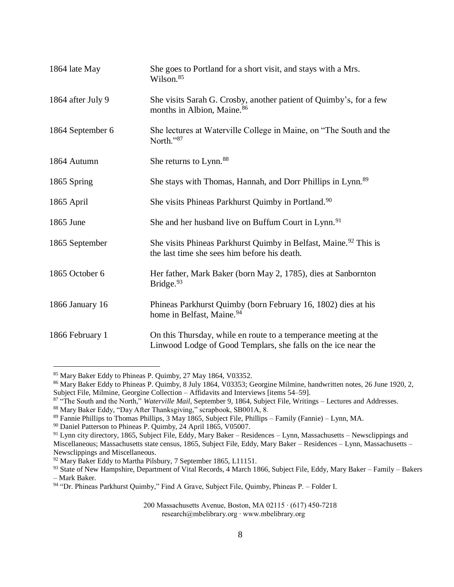| 1864 late May     | She goes to Portland for a short visit, and stays with a Mrs.<br>Wilson. <sup>85</sup>                                           |
|-------------------|----------------------------------------------------------------------------------------------------------------------------------|
| 1864 after July 9 | She visits Sarah G. Crosby, another patient of Quimby's, for a few<br>months in Albion, Maine. <sup>86</sup>                     |
| 1864 September 6  | She lectures at Waterville College in Maine, on "The South and the<br>North."87                                                  |
| 1864 Autumn       | She returns to Lynn. <sup>88</sup>                                                                                               |
| 1865 Spring       | She stays with Thomas, Hannah, and Dorr Phillips in Lynn. <sup>89</sup>                                                          |
| 1865 April        | She visits Phineas Parkhurst Quimby in Portland. <sup>90</sup>                                                                   |
| 1865 June         | She and her husband live on Buffum Court in Lynn. <sup>91</sup>                                                                  |
| 1865 September    | She visits Phineas Parkhurst Quimby in Belfast, Maine. <sup>92</sup> This is<br>the last time she sees him before his death.     |
| 1865 October 6    | Her father, Mark Baker (born May 2, 1785), dies at Sanbornton<br>Bridge. $93$                                                    |
| 1866 January 16   | Phineas Parkhurst Quimby (born February 16, 1802) dies at his<br>home in Belfast, Maine. <sup>94</sup>                           |
| 1866 February 1   | On this Thursday, while en route to a temperance meeting at the<br>Linwood Lodge of Good Templars, she falls on the ice near the |

<sup>85</sup> Mary Baker Eddy to Phineas P. Quimby, 27 May 1864, V03352.

<sup>86</sup> Mary Baker Eddy to Phineas P. Quimby, 8 July 1864, V03353; Georgine Milmine, handwritten notes, 26 June 1920, 2, Subject File, Milmine, Georgine Collection – Affidavits and Interviews [items 54–59].

<sup>&</sup>lt;sup>87</sup> "The South and the North," *Waterville Mail*, September 9, 1864, Subject File, Writings – Lectures and Addresses.

<sup>88</sup> Mary Baker Eddy, "Day After Thanksgiving," scrapbook, SB001A, 8.

<sup>89</sup> Fannie Phillips to Thomas Phillips, 3 May 1865, Subject File, Phillips – Family (Fannie) – Lynn, MA.

<sup>90</sup> Daniel Patterson to Phineas P. Quimby, 24 April 1865, V05007.

<sup>91</sup> Lynn city directory, 1865, Subject File, Eddy, Mary Baker – Residences – Lynn, Massachusetts – Newsclippings and Miscellaneous; Massachusetts state census, 1865, Subject File, Eddy, Mary Baker – Residences – Lynn, Massachusetts – Newsclippings and Miscellaneous.

<sup>&</sup>lt;sup>92</sup> Mary Baker Eddy to Martha Pilsbury, 7 September 1865, L11151.

<sup>93</sup> State of New Hampshire, Department of Vital Records, 4 March 1866, Subject File, Eddy, Mary Baker – Family – Bakers – Mark Baker.

<sup>94 &</sup>quot;Dr. Phineas Parkhurst Quimby," Find A Grave, Subject File, Quimby, Phineas P. – Folder I.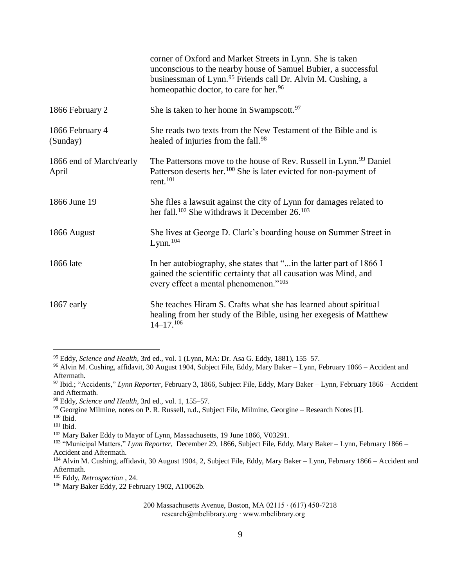|                                  | corner of Oxford and Market Streets in Lynn. She is taken<br>unconscious to the nearby house of Samuel Bubier, a successful<br>businessman of Lynn. <sup>95</sup> Friends call Dr. Alvin M. Cushing, a<br>homeopathic doctor, to care for her. <sup>96</sup> |
|----------------------------------|--------------------------------------------------------------------------------------------------------------------------------------------------------------------------------------------------------------------------------------------------------------|
| 1866 February 2                  | She is taken to her home in Swampscott. <sup>97</sup>                                                                                                                                                                                                        |
| 1866 February 4<br>(Sunday)      | She reads two texts from the New Testament of the Bible and is<br>healed of injuries from the fall. <sup>98</sup>                                                                                                                                            |
| 1866 end of March/early<br>April | The Pattersons move to the house of Rev. Russell in Lynn. <sup>99</sup> Daniel<br>Patterson deserts her. <sup>100</sup> She is later evicted for non-payment of<br>rent. $^{101}$                                                                            |
| 1866 June 19                     | She files a lawsuit against the city of Lynn for damages related to<br>her fall. <sup>102</sup> She withdraws it December 26. <sup>103</sup>                                                                                                                 |
| 1866 August                      | She lives at George D. Clark's boarding house on Summer Street in<br>$Lymn.$ <sup>104</sup>                                                                                                                                                                  |
| 1866 late                        | In her autobiography, she states that " in the latter part of 1866 I<br>gained the scientific certainty that all causation was Mind, and<br>every effect a mental phenomenon." <sup>105</sup>                                                                |
| 1867 early                       | She teaches Hiram S. Crafts what she has learned about spiritual<br>healing from her study of the Bible, using her exeges is of Matthew<br>$14 - 17$ . 106                                                                                                   |

<sup>95</sup> Eddy, *Science and Health*, 3rd ed., vol. 1 (Lynn, MA: Dr. Asa G. Eddy, 1881), 155–57.

<sup>102</sup> Mary Baker Eddy to Mayor of Lynn, Massachusetts, 19 June 1866, V03291.

<sup>96</sup> Alvin M. Cushing, affidavit, 30 August 1904, Subject File, Eddy, Mary Baker – Lynn, February 1866 – Accident and Aftermath.

<sup>97</sup> Ibid.; "Accidents," *Lynn Reporter,* February 3, 1866, Subject File, Eddy, Mary Baker – Lynn, February 1866 – Accident and Aftermath.

<sup>98</sup> Eddy, *Science and Health*, 3rd ed., vol. 1, 155–57.

<sup>&</sup>lt;sup>99</sup> Georgine Milmine, notes on P. R. Russell, n.d., Subject File, Milmine, Georgine – Research Notes [I].

 $100$  Ibid.

<sup>101</sup> Ibid.

<sup>103</sup> "Municipal Matters," *Lynn Reporter,* December 29, 1866, Subject File, Eddy, Mary Baker – Lynn, February 1866 – Accident and Aftermath.

<sup>104</sup> Alvin M. Cushing, affidavit, 30 August 1904, 2, Subject File, Eddy, Mary Baker – Lynn, February 1866 – Accident and Aftermath.

<sup>105</sup> Eddy, *Retrospection* , 24.

<sup>106</sup> Mary Baker Eddy, 22 February 1902, A10062b.

<sup>200</sup> Massachusetts Avenue, Boston, MA 02115 ∙ (617) 450-7218 research@mbelibrary.org ∙ www.mbelibrary.org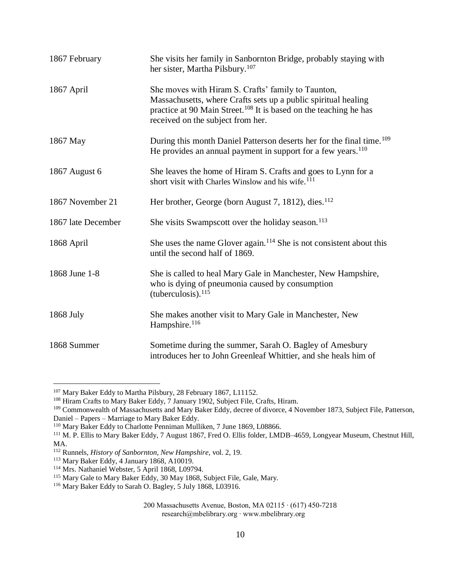| 1867 February      | She visits her family in Sanbornton Bridge, probably staying with<br>her sister, Martha Pilsbury. <sup>107</sup>                                                                                                                           |
|--------------------|--------------------------------------------------------------------------------------------------------------------------------------------------------------------------------------------------------------------------------------------|
| 1867 April         | She moves with Hiram S. Crafts' family to Taunton,<br>Massachusetts, where Crafts sets up a public spiritual healing<br>practice at 90 Main Street. <sup>108</sup> It is based on the teaching he has<br>received on the subject from her. |
| 1867 May           | During this month Daniel Patterson deserts her for the final time. <sup>109</sup><br>He provides an annual payment in support for a few years. <sup>110</sup>                                                                              |
| 1867 August 6      | She leaves the home of Hiram S. Crafts and goes to Lynn for a<br>short visit with Charles Winslow and his wife. <sup>111</sup>                                                                                                             |
| 1867 November 21   | Her brother, George (born August 7, 1812), dies. <sup>112</sup>                                                                                                                                                                            |
| 1867 late December | She visits Swampscott over the holiday season. <sup>113</sup>                                                                                                                                                                              |
| 1868 April         | She uses the name Glover again. <sup>114</sup> She is not consistent about this<br>until the second half of 1869.                                                                                                                          |
| 1868 June 1-8      | She is called to heal Mary Gale in Manchester, New Hampshire,<br>who is dying of pneumonia caused by consumption<br>(tuberculosis). $^{115}$                                                                                               |
| 1868 July          | She makes another visit to Mary Gale in Manchester, New<br>Hampshire. <sup>116</sup>                                                                                                                                                       |
| 1868 Summer        | Sometime during the summer, Sarah O. Bagley of Amesbury<br>introduces her to John Greenleaf Whittier, and she heals him of                                                                                                                 |

<sup>&</sup>lt;sup>107</sup> Mary Baker Eddy to Martha Pilsbury, 28 February 1867, L11152.

<sup>&</sup>lt;sup>108</sup> Hiram Crafts to Mary Baker Eddy, 7 January 1902, Subject File, Crafts, Hiram.

<sup>&</sup>lt;sup>109</sup> Commonwealth of Massachusetts and Mary Baker Eddy, decree of divorce, 4 November 1873, Subject File, Patterson, Daniel – Papers – Marriage to Mary Baker Eddy.

<sup>&</sup>lt;sup>110</sup> Mary Baker Eddy to Charlotte Penniman Mulliken, 7 June 1869, L08866.

<sup>111</sup> M. P. Ellis to Mary Baker Eddy, 7 August 1867, Fred O. Ellis folder, LMDB–4659, Longyear Museum, Chestnut Hill, MA.

<sup>112</sup> Runnels, *History of Sanbornton, New Hampshire,* vol. 2, 19.

<sup>&</sup>lt;sup>113</sup> Mary Baker Eddy, 4 January 1868, A10019.

<sup>114</sup> Mrs. Nathaniel Webster, 5 April 1868, L09794.

<sup>&</sup>lt;sup>115</sup> Mary Gale to Mary Baker Eddy, 30 May 1868, Subject File, Gale, Mary.

<sup>116</sup> Mary Baker Eddy to Sarah O. Bagley, 5 July 1868, L03916.

<sup>200</sup> Massachusetts Avenue, Boston, MA 02115 ∙ (617) 450-7218 research@mbelibrary.org ∙ www.mbelibrary.org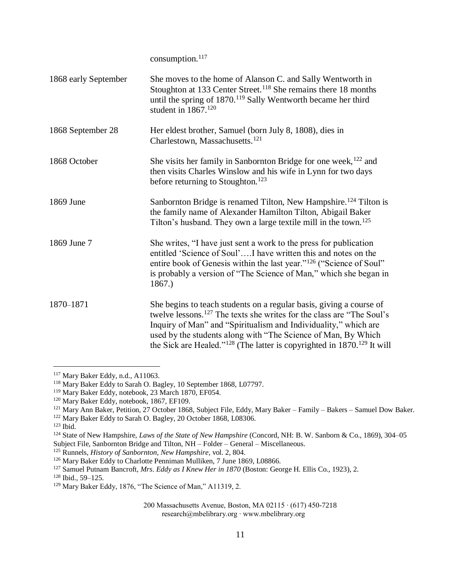consumption.<sup>117</sup>

| 1868 early September | She moves to the home of Alanson C. and Sally Wentworth in<br>Stoughton at 133 Center Street. <sup>118</sup> She remains there 18 months<br>until the spring of 1870. <sup>119</sup> Sally Wentworth became her third<br>student in $1867$ . <sup>120</sup>                                                                                                                                      |
|----------------------|--------------------------------------------------------------------------------------------------------------------------------------------------------------------------------------------------------------------------------------------------------------------------------------------------------------------------------------------------------------------------------------------------|
| 1868 September 28    | Her eldest brother, Samuel (born July 8, 1808), dies in<br>Charlestown, Massachusetts. <sup>121</sup>                                                                                                                                                                                                                                                                                            |
| 1868 October         | She visits her family in Sanbornton Bridge for one week, <sup>122</sup> and<br>then visits Charles Winslow and his wife in Lynn for two days<br>before returning to Stoughton. <sup>123</sup>                                                                                                                                                                                                    |
| 1869 June            | Sanbornton Bridge is renamed Tilton, New Hampshire. <sup>124</sup> Tilton is<br>the family name of Alexander Hamilton Tilton, Abigail Baker<br>Tilton's husband. They own a large textile mill in the town. <sup>125</sup>                                                                                                                                                                       |
| 1869 June 7          | She writes, "I have just sent a work to the press for publication<br>entitled 'Science of Soul'I have written this and notes on the<br>entire book of Genesis within the last year." <sup>126</sup> ("Science of Soul"<br>is probably a version of "The Science of Man," which she began in<br>1867.)                                                                                            |
| 1870-1871            | She begins to teach students on a regular basis, giving a course of<br>twelve lessons. <sup>127</sup> The texts she writes for the class are "The Soul's"<br>Inquiry of Man" and "Spiritualism and Individuality," which are<br>used by the students along with "The Science of Man, By Which<br>the Sick are Healed." <sup>128</sup> (The latter is copyrighted in 1870. <sup>129</sup> It will |

<sup>117</sup> Mary Baker Eddy, n.d., A11063.

<sup>118</sup> Mary Baker Eddy to Sarah O. Bagley, 10 September 1868, L07797.

<sup>119</sup> Mary Baker Eddy, notebook, 23 March 1870, EF054.

<sup>&</sup>lt;sup>120</sup> Mary Baker Eddy, notebook, 1867, EF109.

<sup>121</sup> Mary Ann Baker, Petition, 27 October 1868, Subject File, Eddy, Mary Baker – Family – Bakers – Samuel Dow Baker.

<sup>&</sup>lt;sup>122</sup> Mary Baker Eddy to Sarah O. Bagley, 20 October 1868, L08306.

 $123$  Ibid.

<sup>&</sup>lt;sup>124</sup> State of New Hampshire, *Laws of the State of New Hampshire* (Concord, NH: B. W. Sanborn & Co., 1869), 304–05 Subject File, Sanbornton Bridge and Tilton, NH – Folder – General – Miscellaneous.

<sup>125</sup> Runnels, *History of Sanbornton, New Hampshire,* vol. 2, 804.

<sup>&</sup>lt;sup>126</sup> Mary Baker Eddy to Charlotte Penniman Mulliken, 7 June 1869, L08866.

<sup>&</sup>lt;sup>127</sup> Samuel Putnam Bancroft, *Mrs. Eddy as I Knew Her in 1870* (Boston: George H. Ellis Co., 1923), 2.

<sup>128</sup> Ibid., 59–125.

<sup>&</sup>lt;sup>129</sup> Mary Baker Eddy, 1876, "The Science of Man," A11319, 2.

<sup>200</sup> Massachusetts Avenue, Boston, MA 02115 ∙ (617) 450-7218 research@mbelibrary.org ∙ www.mbelibrary.org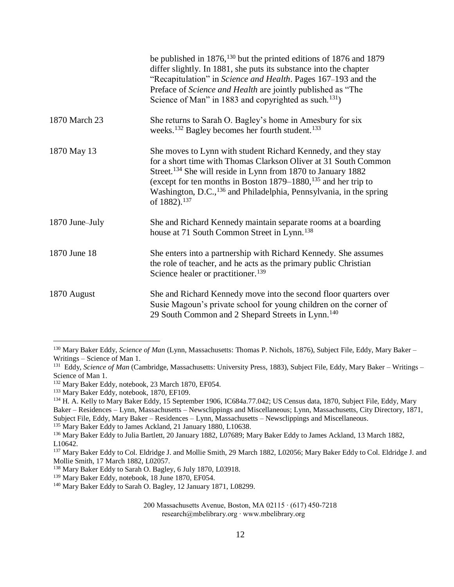|                | be published in 1876, <sup>130</sup> but the printed editions of 1876 and 1879<br>differ slightly. In 1881, she puts its substance into the chapter<br>"Recapitulation" in Science and Health. Pages 167–193 and the<br>Preface of Science and Health are jointly published as "The<br>Science of Man" in 1883 and copyrighted as such. <sup>131</sup> )                                           |
|----------------|----------------------------------------------------------------------------------------------------------------------------------------------------------------------------------------------------------------------------------------------------------------------------------------------------------------------------------------------------------------------------------------------------|
| 1870 March 23  | She returns to Sarah O. Bagley's home in Amesbury for six<br>weeks. <sup>132</sup> Bagley becomes her fourth student. <sup>133</sup>                                                                                                                                                                                                                                                               |
| 1870 May 13    | She moves to Lynn with student Richard Kennedy, and they stay<br>for a short time with Thomas Clarkson Oliver at 31 South Common<br>Street. <sup>134</sup> She will reside in Lynn from 1870 to January 1882<br>(except for ten months in Boston $1879-1880$ , $135$ and her trip to<br>Washington, D.C., <sup>136</sup> and Philadelphia, Pennsylvania, in the spring<br>of 1882). <sup>137</sup> |
| 1870 June-July | She and Richard Kennedy maintain separate rooms at a boarding<br>house at 71 South Common Street in Lynn. <sup>138</sup>                                                                                                                                                                                                                                                                           |
| 1870 June 18   | She enters into a partnership with Richard Kennedy. She assumes<br>the role of teacher, and he acts as the primary public Christian<br>Science healer or practitioner. <sup>139</sup>                                                                                                                                                                                                              |
| 1870 August    | She and Richard Kennedy move into the second floor quarters over<br>Susie Magoun's private school for young children on the corner of<br>29 South Common and 2 Shepard Streets in Lynn. <sup>140</sup>                                                                                                                                                                                             |

<sup>130</sup> Mary Baker Eddy, *Science of Man* (Lynn, Massachusetts: Thomas P. Nichols, 1876), Subject File, Eddy, Mary Baker – Writings – Science of Man 1.

<sup>&</sup>lt;sup>131</sup> Eddy, *Science of Man* (Cambridge, Massachusetts: University Press, 1883), Subject File, Eddy, Mary Baker – Writings – Science of Man 1.

<sup>132</sup> Mary Baker Eddy, notebook, 23 March 1870, EF054.

<sup>133</sup> Mary Baker Eddy, notebook, 1870, EF109.

<sup>134</sup> H. A. Kelly to Mary Baker Eddy, 15 September 1906, IC684a.77.042; US Census data, 1870, Subject File, Eddy, Mary Baker – Residences – Lynn, Massachusetts – Newsclippings and Miscellaneous; Lynn, Massachusetts, City Directory, 1871, Subject File, Eddy, Mary Baker – Residences – Lynn, Massachusetts – Newsclippings and Miscellaneous.

<sup>&</sup>lt;sup>135</sup> Mary Baker Eddy to James Ackland, 21 January 1880, L10638.

<sup>&</sup>lt;sup>136</sup> Mary Baker Eddy to Julia Bartlett, 20 January 1882, L07689; Mary Baker Eddy to James Ackland, 13 March 1882, L10642.

<sup>&</sup>lt;sup>137</sup> Mary Baker Eddy to Col. Eldridge J. and Mollie Smith, 29 March 1882, L02056; Mary Baker Eddy to Col. Eldridge J. and Mollie Smith, 17 March 1882, L02057.

<sup>138</sup> Mary Baker Eddy to Sarah O. Bagley, 6 July 1870, L03918.

<sup>&</sup>lt;sup>139</sup> Mary Baker Eddy, notebook, 18 June 1870, EF054.

<sup>140</sup> Mary Baker Eddy to Sarah O. Bagley, 12 January 1871, L08299.

<sup>200</sup> Massachusetts Avenue, Boston, MA 02115 ∙ (617) 450-7218 research@mbelibrary.org ∙ www.mbelibrary.org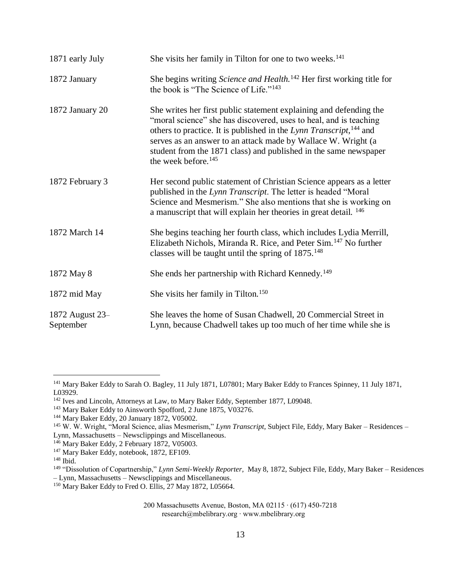| 1871 early July              | She visits her family in Tilton for one to two weeks. <sup>141</sup>                                                                                                                                                                                                                                                                                                                              |
|------------------------------|---------------------------------------------------------------------------------------------------------------------------------------------------------------------------------------------------------------------------------------------------------------------------------------------------------------------------------------------------------------------------------------------------|
| 1872 January                 | She begins writing Science and Health. <sup>142</sup> Her first working title for<br>the book is "The Science of Life." <sup>143</sup>                                                                                                                                                                                                                                                            |
| 1872 January 20              | She writes her first public statement explaining and defending the<br>"moral science" she has discovered, uses to heal, and is teaching<br>others to practice. It is published in the Lynn Transcript, <sup>144</sup> and<br>serves as an answer to an attack made by Wallace W. Wright (a<br>student from the 1871 class) and published in the same newspaper<br>the week before. <sup>145</sup> |
| 1872 February 3              | Her second public statement of Christian Science appears as a letter<br>published in the Lynn Transcript. The letter is headed "Moral<br>Science and Mesmerism." She also mentions that she is working on<br>a manuscript that will explain her theories in great detail. <sup>146</sup>                                                                                                          |
| 1872 March 14                | She begins teaching her fourth class, which includes Lydia Merrill,<br>Elizabeth Nichols, Miranda R. Rice, and Peter Sim. <sup>147</sup> No further<br>classes will be taught until the spring of $1875.^{148}$                                                                                                                                                                                   |
| 1872 May 8                   | She ends her partnership with Richard Kennedy. <sup>149</sup>                                                                                                                                                                                                                                                                                                                                     |
| 1872 mid May                 | She visits her family in Tilton. <sup>150</sup>                                                                                                                                                                                                                                                                                                                                                   |
| 1872 August 23-<br>September | She leaves the home of Susan Chadwell, 20 Commercial Street in<br>Lynn, because Chadwell takes up too much of her time while she is                                                                                                                                                                                                                                                               |

<sup>&</sup>lt;sup>141</sup> Mary Baker Eddy to Sarah O. Bagley, 11 July 1871, L07801; Mary Baker Eddy to Frances Spinney, 11 July 1871, L03929.

<sup>&</sup>lt;sup>142</sup> Ives and Lincoln, Attorneys at Law, to Mary Baker Eddy, September 1877, L09048.

<sup>&</sup>lt;sup>143</sup> Mary Baker Eddy to Ainsworth Spofford, 2 June 1875, V03276.

<sup>144</sup> Mary Baker Eddy, 20 January 1872, V05002.

<sup>145</sup> W. W. Wright, "Moral Science, alias Mesmerism," *Lynn Transcript,* Subject File, Eddy, Mary Baker – Residences – Lynn, Massachusetts – Newsclippings and Miscellaneous.

<sup>&</sup>lt;sup>146</sup> Mary Baker Eddy, 2 February 1872, V05003.

<sup>&</sup>lt;sup>147</sup> Mary Baker Eddy, notebook, 1872, EF109.

<sup>148</sup> Ibid.

<sup>149</sup> "Dissolution of Copartnership," *Lynn Semi-Weekly Reporter,* May 8, 1872, Subject File, Eddy, Mary Baker – Residences – Lynn, Massachusetts – Newsclippings and Miscellaneous.

<sup>&</sup>lt;sup>150</sup> Mary Baker Eddy to Fred O. Ellis, 27 May 1872, L05664.

<sup>200</sup> Massachusetts Avenue, Boston, MA 02115 ∙ (617) 450-7218 research@mbelibrary.org ∙ www.mbelibrary.org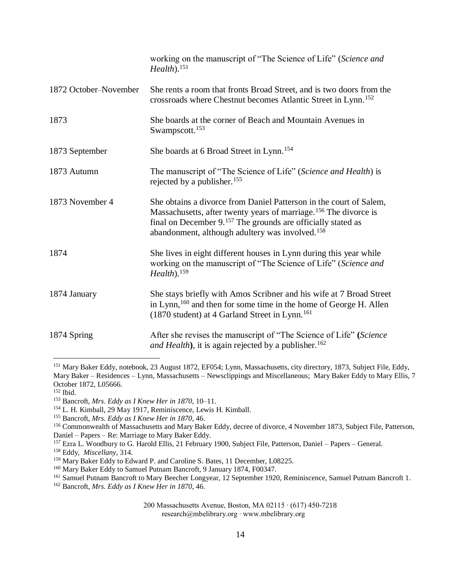|                       | working on the manuscript of "The Science of Life" (Science and<br>Health). <sup>151</sup>                                                                                                                                                                                                    |
|-----------------------|-----------------------------------------------------------------------------------------------------------------------------------------------------------------------------------------------------------------------------------------------------------------------------------------------|
| 1872 October-November | She rents a room that fronts Broad Street, and is two doors from the<br>crossroads where Chestnut becomes Atlantic Street in Lynn. <sup>152</sup>                                                                                                                                             |
| 1873                  | She boards at the corner of Beach and Mountain Avenues in<br>Swampscott. <sup>153</sup>                                                                                                                                                                                                       |
| 1873 September        | She boards at 6 Broad Street in Lynn. <sup>154</sup>                                                                                                                                                                                                                                          |
| 1873 Autumn           | The manuscript of "The Science of Life" (Science and Health) is<br>rejected by a publisher. <sup>155</sup>                                                                                                                                                                                    |
| 1873 November 4       | She obtains a divorce from Daniel Patterson in the court of Salem,<br>Massachusetts, after twenty years of marriage. <sup>156</sup> The divorce is<br>final on December 9. <sup>157</sup> The grounds are officially stated as<br>abandonment, although adultery was involved. <sup>158</sup> |
| 1874                  | She lives in eight different houses in Lynn during this year while<br>working on the manuscript of "The Science of Life" (Science and<br>Health). <sup>159</sup>                                                                                                                              |
| 1874 January          | She stays briefly with Amos Scribner and his wife at 7 Broad Street<br>in Lynn, <sup>160</sup> and then for some time in the home of George H. Allen<br>(1870 student) at 4 Garland Street in Lynn. <sup>161</sup>                                                                            |
| 1874 Spring           | After she revises the manuscript of "The Science of Life" (Science<br>and Health), it is again rejected by a publisher. <sup>162</sup>                                                                                                                                                        |

<sup>&</sup>lt;sup>151</sup> Mary Baker Eddy, notebook, 23 August 1872, EF054; Lynn, Massachusetts, city directory, 1873, Subject File, Eddy, Mary Baker – Residences – Lynn, Massachusetts – Newsclippings and Miscellaneous; Mary Baker Eddy to Mary Ellis, 7 October 1872, L05666.

<sup>158</sup> Eddy, *Miscellany,* 314.

<sup>160</sup> Mary Baker Eddy to Samuel Putnam Bancroft, 9 January 1874, F00347.

<sup>162</sup> Bancroft, *Mrs. Eddy as I Knew Her in 1870,* 46.

<sup>152</sup> Ibid.

<sup>153</sup> Bancroft, *Mrs. Eddy as I Knew Her in 1870,* 10–11.

<sup>154</sup> L. H. Kimball, 29 May 1917, Reminiscence, Lewis H. Kimball.

<sup>155</sup> Bancroft, *Mrs. Eddy as I Knew Her in 1870,* 46.

<sup>156</sup> Commonwealth of Massachusetts and Mary Baker Eddy, decree of divorce, 4 November 1873, Subject File, Patterson, Daniel – Papers – Re: Marriage to Mary Baker Eddy.

<sup>&</sup>lt;sup>157</sup> Ezra L. Woodbury to G. Harold Ellis, 21 February 1900, Subject File, Patterson, Daniel – Papers – General.

<sup>&</sup>lt;sup>159</sup> Mary Baker Eddy to Edward P. and Caroline S. Bates, 11 December, L08225.

<sup>&</sup>lt;sup>161</sup> Samuel Putnam Bancroft to Mary Beecher Longyear, 12 September 1920, Reminiscence, Samuel Putnam Bancroft 1.

<sup>200</sup> Massachusetts Avenue, Boston, MA 02115 ∙ (617) 450-7218 research@mbelibrary.org ∙ www.mbelibrary.org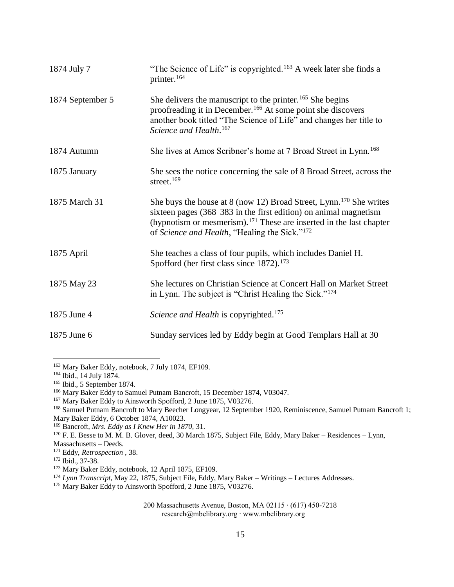| 1874 July 7      | "The Science of Life" is copyrighted. <sup>163</sup> A week later she finds a<br>printer. <sup>164</sup>                                                                                                                                                                                           |
|------------------|----------------------------------------------------------------------------------------------------------------------------------------------------------------------------------------------------------------------------------------------------------------------------------------------------|
| 1874 September 5 | She delivers the manuscript to the printer. <sup>165</sup> She begins<br>proofreading it in December. <sup>166</sup> At some point she discovers<br>another book titled "The Science of Life" and changes her title to<br>Science and Health. <sup>167</sup>                                       |
| 1874 Autumn      | She lives at Amos Scribner's home at 7 Broad Street in Lynn. <sup>168</sup>                                                                                                                                                                                                                        |
| 1875 January     | She sees the notice concerning the sale of 8 Broad Street, across the<br>street. $169$                                                                                                                                                                                                             |
| 1875 March 31    | She buys the house at 8 (now 12) Broad Street, Lynn. <sup>170</sup> She writes<br>sixteen pages (368–383 in the first edition) on animal magnetism<br>(hypnotism or mesmerism). <sup>171</sup> These are inserted in the last chapter<br>of Science and Health, "Healing the Sick." <sup>172</sup> |
| 1875 April       | She teaches a class of four pupils, which includes Daniel H.<br>Spofford (her first class since 1872). <sup>173</sup>                                                                                                                                                                              |
| 1875 May 23      | She lectures on Christian Science at Concert Hall on Market Street<br>in Lynn. The subject is "Christ Healing the Sick." <sup>174</sup>                                                                                                                                                            |
| 1875 June 4      | Science and Health is copyrighted. <sup>175</sup>                                                                                                                                                                                                                                                  |
| 1875 June 6      | Sunday services led by Eddy begin at Good Templars Hall at 30                                                                                                                                                                                                                                      |

<sup>163</sup> Mary Baker Eddy, notebook, 7 July 1874, EF109.

<sup>170</sup> F. E. Besse to M. M. B. Glover, deed, 30 March 1875, Subject File, Eddy, Mary Baker – Residences – Lynn, Massachusetts – Deeds.

<sup>164</sup> Ibid., 14 July 1874.

<sup>165</sup> Ibid., 5 September 1874.

<sup>&</sup>lt;sup>166</sup> Mary Baker Eddy to Samuel Putnam Bancroft, 15 December 1874, V03047.

<sup>&</sup>lt;sup>167</sup> Mary Baker Eddy to Ainsworth Spofford, 2 June 1875, V03276.

<sup>&</sup>lt;sup>168</sup> Samuel Putnam Bancroft to Mary Beecher Longyear, 12 September 1920, Reminiscence, Samuel Putnam Bancroft 1; Mary Baker Eddy, 6 October 1874, A10023.

<sup>169</sup> Bancroft, *Mrs. Eddy as I Knew Her in 1870,* 31.

<sup>171</sup> Eddy, *Retrospection ,* 38.

<sup>172</sup> Ibid., 37-38.

<sup>&</sup>lt;sup>173</sup> Mary Baker Eddy, notebook, 12 April 1875, EF109.

<sup>174</sup> *Lynn Transcript,* May 22, 1875, Subject File, Eddy, Mary Baker – Writings – Lectures Addresses.

<sup>&</sup>lt;sup>175</sup> Mary Baker Eddy to Ainsworth Spofford, 2 June 1875, V03276.

<sup>200</sup> Massachusetts Avenue, Boston, MA 02115 ∙ (617) 450-7218 research@mbelibrary.org ∙ www.mbelibrary.org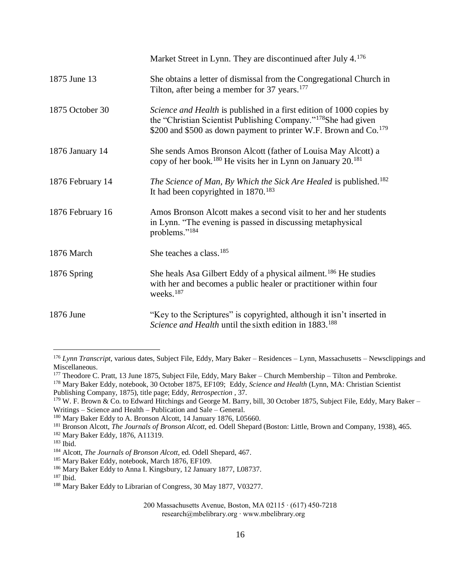|                  | Market Street in Lynn. They are discontinued after July 4. <sup>176</sup>                                                                                                                                                          |
|------------------|------------------------------------------------------------------------------------------------------------------------------------------------------------------------------------------------------------------------------------|
| 1875 June 13     | She obtains a letter of dismissal from the Congregational Church in<br>Tilton, after being a member for 37 years. <sup>177</sup>                                                                                                   |
| 1875 October 30  | Science and Health is published in a first edition of 1000 copies by<br>the "Christian Scientist Publishing Company." <sup>178</sup> She had given<br>\$200 and \$500 as down payment to printer W.F. Brown and Co. <sup>179</sup> |
| 1876 January 14  | She sends Amos Bronson Alcott (father of Louisa May Alcott) a<br>copy of her book. <sup>180</sup> He visits her in Lynn on January 20. <sup>181</sup>                                                                              |
| 1876 February 14 | The Science of Man, By Which the Sick Are Healed is published. <sup>182</sup><br>It had been copyrighted in $1870$ . <sup>183</sup>                                                                                                |
| 1876 February 16 | Amos Bronson Alcott makes a second visit to her and her students<br>in Lynn. "The evening is passed in discussing metaphysical<br>problems." <sup>184</sup>                                                                        |
| 1876 March       | She teaches a class. <sup>185</sup>                                                                                                                                                                                                |
| 1876 Spring      | She heals Asa Gilbert Eddy of a physical ailment. <sup>186</sup> He studies<br>with her and becomes a public healer or practitioner within four<br>weeks. <sup>187</sup>                                                           |
| 1876 June        | "Key to the Scriptures" is copyrighted, although it isn't inserted in<br>Science and Health until the sixth edition in 1883. <sup>188</sup>                                                                                        |

<sup>187</sup> Ibid.

<sup>176</sup> *Lynn Transcript,* various dates, Subject File, Eddy, Mary Baker – Residences – Lynn, Massachusetts – Newsclippings and Miscellaneous.

<sup>177</sup> Theodore C. Pratt, 13 June 1875, Subject File, Eddy, Mary Baker – Church Membership – Tilton and Pembroke. <sup>178</sup> Mary Baker Eddy, notebook, 30 October 1875, EF109; Eddy, *Science and Health* (Lynn, MA: Christian Scientist

Publishing Company, 1875), title page; Eddy, *Retrospection ,* 37.

 $179$  W. F. Brown & Co. to Edward Hitchings and George M. Barry, bill, 30 October 1875, Subject File, Eddy, Mary Baker – Writings – Science and Health – Publication and Sale – General.

<sup>&</sup>lt;sup>180</sup> Mary Baker Eddy to A. Bronson Alcott, 14 January 1876, L05660.

<sup>181</sup> Bronson Alcott, *The Journals of Bronson Alcott,* ed. Odell Shepard (Boston: Little, Brown and Company, 1938), 465.

<sup>182</sup> Mary Baker Eddy, 1876, A11319.

<sup>183</sup> Ibid.

<sup>184</sup> Alcott, *The Journals of Bronson Alcott,* ed. Odell Shepard, 467.

<sup>&</sup>lt;sup>185</sup> Mary Baker Eddy, notebook, March 1876, EF109.

<sup>186</sup> Mary Baker Eddy to Anna I. Kingsbury, 12 January 1877, L08737.

<sup>188</sup> Mary Baker Eddy to Librarian of Congress, 30 May 1877, V03277.

<sup>200</sup> Massachusetts Avenue, Boston, MA 02115 ∙ (617) 450-7218 research@mbelibrary.org ∙ www.mbelibrary.org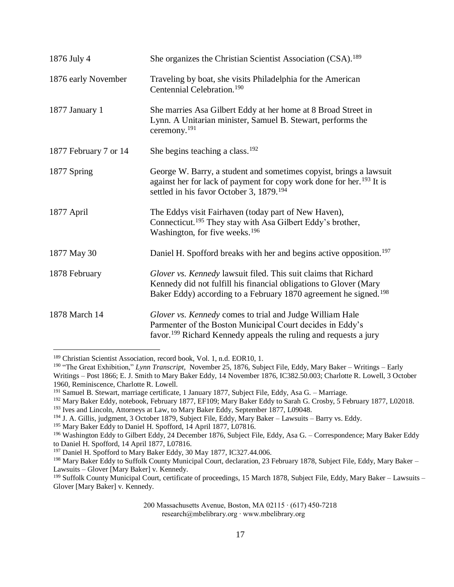| 1876 July 4           | She organizes the Christian Scientist Association (CSA). <sup>189</sup>                                                                                                                                              |
|-----------------------|----------------------------------------------------------------------------------------------------------------------------------------------------------------------------------------------------------------------|
| 1876 early November   | Traveling by boat, she visits Philadelphia for the American<br>Centennial Celebration. <sup>190</sup>                                                                                                                |
| 1877 January 1        | She marries Asa Gilbert Eddy at her home at 8 Broad Street in<br>Lynn. A Unitarian minister, Samuel B. Stewart, performs the<br>ceremony. <sup>191</sup>                                                             |
| 1877 February 7 or 14 | She begins teaching a class. $192$                                                                                                                                                                                   |
| 1877 Spring           | George W. Barry, a student and sometimes copyist, brings a lawsuit<br>against her for lack of payment for copy work done for her. <sup>193</sup> It is<br>settled in his favor October 3, 1879. <sup>194</sup>       |
| 1877 April            | The Eddys visit Fairhaven (today part of New Haven),<br>Connecticut. <sup>195</sup> They stay with Asa Gilbert Eddy's brother,<br>Washington, for five weeks. <sup>196</sup>                                         |
| 1877 May 30           | Daniel H. Spofford breaks with her and begins active opposition. <sup>197</sup>                                                                                                                                      |
| 1878 February         | Glover vs. Kennedy lawsuit filed. This suit claims that Richard<br>Kennedy did not fulfill his financial obligations to Glover (Mary<br>Baker Eddy) according to a February 1870 agreement he signed. <sup>198</sup> |
| 1878 March 14         | Glover vs. Kennedy comes to trial and Judge William Hale<br>Parmenter of the Boston Municipal Court decides in Eddy's<br>favor. <sup>199</sup> Richard Kennedy appeals the ruling and requests a jury                |

<sup>189</sup> Christian Scientist Association, record book, Vol. 1, n.d. EOR10, 1.

<sup>190</sup> "The Great Exhibition," *Lynn Transcript,* November 25, 1876, Subject File, Eddy, Mary Baker – Writings – Early Writings – Post 1866; E. J. Smith to Mary Baker Eddy, 14 November 1876, IC382.50.003; Charlotte R. Lowell, 3 October 1960, Reminiscence, Charlotte R. Lowell.

<sup>&</sup>lt;sup>191</sup> Samuel B. Stewart, marriage certificate, 1 January 1877, Subject File, Eddy, Asa G. – Marriage.

<sup>&</sup>lt;sup>192</sup> Mary Baker Eddy, notebook, February 1877, EF109; Mary Baker Eddy to Sarah G. Crosby, 5 February 1877, L02018.

<sup>&</sup>lt;sup>193</sup> Ives and Lincoln, Attorneys at Law, to Mary Baker Eddy, September 1877, L09048.

<sup>194</sup> J. A. Gillis, judgment, 3 October 1879, Subject File, Eddy, Mary Baker – Lawsuits – Barry vs. Eddy.

<sup>&</sup>lt;sup>195</sup> Mary Baker Eddy to Daniel H. Spofford, 14 April 1877, L07816.

<sup>&</sup>lt;sup>196</sup> Washington Eddy to Gilbert Eddy, 24 December 1876, Subject File, Eddy, Asa G. – Correspondence; Mary Baker Eddy to Daniel H. Spofford, 14 April 1877, L07816.

<sup>&</sup>lt;sup>197</sup> Daniel H. Spofford to Mary Baker Eddy, 30 May 1877, IC327.44.006.

<sup>&</sup>lt;sup>198</sup> Mary Baker Eddy to Suffolk County Municipal Court, declaration, 23 February 1878, Subject File, Eddy, Mary Baker – Lawsuits – Glover [Mary Baker] v. Kennedy.

<sup>&</sup>lt;sup>199</sup> Suffolk County Municipal Court, certificate of proceedings, 15 March 1878, Subject File, Eddy, Mary Baker – Lawsuits – Glover [Mary Baker] v. Kennedy.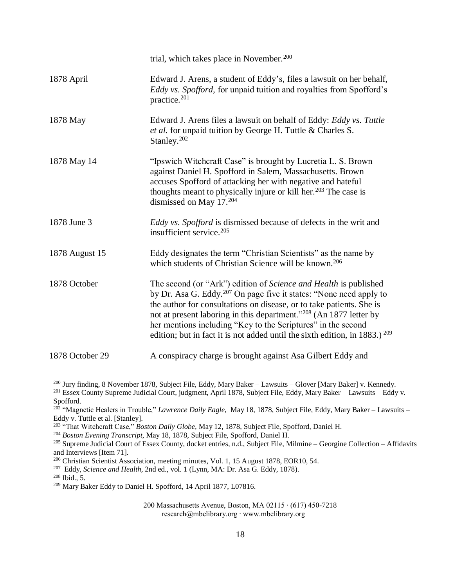|                 | trial, which takes place in November. <sup>200</sup>                                                                                                                                                                                                                                                                                                                                                                                                             |
|-----------------|------------------------------------------------------------------------------------------------------------------------------------------------------------------------------------------------------------------------------------------------------------------------------------------------------------------------------------------------------------------------------------------------------------------------------------------------------------------|
| 1878 April      | Edward J. Arens, a student of Eddy's, files a lawsuit on her behalf,<br><i>Eddy vs. Spofford, for unpaid tuition and royalties from Spofford's</i><br>practice. <sup>201</sup>                                                                                                                                                                                                                                                                                   |
| 1878 May        | Edward J. Arens files a lawsuit on behalf of Eddy: Eddy vs. Tuttle<br>et al. for unpaid tuition by George H. Tuttle & Charles S.<br>Stanley. <sup>202</sup>                                                                                                                                                                                                                                                                                                      |
| 1878 May 14     | "Ipswich Witchcraft Case" is brought by Lucretia L. S. Brown<br>against Daniel H. Spofford in Salem, Massachusetts. Brown<br>accuses Spofford of attacking her with negative and hateful<br>thoughts meant to physically injure or kill her. <sup>203</sup> The case is<br>dismissed on May 17.204                                                                                                                                                               |
| 1878 June 3     | <i>Eddy vs. Spofford</i> is dismissed because of defects in the writ and<br>insufficient service. <sup>205</sup>                                                                                                                                                                                                                                                                                                                                                 |
| 1878 August 15  | Eddy designates the term "Christian Scientists" as the name by<br>which students of Christian Science will be known. <sup>206</sup>                                                                                                                                                                                                                                                                                                                              |
| 1878 October    | The second (or "Ark") edition of Science and Health is published<br>by Dr. Asa G. Eddy. <sup>207</sup> On page five it states: "None need apply to<br>the author for consultations on disease, or to take patients. She is<br>not at present laboring in this department." <sup>208</sup> (An 1877 letter by<br>her mentions including "Key to the Scriptures" in the second<br>edition; but in fact it is not added until the sixth edition, in 1883.) $^{209}$ |
| 1878 October 29 | A conspiracy charge is brought against Asa Gilbert Eddy and                                                                                                                                                                                                                                                                                                                                                                                                      |

<sup>&</sup>lt;sup>200</sup> Jury finding, 8 November 1878, Subject File, Eddy, Mary Baker – Lawsuits – Glover [Mary Baker] v. Kennedy.

<sup>&</sup>lt;sup>201</sup> Essex County Supreme Judicial Court, judgment, April 1878, Subject File, Eddy, Mary Baker – Lawsuits – Eddy v. Spofford.

<sup>202</sup> "Magnetic Healers in Trouble," *Lawrence Daily Eagle,* May 18, 1878, Subject File, Eddy, Mary Baker – Lawsuits – Eddy v. Tuttle et al. [Stanley].

<sup>203</sup> "That Witchcraft Case," *Boston Daily Globe,* May 12, 1878, Subject File, Spofford, Daniel H.

<sup>204</sup> *Boston Evening Transcript,* May 18, 1878, Subject File, Spofford, Daniel H.

<sup>&</sup>lt;sup>205</sup> Supreme Judicial Court of Essex County, docket entries, n.d., Subject File, Milmine – Georgine Collection – Affidavits and Interviews [Item 71].

<sup>206</sup> Christian Scientist Association, meeting minutes, Vol. 1, 15 August 1878, EOR10, 54.

<sup>207</sup> Eddy, *Science and Health*, 2nd ed., vol. 1 (Lynn, MA: Dr. Asa G. Eddy, 1878).

<sup>208</sup> Ibid., 5.

<sup>209</sup> Mary Baker Eddy to Daniel H. Spofford, 14 April 1877, L07816.

<sup>200</sup> Massachusetts Avenue, Boston, MA 02115 ∙ (617) 450-7218 research@mbelibrary.org ∙ www.mbelibrary.org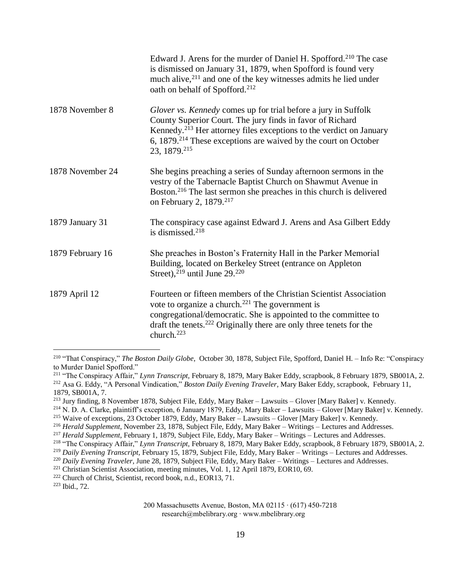|                  | Edward J. Arens for the murder of Daniel H. Spofford. <sup>210</sup> The case<br>is dismissed on January 31, 1879, when Spofford is found very<br>much alive, <sup>211</sup> and one of the key witnesses admits he lied under<br>oath on behalf of Spofford. <sup>212</sup>                                      |
|------------------|-------------------------------------------------------------------------------------------------------------------------------------------------------------------------------------------------------------------------------------------------------------------------------------------------------------------|
| 1878 November 8  | Glover vs. Kennedy comes up for trial before a jury in Suffolk<br>County Superior Court. The jury finds in favor of Richard<br>Kennedy. <sup>213</sup> Her attorney files exceptions to the verdict on January<br>6, 1879. <sup>214</sup> These exceptions are waived by the court on October<br>23, 1879. 215    |
| 1878 November 24 | She begins preaching a series of Sunday afternoon sermons in the<br>vestry of the Tabernacle Baptist Church on Shawmut Avenue in<br>Boston. <sup>216</sup> The last sermon she preaches in this church is delivered<br>on February 2, 1879. <sup>217</sup>                                                        |
| 1879 January 31  | The conspiracy case against Edward J. Arens and Asa Gilbert Eddy<br>is dismissed. <sup>218</sup>                                                                                                                                                                                                                  |
| 1879 February 16 | She preaches in Boston's Fraternity Hall in the Parker Memorial<br>Building, located on Berkeley Street (entrance on Appleton<br>Street), $219$ until June 29. $220$                                                                                                                                              |
| 1879 April 12    | Fourteen or fifteen members of the Christian Scientist Association<br>vote to organize a church. <sup>221</sup> The government is<br>congregational/democratic. She is appointed to the committee to<br>draft the tenets. <sup>222</sup> Originally there are only three tenets for the<br>church. <sup>223</sup> |

<sup>210</sup> "That Conspiracy," *The Boston Daily Globe,* October 30, 1878, Subject File, Spofford, Daniel H. – Info Re: "Conspiracy to Murder Daniel Spofford."

<sup>211</sup> "The Conspiracy Affair," *Lynn Transcript,* February 8, 1879, Mary Baker Eddy, scrapbook, 8 February 1879, SB001A, 2. <sup>212</sup> Asa G. Eddy, "A Personal Vindication," *Boston Daily Evening Traveler*, Mary Baker Eddy, scrapbook, February 11, 1879, SB001A, 7.

<sup>213</sup> Jury finding, 8 November 1878, Subject File, Eddy, Mary Baker – Lawsuits – Glover [Mary Baker] v. Kennedy.

<sup>214</sup> N. D. A. Clarke, plaintiff's exception, 6 January 1879, Eddy, Mary Baker – Lawsuits – Glover [Mary Baker] v. Kennedy.

<sup>&</sup>lt;sup>215</sup> Waive of exceptions, 23 October 1879, Eddy, Mary Baker – Lawsuits – Glover [Mary Baker] v. Kennedy.

<sup>216</sup> *Herald Supplement,* November 23, 1878, Subject File, Eddy, Mary Baker – Writings – Lectures and Addresses.

<sup>217</sup> *Herald Supplement,* February 1, 1879, Subject File, Eddy, Mary Baker – Writings – Lectures and Addresses.

<sup>218</sup> "The Conspiracy Affair," *Lynn Transcript,* February 8, 1879, Mary Baker Eddy, scrapbook, 8 February 1879, SB001A, 2.

<sup>219</sup> *Daily Evening Transcript,* February 15, 1879, Subject File, Eddy, Mary Baker – Writings – Lectures and Addresses.

<sup>220</sup> *Daily Evening Traveler,* June 28, 1879, Subject File, Eddy, Mary Baker – Writings – Lectures and Addresses.

<sup>221</sup> Christian Scientist Association, meeting minutes, Vol. 1, 12 April 1879, EOR10, 69.

<sup>222</sup> Church of Christ, Scientist, record book, n.d., EOR13, 71.

<sup>223</sup> Ibid., 72.

<sup>200</sup> Massachusetts Avenue, Boston, MA 02115 ∙ (617) 450-7218 research@mbelibrary.org ∙ www.mbelibrary.org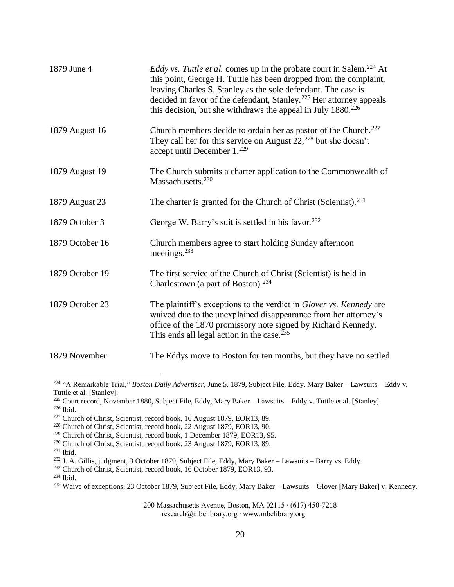| 1879 June 4     | <i>Eddy vs. Tuttle et al.</i> comes up in the probate court in Salem. <sup>224</sup> At<br>this point, George H. Tuttle has been dropped from the complaint,<br>leaving Charles S. Stanley as the sole defendant. The case is<br>decided in favor of the defendant, Stanley. <sup>225</sup> Her attorney appeals<br>this decision, but she withdraws the appeal in July $1880.^{226}$ |
|-----------------|---------------------------------------------------------------------------------------------------------------------------------------------------------------------------------------------------------------------------------------------------------------------------------------------------------------------------------------------------------------------------------------|
| 1879 August 16  | Church members decide to ordain her as pastor of the Church. <sup>227</sup><br>They call her for this service on August $22,^{228}$ but she doesn't<br>accept until December 1. <sup>229</sup>                                                                                                                                                                                        |
| 1879 August 19  | The Church submits a charter application to the Commonwealth of<br>Massachusetts. <sup>230</sup>                                                                                                                                                                                                                                                                                      |
| 1879 August 23  | The charter is granted for the Church of Christ (Scientist). <sup>231</sup>                                                                                                                                                                                                                                                                                                           |
| 1879 October 3  | George W. Barry's suit is settled in his favor. <sup>232</sup>                                                                                                                                                                                                                                                                                                                        |
| 1879 October 16 | Church members agree to start holding Sunday afternoon<br>meetings. <sup>233</sup>                                                                                                                                                                                                                                                                                                    |
| 1879 October 19 | The first service of the Church of Christ (Scientist) is held in<br>Charlestown (a part of Boston). <sup>234</sup>                                                                                                                                                                                                                                                                    |
| 1879 October 23 | The plaintiff's exceptions to the verdict in Glover vs. Kennedy are<br>waived due to the unexplained disappearance from her attorney's<br>office of the 1870 promissory note signed by Richard Kennedy.<br>This ends all legal action in the case. <sup>235</sup>                                                                                                                     |
| 1879 November   | The Eddys move to Boston for ten months, but they have no settled                                                                                                                                                                                                                                                                                                                     |

<sup>224</sup> "A Remarkable Trial," *Boston Daily Advertiser,* June 5, 1879, Subject File, Eddy, Mary Baker – Lawsuits – Eddy v. Tuttle et al. [Stanley].

 $231$  Ibid.

 $\overline{a}$ 

<sup>225</sup> Court record, November 1880, Subject File, Eddy, Mary Baker – Lawsuits – Eddy v. Tuttle et al. [Stanley]. <sup>226</sup> Ibid.

<sup>227</sup> Church of Christ, Scientist, record book, 16 August 1879, EOR13, 89.

<sup>&</sup>lt;sup>228</sup> Church of Christ, Scientist, record book, 22 August 1879, EOR13, 90.

<sup>229</sup> Church of Christ, Scientist, record book, 1 December 1879, EOR13, 95.

<sup>230</sup> Church of Christ, Scientist, record book, 23 August 1879, EOR13, 89.

<sup>232</sup> J. A. Gillis, judgment, 3 October 1879, Subject File, Eddy, Mary Baker – Lawsuits – Barry vs. Eddy.

<sup>&</sup>lt;sup>233</sup> Church of Christ, Scientist, record book, 16 October 1879, EOR13, 93.

 $234$  Ibid.

<sup>&</sup>lt;sup>235</sup> Waive of exceptions, 23 October 1879, Subject File, Eddy, Mary Baker – Lawsuits – Glover [Mary Baker] v. Kennedy.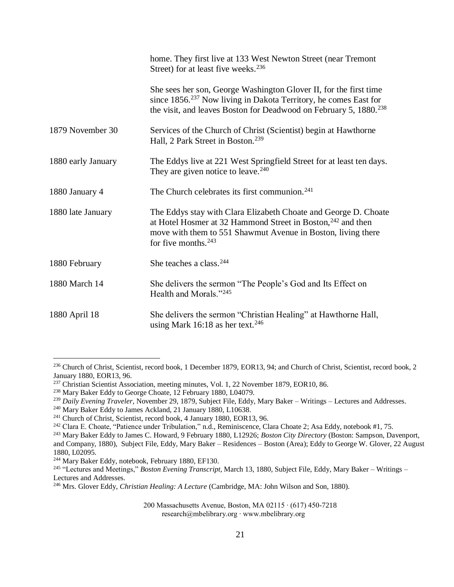|                    | home. They first live at 133 West Newton Street (near Tremont<br>Street) for at least five weeks. <sup>236</sup>                                                                                                                   |
|--------------------|------------------------------------------------------------------------------------------------------------------------------------------------------------------------------------------------------------------------------------|
|                    | She sees her son, George Washington Glover II, for the first time<br>since 1856. <sup>237</sup> Now living in Dakota Territory, he comes East for<br>the visit, and leaves Boston for Deadwood on February 5, 1880. <sup>238</sup> |
| 1879 November 30   | Services of the Church of Christ (Scientist) begin at Hawthorne<br>Hall, 2 Park Street in Boston. <sup>239</sup>                                                                                                                   |
| 1880 early January | The Eddys live at 221 West Springfield Street for at least ten days.<br>They are given notice to leave. <sup>240</sup>                                                                                                             |
| 1880 January 4     | The Church celebrates its first communion. <sup>241</sup>                                                                                                                                                                          |
| 1880 late January  | The Eddys stay with Clara Elizabeth Choate and George D. Choate<br>at Hotel Hosmer at 32 Hammond Street in Boston, $242$ and then<br>move with them to 551 Shawmut Avenue in Boston, living there<br>for five months. $243$        |
| 1880 February      | She teaches a class. <sup>244</sup>                                                                                                                                                                                                |
| 1880 March 14      | She delivers the sermon "The People's God and Its Effect on<br>Health and Morals."245                                                                                                                                              |
| 1880 April 18      | She delivers the sermon "Christian Healing" at Hawthorne Hall,<br>using Mark 16:18 as her text. <sup>246</sup>                                                                                                                     |

- <sup>239</sup> *Daily Evening Traveler,* November 29, 1879, Subject File, Eddy, Mary Baker Writings Lectures and Addresses.
- <sup>240</sup> Mary Baker Eddy to James Ackland, 21 January 1880, L10638.

<sup>&</sup>lt;sup>236</sup> Church of Christ, Scientist, record book, 1 December 1879, EOR13, 94; and Church of Christ, Scientist, record book, 2 January 1880, EOR13, 96.

<sup>&</sup>lt;sup>237</sup> Christian Scientist Association, meeting minutes, Vol. 1, 22 November 1879, EOR10, 86.

<sup>238</sup> Mary Baker Eddy to George Choate, 12 February 1880, L04079.

<sup>&</sup>lt;sup>241</sup> Church of Christ, Scientist, record book, 4 January 1880, EOR13, 96.

<sup>&</sup>lt;sup>242</sup> Clara E. Choate, "Patience under Tribulation," n.d., Reminiscence, Clara Choate 2; Asa Eddy, notebook #1, 75.

<sup>243</sup> Mary Baker Eddy to James C. Howard, 9 February 1880, L12926; *Boston City Directory* (Boston: Sampson, Davenport, and Company, 1880), Subject File, Eddy, Mary Baker – Residences – Boston (Area); Eddy to George W. Glover, 22 August

<sup>1880,</sup> L02095.

<sup>244</sup> Mary Baker Eddy, notebook, February 1880, EF130.

<sup>245</sup> "Lectures and Meetings," *Boston Evening Transcript,* March 13, 1880, Subject File, Eddy, Mary Baker – Writings – Lectures and Addresses.

<sup>246</sup> Mrs. Glover Eddy, *Christian Healing: A Lecture* (Cambridge, MA: John Wilson and Son, 1880).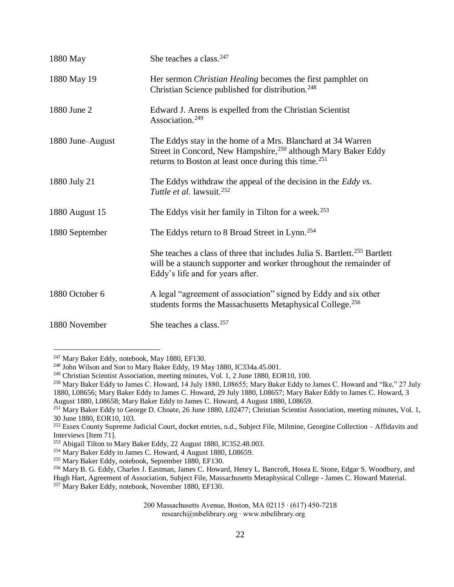| 1880 May         | She teaches a class. <sup>247</sup>                                                                                                                                                                          |
|------------------|--------------------------------------------------------------------------------------------------------------------------------------------------------------------------------------------------------------|
| 1880 May 19      | Her sermon Christian Healing becomes the first pamphlet on<br>Christian Science published for distribution. <sup>248</sup>                                                                                   |
| 1880 June 2      | Edward J. Arens is expelled from the Christian Scientist<br>Association. <sup>249</sup>                                                                                                                      |
| 1880 June-August | The Eddys stay in the home of a Mrs. Blanchard at 34 Warren<br>Street in Concord, New Hampshire, <sup>250</sup> although Mary Baker Eddy<br>returns to Boston at least once during this time. <sup>251</sup> |
| 1880 July 21     | The Eddys withdraw the appeal of the decision in the <i>Eddy vs</i> .<br>Tuttle et al. lawsuit. <sup>252</sup>                                                                                               |
| 1880 August 15   | The Eddys visit her family in Tilton for a week. <sup>253</sup>                                                                                                                                              |
| 1880 September   | The Eddys return to 8 Broad Street in Lynn. <sup>254</sup>                                                                                                                                                   |
|                  | She teaches a class of three that includes Julia S. Bartlett. <sup>255</sup> Bartlett<br>will be a staunch supporter and worker throughout the remainder of<br>Eddy's life and for years after.              |
| 1880 October 6   | A legal "agreement of association" signed by Eddy and six other<br>students forms the Massachusetts Metaphysical College. <sup>256</sup>                                                                     |
| 1880 November    | She teaches a class. <sup>257</sup>                                                                                                                                                                          |

<sup>247</sup> Mary Baker Eddy, notebook, May 1880, EF130.

<sup>&</sup>lt;sup>248</sup> John Wilson and Son to Mary Baker Eddy, 19 May 1880, IC334a.45.001.

<sup>249</sup> Christian Scientist Association, meeting minutes, Vol. 1, 2 June 1880, EOR10, 100.

<sup>&</sup>lt;sup>250</sup> Mary Baker Eddy to James C. Howard, 14 July 1880, L08655; Mary Baker Eddy to James C. Howard and "Ike," 27 July 1880, L08656; Mary Baker Eddy to James C. Howard, 29 July 1880, L08657; Mary Baker Eddy to James C. Howard, 3

August 1880, L08658; Mary Baker Eddy to James C. Howard, 4 August 1880, L08659.

<sup>&</sup>lt;sup>251</sup> Mary Baker Eddy to George D. Choate, 26 June 1880, L02477; Christian Scientist Association, meeting minutes, Vol. 1, 30 June 1880, EOR10, 103.

<sup>&</sup>lt;sup>252</sup> Essex County Supreme Judicial Court, docket entries, n.d., Subject File, Milmine, Georgine Collection – Affidavits and Interviews [Item 71].

<sup>253</sup> Abigail Tilton to Mary Baker Eddy, 22 August 1880, IC352.48.003.

<sup>254</sup> Mary Baker Eddy to James C. Howard, 4 August 1880, L08659.

<sup>255</sup> Mary Baker Eddy, notebook, September 1880, EF130.

<sup>256</sup> Mary B. G. Eddy, Charles J. Eastman, James C. Howard, Henry L. Bancroft, Hosea E. Stone, Edgar S. Woodbury, and Hugh Hart, Agreement of Association, Subject File, Massachusetts Metaphysical College - James C. Howard Material. <sup>257</sup> Mary Baker Eddy, notebook, November 1880, EF130.

<sup>200</sup> Massachusetts Avenue, Boston, MA 02115 ∙ (617) 450-7218 research@mbelibrary.org ∙ www.mbelibrary.org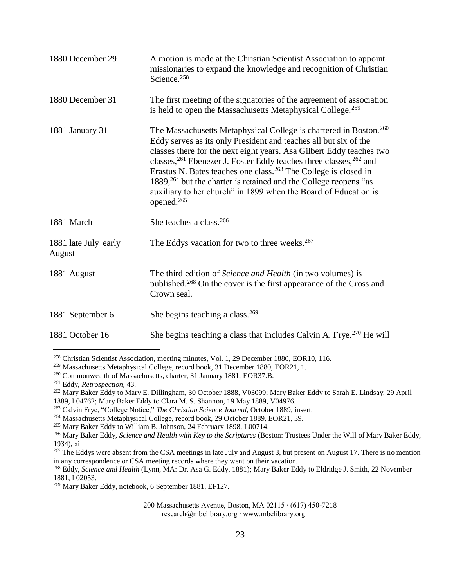| 1880 December 29               | A motion is made at the Christian Scientist Association to appoint<br>missionaries to expand the knowledge and recognition of Christian<br>Science. <sup>258</sup>                                                                                                                                                                                                                                                                                                                                                                                                     |
|--------------------------------|------------------------------------------------------------------------------------------------------------------------------------------------------------------------------------------------------------------------------------------------------------------------------------------------------------------------------------------------------------------------------------------------------------------------------------------------------------------------------------------------------------------------------------------------------------------------|
| 1880 December 31               | The first meeting of the signatories of the agreement of association<br>is held to open the Massachusetts Metaphysical College. <sup>259</sup>                                                                                                                                                                                                                                                                                                                                                                                                                         |
| 1881 January 31                | The Massachusetts Metaphysical College is chartered in Boston. <sup>260</sup><br>Eddy serves as its only President and teaches all but six of the<br>classes there for the next eight years. Asa Gilbert Eddy teaches two<br>classes, $^{261}$ Ebenezer J. Foster Eddy teaches three classes, $^{262}$ and<br>Erastus N. Bates teaches one class. <sup>263</sup> The College is closed in<br>1889, <sup>264</sup> but the charter is retained and the College reopens "as<br>auxiliary to her church" in 1899 when the Board of Education is<br>opened. <sup>265</sup> |
| 1881 March                     | She teaches a class. <sup>266</sup>                                                                                                                                                                                                                                                                                                                                                                                                                                                                                                                                    |
| 1881 late July–early<br>August | The Eddys vacation for two to three weeks. <sup>267</sup>                                                                                                                                                                                                                                                                                                                                                                                                                                                                                                              |
| 1881 August                    | The third edition of Science and Health (in two volumes) is<br>published. <sup>268</sup> On the cover is the first appearance of the Cross and<br>Crown seal.                                                                                                                                                                                                                                                                                                                                                                                                          |
| 1881 September 6               | She begins teaching a class. $269$                                                                                                                                                                                                                                                                                                                                                                                                                                                                                                                                     |
| 1881 October 16                | She begins teaching a class that includes Calvin A. Frye. <sup>270</sup> He will                                                                                                                                                                                                                                                                                                                                                                                                                                                                                       |

<sup>258</sup> Christian Scientist Association, meeting minutes, Vol. 1, 29 December 1880, EOR10, 116.

<sup>259</sup> Massachusetts Metaphysical College, record book, 31 December 1880, EOR21, 1.

<sup>260</sup> Commonwealth of Massachusetts, charter, 31 January 1881, EOR37.B.

<sup>261</sup> Eddy, *Retrospection,* 43.

<sup>&</sup>lt;sup>262</sup> Mary Baker Eddy to Mary E. Dillingham, 30 October 1888, V03099; Mary Baker Eddy to Sarah E. Lindsay, 29 April 1889, L04762; Mary Baker Eddy to Clara M. S. Shannon, 19 May 1889, V04976.

<sup>263</sup> Calvin Frye, "College Notice," *The Christian Science Journal,* October 1889, insert.

<sup>264</sup> Massachusetts Metaphysical College, record book, 29 October 1889, EOR21, 39.

<sup>265</sup> Mary Baker Eddy to William B. Johnson, 24 February 1898, L00714.

<sup>266</sup> Mary Baker Eddy, *Science and Health with Key to the Scriptures* (Boston: Trustees Under the Will of Mary Baker Eddy, 1934), xii

 $^{267}$  The Eddys were absent from the CSA meetings in late July and August 3, but present on August 17. There is no mention in any correspondence or CSA meeting records where they went on their vacation.

<sup>268</sup> Eddy, *Science and Health* (Lynn, MA: Dr. Asa G. Eddy, 1881); Mary Baker Eddy to Eldridge J. Smith, 22 November 1881, L02053.

<sup>269</sup> Mary Baker Eddy, notebook, 6 September 1881, EF127.

<sup>200</sup> Massachusetts Avenue, Boston, MA 02115 ∙ (617) 450-7218 research@mbelibrary.org ∙ www.mbelibrary.org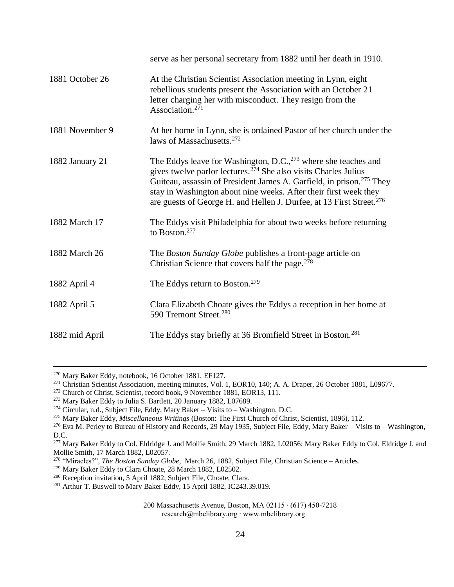|                 | serve as her personal secretary from 1882 until her death in 1910.                                                                                                                                                                                                                                                                                                                                    |
|-----------------|-------------------------------------------------------------------------------------------------------------------------------------------------------------------------------------------------------------------------------------------------------------------------------------------------------------------------------------------------------------------------------------------------------|
| 1881 October 26 | At the Christian Scientist Association meeting in Lynn, eight<br>rebellious students present the Association with an October 21<br>letter charging her with misconduct. They resign from the<br>Association. <sup>271</sup>                                                                                                                                                                           |
| 1881 November 9 | At her home in Lynn, she is ordained Pastor of her church under the<br>laws of Massachusetts. <sup>272</sup>                                                                                                                                                                                                                                                                                          |
| 1882 January 21 | The Eddys leave for Washington, D.C., <sup>273</sup> where she teaches and<br>gives twelve parlor lectures. <sup>274</sup> She also visits Charles Julius<br>Guiteau, assassin of President James A. Garfield, in prison. <sup>275</sup> They<br>stay in Washington about nine weeks. After their first week they<br>are guests of George H. and Hellen J. Durfee, at 13 First Street. <sup>276</sup> |
| 1882 March 17   | The Eddys visit Philadelphia for about two weeks before returning<br>to Boston. <sup>277</sup>                                                                                                                                                                                                                                                                                                        |
| 1882 March 26   | The Boston Sunday Globe publishes a front-page article on<br>Christian Science that covers half the page. <sup>278</sup>                                                                                                                                                                                                                                                                              |
| 1882 April 4    | The Eddys return to Boston. <sup>279</sup>                                                                                                                                                                                                                                                                                                                                                            |
| 1882 April 5    | Clara Elizabeth Choate gives the Eddys a reception in her home at<br>590 Tremont Street. <sup>280</sup>                                                                                                                                                                                                                                                                                               |
| 1882 mid April  | The Eddys stay briefly at 36 Bromfield Street in Boston. <sup>281</sup>                                                                                                                                                                                                                                                                                                                               |

<sup>279</sup> Mary Baker Eddy to Clara Choate, 28 March 1882, L02502.

<sup>270</sup> Mary Baker Eddy, notebook, 16 October 1881, EF127.

<sup>&</sup>lt;sup>271</sup> Christian Scientist Association, meeting minutes, Vol. 1, EOR10, 140; A. A. Draper, 26 October 1881, L09677.

<sup>&</sup>lt;sup>272</sup> Church of Christ, Scientist, record book, 9 November 1881, EOR13, 111.

<sup>273</sup> Mary Baker Eddy to Julia S. Bartlett, 20 January 1882, L07689.

 $274$  Circular, n.d., Subject File, Eddy, Mary Baker – Visits to – Washington, D.C.

<sup>275</sup> Mary Baker Eddy, *Miscellaneous Writings* (Boston: The First Church of Christ, Scientist, 1896), 112.

<sup>&</sup>lt;sup>276</sup> Eva M. Perley to Bureau of History and Records, 29 May 1935, Subject File, Eddy, Mary Baker – Visits to – Washington, D.C.

<sup>&</sup>lt;sup>277</sup> Mary Baker Eddy to Col. Eldridge J. and Mollie Smith, 29 March 1882, L02056; Mary Baker Eddy to Col. Eldridge J. and Mollie Smith, 17 March 1882, L02057.

<sup>278</sup> "Miracles?", *The Boston Sunday Globe,* March 26, 1882, Subject File, Christian Science – Articles.

<sup>&</sup>lt;sup>280</sup> Reception invitation, 5 April 1882, Subject File, Choate, Clara.

<sup>&</sup>lt;sup>281</sup> Arthur T. Buswell to Mary Baker Eddy, 15 April 1882, IC243.39.019.

<sup>200</sup> Massachusetts Avenue, Boston, MA 02115 ∙ (617) 450-7218 research@mbelibrary.org ∙ www.mbelibrary.org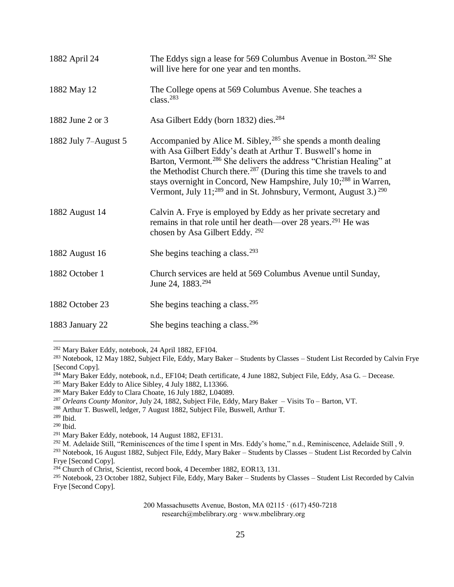| 1882 April 24        | The Eddys sign a lease for 569 Columbus Avenue in Boston. <sup>282</sup> She<br>will live here for one year and ten months.                                                                                                                                                                                                                                                                                                                                                             |
|----------------------|-----------------------------------------------------------------------------------------------------------------------------------------------------------------------------------------------------------------------------------------------------------------------------------------------------------------------------------------------------------------------------------------------------------------------------------------------------------------------------------------|
| 1882 May 12          | The College opens at 569 Columbus Avenue. She teaches a<br>class. $283$                                                                                                                                                                                                                                                                                                                                                                                                                 |
| 1882 June 2 or 3     | Asa Gilbert Eddy (born 1832) dies. <sup>284</sup>                                                                                                                                                                                                                                                                                                                                                                                                                                       |
| 1882 July 7-August 5 | Accompanied by Alice M. Sibley, $^{285}$ she spends a month dealing<br>with Asa Gilbert Eddy's death at Arthur T. Buswell's home in<br>Barton, Vermont. <sup>286</sup> She delivers the address "Christian Healing" at<br>the Methodist Church there. <sup>287</sup> (During this time she travels to and<br>stays overnight in Concord, New Hampshire, July 10; <sup>288</sup> in Warren,<br>Vermont, July 11; <sup>289</sup> and in St. Johnsbury, Vermont, August 3.) <sup>290</sup> |
| 1882 August 14       | Calvin A. Frye is employed by Eddy as her private secretary and<br>remains in that role until her death—over 28 years. <sup>291</sup> He was<br>chosen by Asa Gilbert Eddy. <sup>292</sup>                                                                                                                                                                                                                                                                                              |
| 1882 August 16       | She begins teaching a class. $293$                                                                                                                                                                                                                                                                                                                                                                                                                                                      |
| 1882 October 1       | Church services are held at 569 Columbus Avenue until Sunday,<br>June 24, 1883. <sup>294</sup>                                                                                                                                                                                                                                                                                                                                                                                          |
| 1882 October 23      | She begins teaching a class. <sup>295</sup>                                                                                                                                                                                                                                                                                                                                                                                                                                             |
| 1883 January 22      | She begins teaching a class. <sup>296</sup>                                                                                                                                                                                                                                                                                                                                                                                                                                             |

<sup>282</sup> Mary Baker Eddy, notebook, 24 April 1882, EF104.

<sup>283</sup> Notebook, 12 May 1882, Subject File, Eddy, Mary Baker – Students by Classes – Student List Recorded by Calvin Frye [Second Copy].

<sup>285</sup> Mary Baker Eddy to Alice Sibley, 4 July 1882, L13366.

- <sup>287</sup> *Orleans County Monitor,* July 24, 1882, Subject File, Eddy, Mary Baker Visits To Barton, VT.
- <sup>288</sup> Arthur T. Buswell, ledger, 7 August 1882, Subject File, Buswell, Arthur T.

 $\overline{a}$ 

<sup>292</sup> M. Adelaide Still, "Reminiscences of the time I spent in Mrs. Eddy's home," n.d., Reminiscence, Adelaide Still, 9.

<sup>293</sup> Notebook, 16 August 1882, Subject File, Eddy, Mary Baker – Students by Classes – Student List Recorded by Calvin Frye [Second Copy].

<sup>295</sup> Notebook, 23 October 1882, Subject File, Eddy, Mary Baker – Students by Classes – Student List Recorded by Calvin Frye [Second Copy].

<sup>284</sup> Mary Baker Eddy, notebook, n.d., EF104; Death certificate, 4 June 1882, Subject File, Eddy, Asa G. – Decease.

<sup>286</sup> Mary Baker Eddy to Clara Choate, 16 July 1882, L04089.

<sup>289</sup> Ibid.

<sup>290</sup> Ibid.

<sup>291</sup> Mary Baker Eddy, notebook, 14 August 1882, EF131.

<sup>&</sup>lt;sup>294</sup> Church of Christ, Scientist, record book, 4 December 1882, EOR13, 131.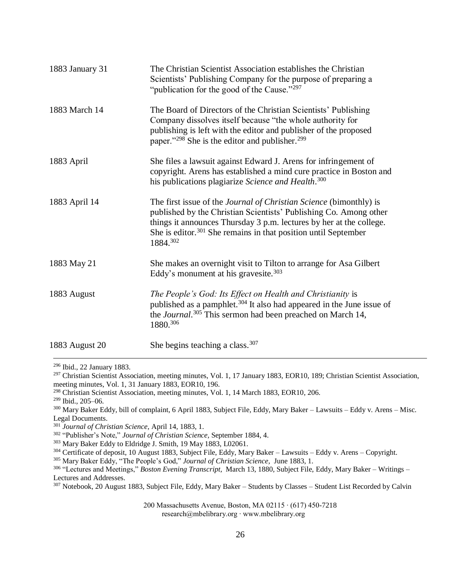| 1883 January 31 | The Christian Scientist Association establishes the Christian<br>Scientists' Publishing Company for the purpose of preparing a<br>"publication for the good of the Cause."297                                                                                                                                   |
|-----------------|-----------------------------------------------------------------------------------------------------------------------------------------------------------------------------------------------------------------------------------------------------------------------------------------------------------------|
| 1883 March 14   | The Board of Directors of the Christian Scientists' Publishing<br>Company dissolves itself because "the whole authority for<br>publishing is left with the editor and publisher of the proposed<br>paper." <sup>298</sup> She is the editor and publisher. <sup>299</sup>                                       |
| 1883 April      | She files a lawsuit against Edward J. Arens for infringement of<br>copyright. Arens has established a mind cure practice in Boston and<br>his publications plagiarize Science and Health. <sup>300</sup>                                                                                                        |
| 1883 April 14   | The first issue of the <i>Journal of Christian Science</i> (bimonthly) is<br>published by the Christian Scientists' Publishing Co. Among other<br>things it announces Thursday 3 p.m. lectures by her at the college.<br>She is editor. <sup>301</sup> She remains in that position until September<br>1884.302 |
| 1883 May 21     | She makes an overnight visit to Tilton to arrange for Asa Gilbert<br>Eddy's monument at his gravesite. $303$                                                                                                                                                                                                    |
| 1883 August     | The People's God: Its Effect on Health and Christianity is<br>published as a pamphlet. <sup>304</sup> It also had appeared in the June issue of<br>the Journal. <sup>305</sup> This sermon had been preached on March 14,<br>1880.306                                                                           |
| 1883 August 20  | She begins teaching a class. $307$                                                                                                                                                                                                                                                                              |

<sup>296</sup> Ibid., 22 January 1883.

<sup>297</sup> Christian Scientist Association, meeting minutes, Vol. 1, 17 January 1883, EOR10, 189; Christian Scientist Association, meeting minutes, Vol. 1, 31 January 1883, EOR10, 196.

<sup>298</sup> Christian Scientist Association, meeting minutes, Vol. 1, 14 March 1883, EOR10, 206.

<sup>299</sup> Ibid., 205–06.

 $\overline{a}$ 

<sup>300</sup> Mary Baker Eddy, bill of complaint, 6 April 1883, Subject File, Eddy, Mary Baker – Lawsuits – Eddy v. Arens – Misc. Legal Documents.

<sup>301</sup> *Journal of Christian Science,* April 14, 1883, 1.

<sup>302</sup> "Publisher's Note," *Journal of Christian Science,* September 1884, 4.

<sup>303</sup> Mary Baker Eddy to Eldridge J. Smith, 19 May 1883, L02061.

<sup>304</sup> Certificate of deposit, 10 August 1883, Subject File, Eddy, Mary Baker – Lawsuits – Eddy v. Arens – Copyright.

<sup>305</sup> Mary Baker Eddy, "The People's God," *Journal of Christian Science,* June 1883, 1.

<sup>306</sup> "Lectures and Meetings," *Boston Evening Transcript,* March 13, 1880, Subject File, Eddy, Mary Baker – Writings – Lectures and Addresses.

<sup>307</sup> Notebook, 20 August 1883, Subject File, Eddy, Mary Baker – Students by Classes – Student List Recorded by Calvin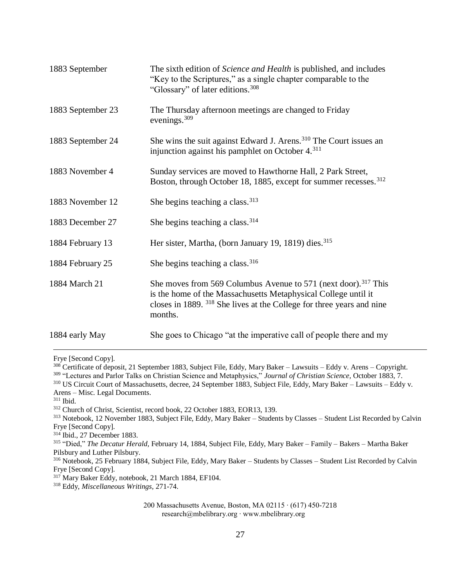| 1883 September    | The sixth edition of Science and Health is published, and includes<br>"Key to the Scriptures," as a single chapter comparable to the<br>"Glossary" of later editions. <sup>308</sup>                                                        |
|-------------------|---------------------------------------------------------------------------------------------------------------------------------------------------------------------------------------------------------------------------------------------|
| 1883 September 23 | The Thursday afternoon meetings are changed to Friday<br>evenings. <sup>309</sup>                                                                                                                                                           |
| 1883 September 24 | She wins the suit against Edward J. Arens. <sup>310</sup> The Court issues an<br>injunction against his pamphlet on October 4. <sup>311</sup>                                                                                               |
| 1883 November 4   | Sunday services are moved to Hawthorne Hall, 2 Park Street,<br>Boston, through October 18, 1885, except for summer recesses. <sup>312</sup>                                                                                                 |
| 1883 November 12  | She begins teaching a class. $313$                                                                                                                                                                                                          |
| 1883 December 27  | She begins teaching a class. <sup>314</sup>                                                                                                                                                                                                 |
| 1884 February 13  | Her sister, Martha, (born January 19, 1819) dies. <sup>315</sup>                                                                                                                                                                            |
| 1884 February 25  | She begins teaching a class. $316$                                                                                                                                                                                                          |
| 1884 March 21     | She moves from 569 Columbus Avenue to 571 (next door). <sup>317</sup> This<br>is the home of the Massachusetts Metaphysical College until it<br>closes in 1889. <sup>318</sup> She lives at the College for three years and nine<br>months. |
| 1884 early May    | She goes to Chicago "at the imperative call of people there and my                                                                                                                                                                          |

Frye [Second Copy].

 $\overline{a}$ 

 Certificate of deposit, 21 September 1883, Subject File, Eddy, Mary Baker – Lawsuits – Eddy v. Arens – Copyright. "Lectures and Parlor Talks on Christian Science and Metaphysics," *Journal of Christian Science,* October 1883, 7. US Circuit Court of Massachusetts, decree, 24 September 1883, Subject File, Eddy, Mary Baker – Lawsuits – Eddy v. Arens – Misc. Legal Documents. <sup>311</sup> Ibid. Church of Christ, Scientist, record book, 22 October 1883, EOR13, 139. Notebook, 12 November 1883, Subject File, Eddy, Mary Baker – Students by Classes – Student List Recorded by Calvin Frye [Second Copy].

<sup>314</sup> Ibid., 27 December 1883.

<sup>315</sup> "Died," *The Decatur Herald,* February 14, 1884, Subject File, Eddy, Mary Baker – Family – Bakers – Martha Baker Pilsbury and Luther Pilsbury.

<sup>316</sup> Notebook, 25 February 1884, Subject File, Eddy, Mary Baker – Students by Classes – Student List Recorded by Calvin Frye [Second Copy].

 $317$  Mary Baker Eddy, notebook, 21 March 1884, EF104.

<sup>318</sup> Eddy, *Miscellaneous Writings,* 271-74.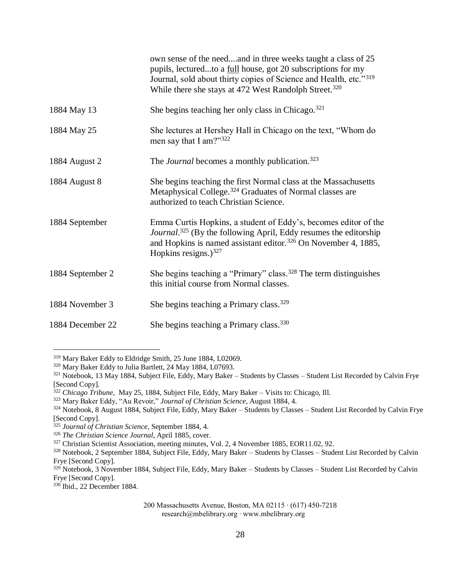|                  | own sense of the needand in three weeks taught a class of 25<br>pupils, lecturedto a full house, got 20 subscriptions for my<br>Journal, sold about thirty copies of Science and Health, etc."319<br>While there she stays at 472 West Randolph Street. <sup>320</sup> |
|------------------|------------------------------------------------------------------------------------------------------------------------------------------------------------------------------------------------------------------------------------------------------------------------|
| 1884 May 13      | She begins teaching her only class in Chicago. $321$                                                                                                                                                                                                                   |
| 1884 May 25      | She lectures at Hershey Hall in Chicago on the text, "Whom do<br>men say that I am?"322                                                                                                                                                                                |
| 1884 August 2    | The <i>Journal</i> becomes a monthly publication. <sup>323</sup>                                                                                                                                                                                                       |
| 1884 August 8    | She begins teaching the first Normal class at the Massachusetts<br>Metaphysical College. <sup>324</sup> Graduates of Normal classes are<br>authorized to teach Christian Science.                                                                                      |
| 1884 September   | Emma Curtis Hopkins, a student of Eddy's, becomes editor of the<br>Journal. <sup>325</sup> (By the following April, Eddy resumes the editorship<br>and Hopkins is named assistant editor. <sup>326</sup> On November 4, 1885,<br>Hopkins resigns.) $327$               |
| 1884 September 2 | She begins teaching a "Primary" class. <sup>328</sup> The term distinguishes<br>this initial course from Normal classes.                                                                                                                                               |
| 1884 November 3  | She begins teaching a Primary class. <sup>329</sup>                                                                                                                                                                                                                    |
| 1884 December 22 | She begins teaching a Primary class. <sup>330</sup>                                                                                                                                                                                                                    |

<sup>330</sup> Ibid., 22 December 1884.

 $\overline{a}$ 

<sup>319</sup> Mary Baker Eddy to Eldridge Smith, 25 June 1884, L02069.

<sup>320</sup> Mary Baker Eddy to Julia Bartlett, 24 May 1884, L07693.

<sup>321</sup> Notebook, 13 May 1884, Subject File, Eddy, Mary Baker – Students by Classes – Student List Recorded by Calvin Frye [Second Copy].

<sup>322</sup> *Chicago Tribune,* May 25, 1884, Subject File, Eddy, Mary Baker – Visits to: Chicago, Ill.

<sup>323</sup> Mary Baker Eddy, "Au Revoir," *Journal of Christian Science,* August 1884, 4.

<sup>324</sup> Notebook, 8 August 1884, Subject File, Eddy, Mary Baker – Students by Classes – Student List Recorded by Calvin Frye [Second Copy].

<sup>325</sup> *Journal of Christian Science,* September 1884, 4.

<sup>326</sup> *The Christian Science Journal*, April 1885, cover.

<sup>&</sup>lt;sup>327</sup> Christian Scientist Association, meeting minutes, Vol. 2, 4 November 1885, EOR11.02, 92.

<sup>328</sup> Notebook, 2 September 1884, Subject File, Eddy, Mary Baker – Students by Classes – Student List Recorded by Calvin Frye [Second Copy].

 $329$  Notebook, 3 November 1884, Subject File, Eddy, Mary Baker – Students by Classes – Student List Recorded by Calvin Frye [Second Copy].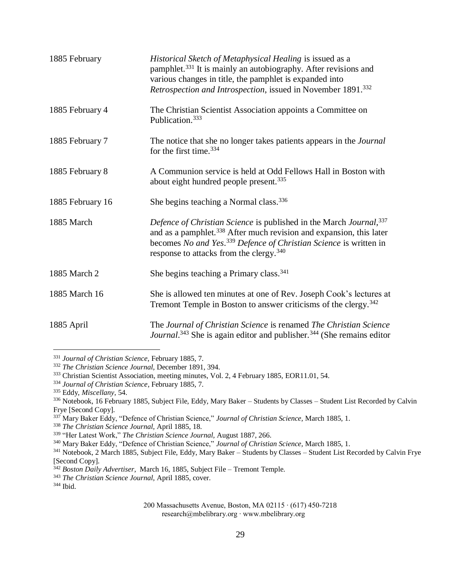| 1885 February    | Historical Sketch of Metaphysical Healing is issued as a<br>pamphlet. <sup>331</sup> It is mainly an autobiography. After revisions and<br>various changes in title, the pamphlet is expanded into<br>Retrospection and Introspection, issued in November 1891. <sup>332</sup>                 |
|------------------|------------------------------------------------------------------------------------------------------------------------------------------------------------------------------------------------------------------------------------------------------------------------------------------------|
| 1885 February 4  | The Christian Scientist Association appoints a Committee on<br>Publication. <sup>333</sup>                                                                                                                                                                                                     |
| 1885 February 7  | The notice that she no longer takes patients appears in the <i>Journal</i><br>for the first time. <sup>334</sup>                                                                                                                                                                               |
| 1885 February 8  | A Communion service is held at Odd Fellows Hall in Boston with<br>about eight hundred people present. <sup>335</sup>                                                                                                                                                                           |
| 1885 February 16 | She begins teaching a Normal class. <sup>336</sup>                                                                                                                                                                                                                                             |
| 1885 March       | Defence of Christian Science is published in the March Journal, 337<br>and as a pamphlet. <sup>338</sup> After much revision and expansion, this later<br>becomes No and Yes. <sup>339</sup> Defence of Christian Science is written in<br>response to attacks from the clergy. <sup>340</sup> |
| 1885 March 2     | She begins teaching a Primary class. <sup>341</sup>                                                                                                                                                                                                                                            |
| 1885 March 16    | She is allowed ten minutes at one of Rev. Joseph Cook's lectures at<br>Tremont Temple in Boston to answer criticisms of the clergy. <sup>342</sup>                                                                                                                                             |
| 1885 April       | The Journal of Christian Science is renamed The Christian Science<br>Journal. <sup>343</sup> She is again editor and publisher. <sup>344</sup> (She remains editor                                                                                                                             |

<sup>331</sup> *Journal of Christian Science,* February 1885, 7.

<sup>332</sup> *The Christian Science Journal,* December 1891, 394.

<sup>333</sup> Christian Scientist Association, meeting minutes, Vol. 2, 4 February 1885, EOR11.01, 54.

<sup>334</sup> *Journal of Christian Science*, February 1885, 7.

<sup>335</sup> Eddy, *Miscellany,* 54.

<sup>336</sup> Notebook, 16 February 1885, Subject File, Eddy, Mary Baker – Students by Classes – Student List Recorded by Calvin Frye [Second Copy].

<sup>337</sup> Mary Baker Eddy, "Defence of Christian Science," *Journal of Christian Science,* March 1885, 1.

<sup>338</sup> *The Christian Science Journal,* April 1885, 18.

<sup>339</sup> "Her Latest Work," *The Christian Science Journal,* August 1887, 266.

<sup>340</sup> Mary Baker Eddy, "Defence of Christian Science," *Journal of Christian Science,* March 1885, 1.

<sup>&</sup>lt;sup>341</sup> Notebook, 2 March 1885, Subject File, Eddy, Mary Baker – Students by Classes – Student List Recorded by Calvin Frye [Second Copy].

<sup>342</sup> *Boston Daily Advertiser,* March 16, 1885, Subject File – Tremont Temple.

<sup>343</sup> *The Christian Science Journal,* April 1885, cover.

<sup>344</sup> Ibid.

<sup>200</sup> Massachusetts Avenue, Boston, MA 02115 ∙ (617) 450-7218 research@mbelibrary.org ∙ www.mbelibrary.org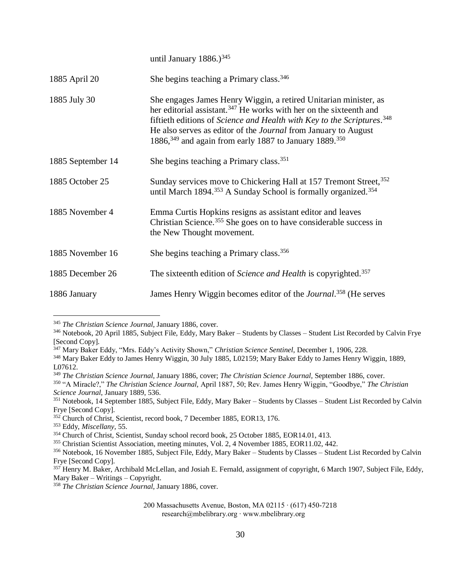|                   | until January 1886.) $345$                                                                                                                                                                                                                                                                                                                                                                          |
|-------------------|-----------------------------------------------------------------------------------------------------------------------------------------------------------------------------------------------------------------------------------------------------------------------------------------------------------------------------------------------------------------------------------------------------|
| 1885 April 20     | She begins teaching a Primary class. <sup>346</sup>                                                                                                                                                                                                                                                                                                                                                 |
| 1885 July 30      | She engages James Henry Wiggin, a retired Unitarian minister, as<br>her editorial assistant. <sup>347</sup> He works with her on the sixteenth and<br>fiftieth editions of Science and Health with Key to the Scriptures. <sup>348</sup><br>He also serves as editor of the <i>Journal</i> from January to August<br>1886, <sup>349</sup> and again from early 1887 to January 1889. <sup>350</sup> |
| 1885 September 14 | She begins teaching a Primary class. <sup>351</sup>                                                                                                                                                                                                                                                                                                                                                 |
| 1885 October 25   | Sunday services move to Chickering Hall at 157 Tremont Street, 352<br>until March 1894. <sup>353</sup> A Sunday School is formally organized. <sup>354</sup>                                                                                                                                                                                                                                        |
| 1885 November 4   | Emma Curtis Hopkins resigns as assistant editor and leaves<br>Christian Science. <sup>355</sup> She goes on to have considerable success in<br>the New Thought movement.                                                                                                                                                                                                                            |
| 1885 November 16  | She begins teaching a Primary class. <sup>356</sup>                                                                                                                                                                                                                                                                                                                                                 |
| 1885 December 26  | The sixteenth edition of Science and Health is copyrighted. <sup>357</sup>                                                                                                                                                                                                                                                                                                                          |
| 1886 January      | James Henry Wiggin becomes editor of the <i>Journal</i> . <sup>358</sup> (He serves                                                                                                                                                                                                                                                                                                                 |

<sup>345</sup> *The Christian Science Journal,* January 1886, cover.

<sup>346</sup> Notebook, 20 April 1885, Subject File, Eddy, Mary Baker – Students by Classes – Student List Recorded by Calvin Frye [Second Copy].

<sup>347</sup> Mary Baker Eddy, "Mrs. Eddy's Activity Shown," *Christian Science Sentinel,* December 1, 1906, 228.

<sup>348</sup> Mary Baker Eddy to James Henry Wiggin, 30 July 1885, L02159; Mary Baker Eddy to James Henry Wiggin, 1889, L07612.

<sup>349</sup> *The Christian Science Journal,* January 1886, cover; *The Christian Science Journal,* September 1886, cover.

<sup>350</sup> "A Miracle?," *The Christian Science Journal,* April 1887, 50; Rev. James Henry Wiggin, "Goodbye," *The Christian Science Journal,* January 1889, 536.

<sup>351</sup> Notebook, 14 September 1885, Subject File, Eddy, Mary Baker – Students by Classes – Student List Recorded by Calvin Frye [Second Copy].

<sup>&</sup>lt;sup>352</sup> Church of Christ, Scientist, record book, 7 December 1885, EOR13, 176.

<sup>353</sup> Eddy, *Miscellany,* 55.

<sup>354</sup> Church of Christ, Scientist, Sunday school record book, 25 October 1885, EOR14.01, 413.

<sup>355</sup> Christian Scientist Association, meeting minutes, Vol. 2, 4 November 1885, EOR11.02, 442.

<sup>356</sup> Notebook, 16 November 1885, Subject File, Eddy, Mary Baker – Students by Classes – Student List Recorded by Calvin Frye [Second Copy].

<sup>&</sup>lt;sup>357</sup> Henry M. Baker, Archibald McLellan, and Josiah E. Fernald, assignment of copyright, 6 March 1907, Subject File, Eddy, Mary Baker – Writings – Copyright.

<sup>358</sup> *The Christian Science Journal,* January 1886, cover.

<sup>200</sup> Massachusetts Avenue, Boston, MA 02115 ∙ (617) 450-7218 research@mbelibrary.org ∙ www.mbelibrary.org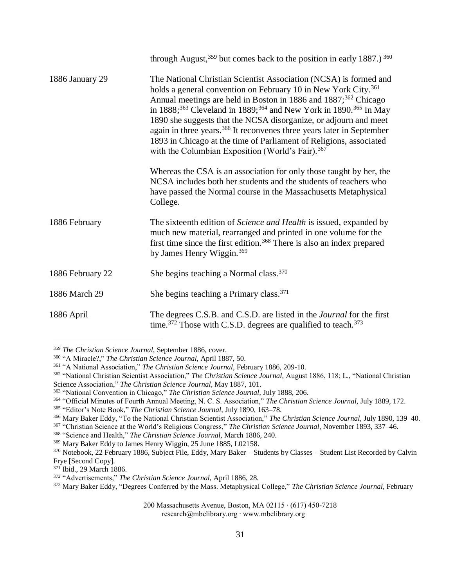|                  | through August, $359$ but comes back to the position in early 1887.) $360$                                                                                                                                                                                                                                                                                                                                                                                                                                                                                                                                                  |
|------------------|-----------------------------------------------------------------------------------------------------------------------------------------------------------------------------------------------------------------------------------------------------------------------------------------------------------------------------------------------------------------------------------------------------------------------------------------------------------------------------------------------------------------------------------------------------------------------------------------------------------------------------|
| 1886 January 29  | The National Christian Scientist Association (NCSA) is formed and<br>holds a general convention on February 10 in New York City. <sup>361</sup><br>Annual meetings are held in Boston in 1886 and 1887; <sup>362</sup> Chicago<br>in 1888; <sup>363</sup> Cleveland in 1889; <sup>364</sup> and New York in 1890. <sup>365</sup> In May<br>1890 she suggests that the NCSA disorganize, or adjourn and meet<br>again in three years. <sup>366</sup> It reconvenes three years later in September<br>1893 in Chicago at the time of Parliament of Religions, associated<br>with the Columbian Exposition (World's Fair). 367 |
|                  | Whereas the CSA is an association for only those taught by her, the<br>NCSA includes both her students and the students of teachers who<br>have passed the Normal course in the Massachusetts Metaphysical<br>College.                                                                                                                                                                                                                                                                                                                                                                                                      |
| 1886 February    | The sixteenth edition of Science and Health is issued, expanded by<br>much new material, rearranged and printed in one volume for the<br>first time since the first edition. <sup>368</sup> There is also an index prepared<br>by James Henry Wiggin. <sup>369</sup>                                                                                                                                                                                                                                                                                                                                                        |
| 1886 February 22 | She begins teaching a Normal class. <sup>370</sup>                                                                                                                                                                                                                                                                                                                                                                                                                                                                                                                                                                          |
| 1886 March 29    | She begins teaching a Primary class. <sup>371</sup>                                                                                                                                                                                                                                                                                                                                                                                                                                                                                                                                                                         |
| 1886 April       | The degrees C.S.B. and C.S.D. are listed in the <i>Journal</i> for the first<br>time. <sup>372</sup> Those with C.S.D. degrees are qualified to teach. <sup>373</sup>                                                                                                                                                                                                                                                                                                                                                                                                                                                       |

<sup>359</sup> *The Christian Science Journal,* September 1886, cover.

200 Massachusetts Avenue, Boston, MA 02115 ∙ (617) 450-7218

research@mbelibrary.org ∙ www.mbelibrary.org

<sup>360</sup> "A Miracle?," *The Christian Science Journal,* April 1887, 50.

<sup>&</sup>lt;sup>361</sup> "A National Association," *The Christian Science Journal*, February 1886, 209-10.

<sup>362</sup> "National Christian Scientist Association," *The Christian Science Journal,* August 1886, 118; L., "National Christian Science Association," *The Christian Science Journal,* May 1887, 101.

<sup>363</sup> "National Convention in Chicago," *The Christian Science Journal,* July 1888, 206.

<sup>364</sup> "Official Minutes of Fourth Annual Meeting, N. C. S. Association," *The Christian Science Journal,* July 1889, 172.

<sup>365</sup> "Editor's Note Book," *The Christian Science Journal,* July 1890, 163–78.

<sup>366</sup> Mary Baker Eddy, "To the National Christian Scientist Association," *The Christian Science Journal,* July 1890, 139–40.

<sup>367</sup> "Christian Science at the World's Religious Congress," *The Christian Science Journal,* November 1893, 337–46.

<sup>368</sup> "Science and Health," *The Christian Science Journal,* March 1886, 240.

<sup>369</sup> Mary Baker Eddy to James Henry Wiggin, 25 June 1885, L02158.

<sup>370</sup> Notebook, 22 February 1886, Subject File, Eddy, Mary Baker – Students by Classes – Student List Recorded by Calvin Frye [Second Copy].

<sup>371</sup> Ibid., 29 March 1886.

<sup>372</sup> "Advertisements," *The Christian Science Journal,* April 1886, 28.

<sup>373</sup> Mary Baker Eddy, "Degrees Conferred by the Mass. Metaphysical College," *The Christian Science Journal,* February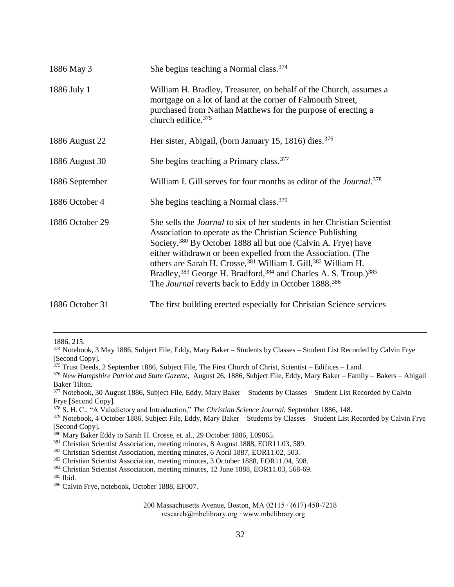| 1886 May 3      | She begins teaching a Normal class. <sup>374</sup>                                                                                                                                                                                                                                                                                                                                                                                                                                                                                             |
|-----------------|------------------------------------------------------------------------------------------------------------------------------------------------------------------------------------------------------------------------------------------------------------------------------------------------------------------------------------------------------------------------------------------------------------------------------------------------------------------------------------------------------------------------------------------------|
| 1886 July 1     | William H. Bradley, Treasurer, on behalf of the Church, assumes a<br>mortgage on a lot of land at the corner of Falmouth Street,<br>purchased from Nathan Matthews for the purpose of erecting a<br>church edifice. <sup>375</sup>                                                                                                                                                                                                                                                                                                             |
| 1886 August 22  | Her sister, Abigail, (born January 15, 1816) dies. <sup>376</sup>                                                                                                                                                                                                                                                                                                                                                                                                                                                                              |
| 1886 August 30  | She begins teaching a Primary class. <sup>377</sup>                                                                                                                                                                                                                                                                                                                                                                                                                                                                                            |
| 1886 September  | William I. Gill serves for four months as editor of the <i>Journal</i> . <sup>378</sup>                                                                                                                                                                                                                                                                                                                                                                                                                                                        |
| 1886 October 4  | She begins teaching a Normal class. <sup>379</sup>                                                                                                                                                                                                                                                                                                                                                                                                                                                                                             |
| 1886 October 29 | She sells the <i>Journal</i> to six of her students in her Christian Scientist<br>Association to operate as the Christian Science Publishing<br>Society. <sup>380</sup> By October 1888 all but one (Calvin A. Frye) have<br>either withdrawn or been expelled from the Association. (The<br>others are Sarah H. Crosse, 381 William I. Gill, 382 William H.<br>Bradley, <sup>383</sup> George H. Bradford, <sup>384</sup> and Charles A. S. Troup.) <sup>385</sup><br>The <i>Journal</i> reverts back to Eddy in October 1888. <sup>386</sup> |
| 1886 October 31 | The first building erected especially for Christian Science services                                                                                                                                                                                                                                                                                                                                                                                                                                                                           |

1886, 215.

<sup>374</sup> Notebook, 3 May 1886, Subject File, Eddy, Mary Baker – Students by Classes – Student List Recorded by Calvin Frye [Second Copy].

 $375$  Trust Deeds, 2 September 1886, Subject File, The First Church of Christ, Scientist – Edifices – Land.

<sup>376</sup> *New Hampshire Patriot and State Gazette,* August 26, 1886, Subject File, Eddy, Mary Baker – Family – Bakers – Abigail Baker Tilton.

<sup>&</sup>lt;sup>377</sup> Notebook, 30 August 1886, Subject File, Eddy, Mary Baker – Students by Classes – Student List Recorded by Calvin Frye [Second Copy].

<sup>378</sup> S. H. C., "A Valedictory and Introduction," *The Christian Science Journal,* September 1886, 148.

<sup>379</sup> Notebook, 4 October 1886, Subject File, Eddy, Mary Baker – Students by Classes – Student List Recorded by Calvin Frye [Second Copy].

<sup>380</sup> Mary Baker Eddy to Sarah H. Crosse, et. al., 29 October 1886, L09065.

<sup>381</sup> Christian Scientist Association, meeting minutes, 8 August 1888, EOR11.03, 589.

<sup>382</sup> Christian Scientist Association, meeting minutes, 6 April 1887, EOR11.02, 503.

<sup>383</sup> Christian Scientist Association, meeting minutes, 3 October 1888, EOR11.04, 598.

<sup>384</sup> Christian Scientist Association, meeting minutes, 12 June 1888, EOR11.03, 568-69.

<sup>385</sup> Ibid.

<sup>386</sup> Calvin Frye, notebook, October 1888, EF007.

<sup>200</sup> Massachusetts Avenue, Boston, MA 02115 ∙ (617) 450-7218 research@mbelibrary.org ∙ www.mbelibrary.org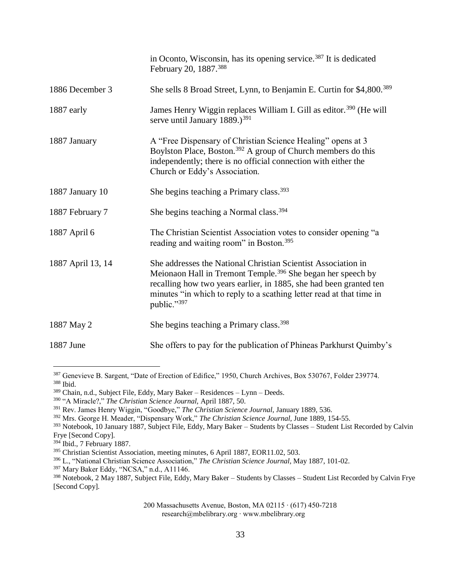|                   | in Oconto, Wisconsin, has its opening service. <sup>387</sup> It is dedicated<br>February 20, 1887. <sup>388</sup>                                                                                                                                                                                    |
|-------------------|-------------------------------------------------------------------------------------------------------------------------------------------------------------------------------------------------------------------------------------------------------------------------------------------------------|
| 1886 December 3   | She sells 8 Broad Street, Lynn, to Benjamin E. Curtin for \$4,800. <sup>389</sup>                                                                                                                                                                                                                     |
| 1887 early        | James Henry Wiggin replaces William I. Gill as editor. <sup>390</sup> (He will<br>serve until January 1889.) <sup>391</sup>                                                                                                                                                                           |
| 1887 January      | A "Free Dispensary of Christian Science Healing" opens at 3<br>Boylston Place, Boston. <sup>392</sup> A group of Church members do this<br>independently; there is no official connection with either the<br>Church or Eddy's Association.                                                            |
| 1887 January 10   | She begins teaching a Primary class. <sup>393</sup>                                                                                                                                                                                                                                                   |
| 1887 February 7   | She begins teaching a Normal class. <sup>394</sup>                                                                                                                                                                                                                                                    |
| 1887 April 6      | The Christian Scientist Association votes to consider opening "a<br>reading and waiting room" in Boston. <sup>395</sup>                                                                                                                                                                               |
| 1887 April 13, 14 | She addresses the National Christian Scientist Association in<br>Meionaon Hall in Tremont Temple. <sup>396</sup> She began her speech by<br>recalling how two years earlier, in 1885, she had been granted ten<br>minutes "in which to reply to a scathing letter read at that time in<br>public."397 |
| 1887 May 2        | She begins teaching a Primary class. <sup>398</sup>                                                                                                                                                                                                                                                   |
| 1887 June         | She offers to pay for the publication of Phineas Parkhurst Quimby's                                                                                                                                                                                                                                   |

<sup>387</sup> Genevieve B. Sargent, "Date of Erection of Edifice," 1950, Church Archives, Box 530767, Folder 239774. <sup>388</sup> Ibid.

<sup>389</sup> Chain, n.d., Subject File, Eddy, Mary Baker – Residences – Lynn – Deeds.

<sup>390</sup> "A Miracle?," *The Christian Science Journal,* April 1887, 50.

<sup>391</sup> Rev. James Henry Wiggin, "Goodbye," *The Christian Science Journal,* January 1889, 536.

<sup>392</sup> Mrs. George H. Meader, "Dispensary Work," *The Christian Science Journal,* June 1889, 154-55.

<sup>&</sup>lt;sup>393</sup> Notebook, 10 January 1887, Subject File, Eddy, Mary Baker – Students by Classes – Student List Recorded by Calvin Frye [Second Copy].

<sup>394</sup> Ibid., 7 February 1887.

<sup>395</sup> Christian Scientist Association, meeting minutes, 6 April 1887, EOR11.02, 503.

<sup>396</sup> L., "National Christian Science Association," *The Christian Science Journal,* May 1887, 101-02.

<sup>397</sup> Mary Baker Eddy, "NCSA," n.d., A11146.

<sup>&</sup>lt;sup>398</sup> Notebook, 2 May 1887, Subject File, Eddy, Mary Baker – Students by Classes – Student List Recorded by Calvin Frye [Second Copy].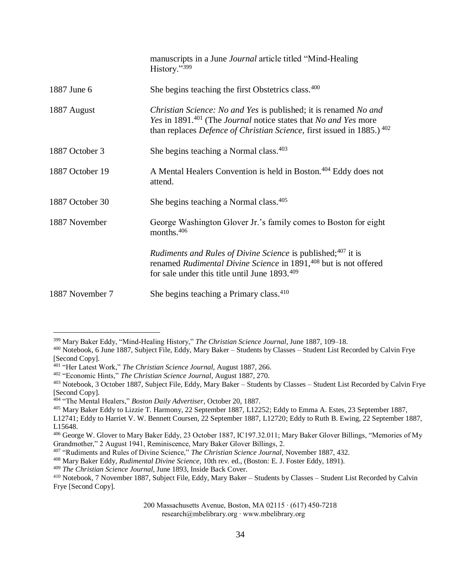|                 | manuscripts in a June <i>Journal</i> article titled "Mind-Healing"<br>History."399                                                                                                                                                  |
|-----------------|-------------------------------------------------------------------------------------------------------------------------------------------------------------------------------------------------------------------------------------|
| 1887 June 6     | She begins teaching the first Obstetrics class. <sup>400</sup>                                                                                                                                                                      |
| 1887 August     | Christian Science: No and Yes is published; it is renamed No and<br>Yes in 1891. <sup>401</sup> (The Journal notice states that No and Yes more<br>than replaces <i>Defence of Christian Science</i> , first issued in 1885.) $402$ |
| 1887 October 3  | She begins teaching a Normal class. <sup>403</sup>                                                                                                                                                                                  |
| 1887 October 19 | A Mental Healers Convention is held in Boston. <sup>404</sup> Eddy does not<br>attend.                                                                                                                                              |
| 1887 October 30 | She begins teaching a Normal class. <sup>405</sup>                                                                                                                                                                                  |
| 1887 November   | George Washington Glover Jr.'s family comes to Boston for eight<br>months. <sup>406</sup>                                                                                                                                           |
|                 | Rudiments and Rules of Divine Science is published; <sup>407</sup> it is<br>renamed Rudimental Divine Science in 1891, <sup>408</sup> but is not offered<br>for sale under this title until June 1893. <sup>409</sup>               |
| 1887 November 7 | She begins teaching a Primary class. <sup>410</sup>                                                                                                                                                                                 |

<sup>399</sup> Mary Baker Eddy, "Mind-Healing History," *The Christian Science Journal,* June 1887, 109–18.

<sup>400</sup> Notebook, 6 June 1887, Subject File, Eddy, Mary Baker – Students by Classes – Student List Recorded by Calvin Frye [Second Copy].

<sup>401</sup> "Her Latest Work," *The Christian Science Journal,* August 1887, 266.

<sup>402</sup> "Economic Hints," *The Christian Science Journal,* August 1887, 270.

<sup>403</sup> Notebook, 3 October 1887, Subject File, Eddy, Mary Baker – Students by Classes – Student List Recorded by Calvin Frye [Second Copy].

<sup>404</sup> "The Mental Healers," *Boston Daily Advertiser,* October 20, 1887.

<sup>405</sup> Mary Baker Eddy to Lizzie T. Harmony, 22 September 1887, L12252; Eddy to Emma A. Estes, 23 September 1887,

L12741; Eddy to Harriet V. W. Bennett Coursen, 22 September 1887, L12720; Eddy to Ruth B. Ewing, 22 September 1887, L15648.

<sup>406</sup> George W. Glover to Mary Baker Eddy, 23 October 1887, IC197.32.011; Mary Baker Glover Billings, "Memories of My Grandmother," 2 August 1941, Reminiscence, Mary Baker Glover Billings, 2.

<sup>407</sup> "Rudiments and Rules of Divine Science," *The Christian Science Journal,* November 1887, 432.

<sup>408</sup> Mary Baker Eddy, *Rudimental Divine Science,* 10th rev. ed., (Boston: E. J. Foster Eddy, 1891).

<sup>409</sup> *The Christian Science Journal,* June 1893, Inside Back Cover.

<sup>410</sup> Notebook, 7 November 1887, Subject File, Eddy, Mary Baker – Students by Classes – Student List Recorded by Calvin Frye [Second Copy].

<sup>200</sup> Massachusetts Avenue, Boston, MA 02115 ∙ (617) 450-7218 research@mbelibrary.org ∙ www.mbelibrary.org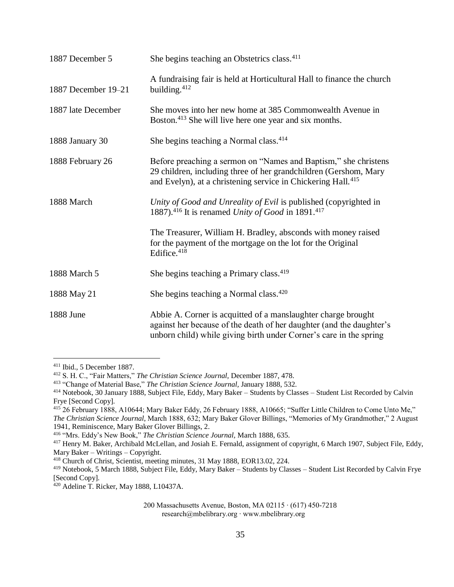| 1887 December 5     | She begins teaching an Obstetrics class. <sup>411</sup>                                                                                                                                                         |
|---------------------|-----------------------------------------------------------------------------------------------------------------------------------------------------------------------------------------------------------------|
| 1887 December 19-21 | A fundraising fair is held at Horticultural Hall to finance the church<br>building. <sup>412</sup>                                                                                                              |
| 1887 late December  | She moves into her new home at 385 Commonwealth Avenue in<br>Boston. <sup>413</sup> She will live here one year and six months.                                                                                 |
| 1888 January 30     | She begins teaching a Normal class. <sup>414</sup>                                                                                                                                                              |
| 1888 February 26    | Before preaching a sermon on "Names and Baptism," she christens<br>29 children, including three of her grandchildren (Gershom, Mary<br>and Evelyn), at a christening service in Chickering Hall. <sup>415</sup> |
| 1888 March          | Unity of Good and Unreality of Evil is published (copyrighted in<br>1887). <sup>416</sup> It is renamed Unity of Good in 1891. <sup>417</sup>                                                                   |
|                     | The Treasurer, William H. Bradley, absconds with money raised<br>for the payment of the mortgage on the lot for the Original<br>Edifice. <sup>418</sup>                                                         |
| 1888 March 5        | She begins teaching a Primary class. <sup>419</sup>                                                                                                                                                             |
| 1888 May 21         | She begins teaching a Normal class. <sup>420</sup>                                                                                                                                                              |
| 1888 June           | Abbie A. Corner is acquitted of a manslaughter charge brought<br>against her because of the death of her daughter (and the daughter's<br>unborn child) while giving birth under Corner's care in the spring     |

<sup>411</sup> Ibid., 5 December 1887.

<sup>412</sup> S. H. C., "Fair Matters," *The Christian Science Journal,* December 1887, 478.

<sup>413</sup> "Change of Material Base," *The Christian Science Journal,* January 1888, 532.

<sup>414</sup> Notebook, 30 January 1888, Subject File, Eddy, Mary Baker – Students by Classes – Student List Recorded by Calvin Frye [Second Copy].

<sup>415</sup> 26 February 1888, A10644; Mary Baker Eddy, 26 February 1888, A10665; "Suffer Little Children to Come Unto Me," *The Christian Science Journal,* March 1888, 632; Mary Baker Glover Billings, "Memories of My Grandmother," 2 August 1941, Reminiscence, Mary Baker Glover Billings, 2.

<sup>416</sup> "Mrs. Eddy's New Book," *The Christian Science Journal,* March 1888, 635.

<sup>&</sup>lt;sup>417</sup> Henry M. Baker, Archibald McLellan, and Josiah E. Fernald, assignment of copyright, 6 March 1907, Subject File, Eddy, Mary Baker – Writings – Copyright.

<sup>418</sup> Church of Christ, Scientist, meeting minutes, 31 May 1888, EOR13.02, 224.

<sup>419</sup> Notebook, 5 March 1888, Subject File, Eddy, Mary Baker – Students by Classes – Student List Recorded by Calvin Frye [Second Copy].

<sup>420</sup> Adeline T. Ricker, May 1888, L10437A.

<sup>200</sup> Massachusetts Avenue, Boston, MA 02115 ∙ (617) 450-7218 research@mbelibrary.org ∙ www.mbelibrary.org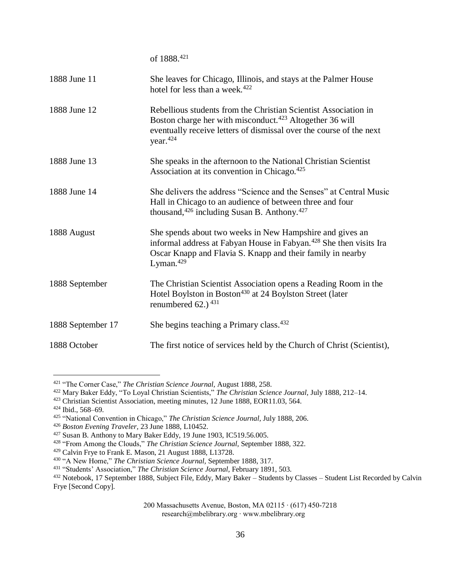of 1888.<sup>421</sup> 1888 June 11 She leaves for Chicago, Illinois, and stays at the Palmer House hotel for less than a week. $422$ 1888 June 12 Rebellious students from the Christian Scientist Association in Boston charge her with misconduct.<sup>423</sup> Altogether 36 will eventually receive letters of dismissal over the course of the next year.<sup>424</sup> 1888 June 13 She speaks in the afternoon to the National Christian Scientist Association at its convention in Chicago.<sup>425</sup> 1888 June 14 She delivers the address "Science and the Senses" at Central Music Hall in Chicago to an audience of between three and four thousand,  $426$  including Susan B. Anthony.  $427$ 1888 August She spends about two weeks in New Hampshire and gives an informal address at Fabyan House in Fabyan.<sup>428</sup> She then visits Ira Oscar Knapp and Flavia S. Knapp and their family in nearby Lyman. $429$ 1888 September The Christian Scientist Association opens a Reading Room in the Hotel Boylston in Boston<sup>430</sup> at 24 Boylston Street (later renumbered  $62.$ )  $431$ 1888 September 17 She begins teaching a Primary class.<sup>432</sup> 1888 October The first notice of services held by the Church of Christ (Scientist),

<sup>421</sup> "The Corner Case," *The Christian Science Journal,* August 1888, 258.

<sup>422</sup> Mary Baker Eddy, "To Loyal Christian Scientists," *The Christian Science Journal,* July 1888, 212–14.

<sup>423</sup> Christian Scientist Association, meeting minutes, 12 June 1888, EOR11.03, 564.

<sup>424</sup> Ibid., 568–69.

<sup>425</sup> "National Convention in Chicago," *The Christian Science Journal,* July 1888, 206.

<sup>426</sup> *Boston Evening Traveler,* 23 June 1888, L10452.

<sup>427</sup> Susan B. Anthony to Mary Baker Eddy, 19 June 1903, IC519.56.005.

<sup>428</sup> "From Among the Clouds," *The Christian Science Journal,* September 1888, 322.

<sup>429</sup> Calvin Frye to Frank E. Mason, 21 August 1888, L13728.

<sup>430</sup> "A New Home," *The Christian Science Journal,* September 1888, 317.

<sup>431</sup> "Students' Association," *The Christian Science Journal,* February 1891, 503.

<sup>432</sup> Notebook, 17 September 1888, Subject File, Eddy, Mary Baker – Students by Classes – Student List Recorded by Calvin Frye [Second Copy].

<sup>200</sup> Massachusetts Avenue, Boston, MA 02115 ∙ (617) 450-7218

research@mbelibrary.org ∙ www.mbelibrary.org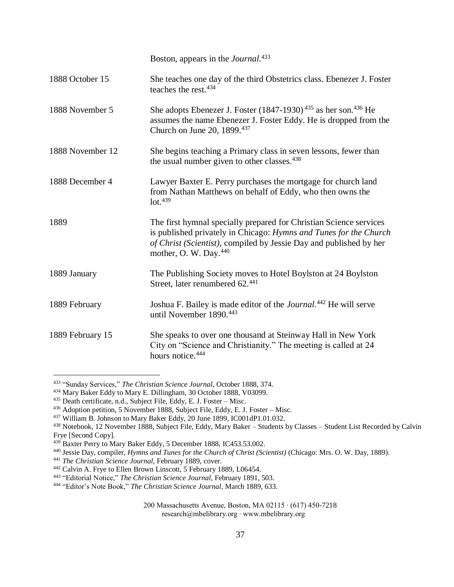|                  | Boston, appears in the <i>Journal</i> . <sup>433</sup>                                                                                                                                                                                             |
|------------------|----------------------------------------------------------------------------------------------------------------------------------------------------------------------------------------------------------------------------------------------------|
| 1888 October 15  | She teaches one day of the third Obstetrics class. Ebenezer J. Foster<br>teaches the rest. <sup>434</sup>                                                                                                                                          |
| 1888 November 5  | She adopts Ebenezer J. Foster (1847-1930) <sup>435</sup> as her son. <sup>436</sup> He<br>assumes the name Ebenezer J. Foster Eddy. He is dropped from the<br>Church on June 20, 1899.437                                                          |
| 1888 November 12 | She begins teaching a Primary class in seven lessons, fewer than<br>the usual number given to other classes. <sup>438</sup>                                                                                                                        |
| 1888 December 4  | Lawyer Baxter E. Perry purchases the mortgage for church land<br>from Nathan Matthews on behalf of Eddy, who then owns the<br>$1$ ot. $439$                                                                                                        |
| 1889             | The first hymnal specially prepared for Christian Science services<br>is published privately in Chicago: Hymns and Tunes for the Church<br>of Christ (Scientist), compiled by Jessie Day and published by her<br>mother, O. W. Day. <sup>440</sup> |
| 1889 January     | The Publishing Society moves to Hotel Boylston at 24 Boylston<br>Street, later renumbered 62.441                                                                                                                                                   |
| 1889 February    | Joshua F. Bailey is made editor of the Journal. <sup>442</sup> He will serve<br>until November 1890. <sup>443</sup>                                                                                                                                |
| 1889 February 15 | She speaks to over one thousand at Steinway Hall in New York<br>City on "Science and Christianity." The meeting is called at 24<br>hours notice. <sup>444</sup>                                                                                    |

<sup>433</sup> "Sunday Services," *The Christian Science Journal*, October 1888, 374.

<sup>434</sup> Mary Baker Eddy to Mary E. Dillingham, 30 October 1888, V03099.

<sup>&</sup>lt;sup>435</sup> Death certificate, n.d., Subject File, Eddy, E. J. Foster – Misc.

<sup>436</sup> Adoption petition, 5 November 1888, Subject File, Eddy, E. J. Foster – Misc.

<sup>437</sup> William B. Johnson to Mary Baker Eddy, 20 June 1899, IC001dP1.01.032.

<sup>438</sup> Notebook, 12 November 1888, Subject File, Eddy, Mary Baker – Students by Classes – Student List Recorded by Calvin Frye [Second Copy].

<sup>439</sup> Baxter Perry to Mary Baker Eddy, 5 December 1888, IC453.53.002.

<sup>440</sup> Jessie Day, compiler, *Hymns and Tunes for the Church of Christ (Scientist)* (Chicago: Mrs. O. W. Day, 1889).

<sup>441</sup> *The Christian Science Journal,* February 1889, cover.

<sup>&</sup>lt;sup>442</sup> Calvin A. Frye to Ellen Brown Linscott, 5 February 1889, L06454.

<sup>443</sup> "Editorial Notice," *The Christian Science Journal,* February 1891, 503.

<sup>444</sup> "Editor's Note Book," *The Christian Science Journal,* March 1889, 633.

<sup>200</sup> Massachusetts Avenue, Boston, MA 02115 ∙ (617) 450-7218 research@mbelibrary.org ∙ www.mbelibrary.org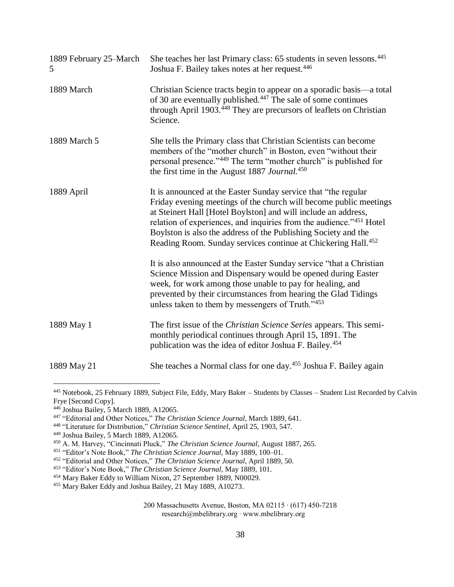| 1889 February 25–March<br>5 | She teaches her last Primary class: 65 students in seven lessons. <sup>445</sup><br>Joshua F. Bailey takes notes at her request. <sup>446</sup>                                                                                                                                                                                                                                                                             |
|-----------------------------|-----------------------------------------------------------------------------------------------------------------------------------------------------------------------------------------------------------------------------------------------------------------------------------------------------------------------------------------------------------------------------------------------------------------------------|
| 1889 March                  | Christian Science tracts begin to appear on a sporadic basis—a total<br>of 30 are eventually published. <sup>447</sup> The sale of some continues<br>through April 1903. <sup>448</sup> They are precursors of leaflets on Christian<br>Science.                                                                                                                                                                            |
| 1889 March 5                | She tells the Primary class that Christian Scientists can become<br>members of the "mother church" in Boston, even "without their<br>personal presence."449 The term "mother church" is published for<br>the first time in the August 1887 Journal. <sup>450</sup>                                                                                                                                                          |
| 1889 April                  | It is announced at the Easter Sunday service that "the regular<br>Friday evening meetings of the church will become public meetings<br>at Steinert Hall [Hotel Boylston] and will include an address,<br>relation of experiences, and inquiries from the audience."451 Hotel<br>Boylston is also the address of the Publishing Society and the<br>Reading Room. Sunday services continue at Chickering Hall. <sup>452</sup> |
|                             | It is also announced at the Easter Sunday service "that a Christian<br>Science Mission and Dispensary would be opened during Easter<br>week, for work among those unable to pay for healing, and<br>prevented by their circumstances from hearing the Glad Tidings<br>unless taken to them by messengers of Truth."453                                                                                                      |
| 1889 May 1                  | The first issue of the <i>Christian Science Series</i> appears. This semi-<br>monthly periodical continues through April 15, 1891. The<br>publication was the idea of editor Joshua F. Bailey. <sup>454</sup>                                                                                                                                                                                                               |
| 1889 May 21                 | She teaches a Normal class for one day. <sup>455</sup> Joshua F. Bailey again                                                                                                                                                                                                                                                                                                                                               |

<sup>445</sup> Notebook, 25 February 1889, Subject File, Eddy, Mary Baker – Students by Classes – Student List Recorded by Calvin Frye [Second Copy].

<sup>446</sup> Joshua Bailey, 5 March 1889, A12065.

<sup>447</sup> "Editorial and Other Notices," *The Christian Science Journal,* March 1889, 641.

<sup>448</sup> "Literature for Distribution," *Christian Science Sentinel,* April 25, 1903, 547.

<sup>449</sup> Joshua Bailey, 5 March 1889, A12065.

<sup>450</sup> A. M. Harvey, "Cincinnati Pluck," *The Christian Science Journal,* August 1887, 265.

<sup>451</sup> "Editor's Note Book," *The Christian Science Journal,* May 1889, 100–01.

<sup>452</sup> "Editorial and Other Notices," *The Christian Science Journal,* April 1889, 50.

<sup>453</sup> "Editor's Note Book," *The Christian Science Journal,* May 1889, 101.

<sup>&</sup>lt;sup>454</sup> Mary Baker Eddy to William Nixon, 27 September 1889, N00029.

<sup>455</sup> Mary Baker Eddy and Joshua Bailey, 21 May 1889, A10273.

<sup>200</sup> Massachusetts Avenue, Boston, MA 02115 ∙ (617) 450-7218 research@mbelibrary.org ∙ www.mbelibrary.org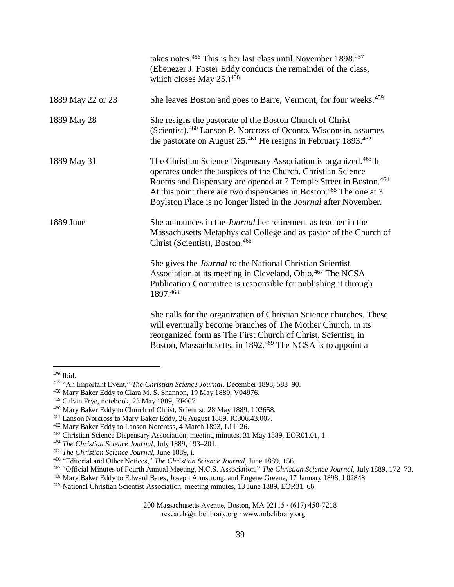|                   | takes notes. <sup>456</sup> This is her last class until November 1898. <sup>457</sup><br>(Ebenezer J. Foster Eddy conducts the remainder of the class,<br>which closes May $25.$ ) <sup>458</sup>                                                                                                                                                                                   |
|-------------------|--------------------------------------------------------------------------------------------------------------------------------------------------------------------------------------------------------------------------------------------------------------------------------------------------------------------------------------------------------------------------------------|
| 1889 May 22 or 23 | She leaves Boston and goes to Barre, Vermont, for four weeks. <sup>459</sup>                                                                                                                                                                                                                                                                                                         |
| 1889 May 28       | She resigns the pastorate of the Boston Church of Christ<br>(Scientist). <sup>460</sup> Lanson P. Norcross of Oconto, Wisconsin, assumes<br>the pastorate on August 25. <sup>461</sup> He resigns in February 1893. <sup>462</sup>                                                                                                                                                   |
| 1889 May 31       | The Christian Science Dispensary Association is organized. <sup>463</sup> It<br>operates under the auspices of the Church. Christian Science<br>Rooms and Dispensary are opened at 7 Temple Street in Boston. <sup>464</sup><br>At this point there are two dispensaries in Boston. <sup>465</sup> The one at 3<br>Boylston Place is no longer listed in the Journal after November. |
| 1889 June         | She announces in the <i>Journal</i> her retirement as teacher in the<br>Massachusetts Metaphysical College and as pastor of the Church of<br>Christ (Scientist), Boston. <sup>466</sup>                                                                                                                                                                                              |
|                   | She gives the <i>Journal</i> to the National Christian Scientist<br>Association at its meeting in Cleveland, Ohio. <sup>467</sup> The NCSA<br>Publication Committee is responsible for publishing it through<br>1897.468                                                                                                                                                             |
|                   | She calls for the organization of Christian Science churches. These<br>will eventually become branches of The Mother Church, in its<br>reorganized form as The First Church of Christ, Scientist, in<br>Boston, Massachusetts, in 1892. <sup>469</sup> The NCSA is to appoint a                                                                                                      |

<sup>456</sup> Ibid.

<sup>457</sup> "An Important Event," *The Christian Science Journal,* December 1898, 588–90.

<sup>458</sup> Mary Baker Eddy to Clara M. S. Shannon, 19 May 1889, V04976.

<sup>459</sup> Calvin Frye, notebook, 23 May 1889, EF007.

<sup>460</sup> Mary Baker Eddy to Church of Christ, Scientist, 28 May 1889, L02658.

<sup>461</sup> Lanson Norcross to Mary Baker Eddy, 26 August 1889, IC306.43.007.

<sup>462</sup> Mary Baker Eddy to Lanson Norcross, 4 March 1893, L11126.

<sup>463</sup> Christian Science Dispensary Association, meeting minutes, 31 May 1889, EOR01.01, 1.

<sup>464</sup> *The Christian Science Journal*, July 1889, 193–201.

<sup>465</sup> *The Christian Science Journal,* June 1889, i.

<sup>466</sup> "Editorial and Other Notices," *The Christian Science Journal,* June 1889, 156.

<sup>467</sup> "Official Minutes of Fourth Annual Meeting, N.C.S. Association," *The Christian Science Journal,* July 1889, 172–73.

<sup>468</sup> Mary Baker Eddy to Edward Bates, Joseph Armstrong, and Eugene Greene, 17 January 1898, L02848.

<sup>469</sup> National Christian Scientist Association, meeting minutes, 13 June 1889, EOR31, 66.

<sup>200</sup> Massachusetts Avenue, Boston, MA 02115 ∙ (617) 450-7218 research@mbelibrary.org ∙ www.mbelibrary.org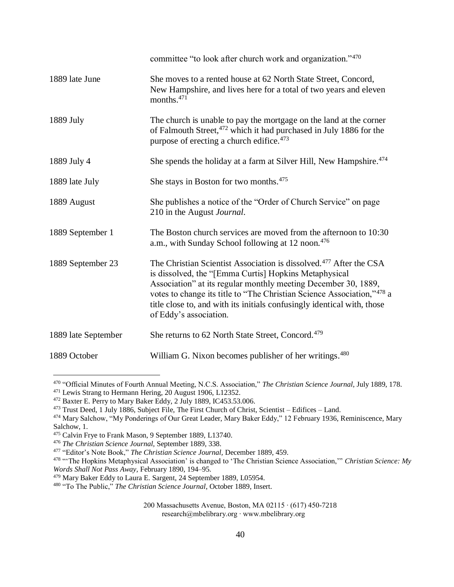|                     | committee "to look after church work and organization."470                                                                                                                                                                                                                                                                                                                               |
|---------------------|------------------------------------------------------------------------------------------------------------------------------------------------------------------------------------------------------------------------------------------------------------------------------------------------------------------------------------------------------------------------------------------|
| 1889 late June      | She moves to a rented house at 62 North State Street, Concord,<br>New Hampshire, and lives here for a total of two years and eleven<br>months. $471$                                                                                                                                                                                                                                     |
| 1889 July           | The church is unable to pay the mortgage on the land at the corner<br>of Falmouth Street, <sup>472</sup> which it had purchased in July 1886 for the<br>purpose of erecting a church edifice. <sup>473</sup>                                                                                                                                                                             |
| 1889 July 4         | She spends the holiday at a farm at Silver Hill, New Hampshire. <sup>474</sup>                                                                                                                                                                                                                                                                                                           |
| 1889 late July      | She stays in Boston for two months. <sup>475</sup>                                                                                                                                                                                                                                                                                                                                       |
| 1889 August         | She publishes a notice of the "Order of Church Service" on page<br>210 in the August Journal.                                                                                                                                                                                                                                                                                            |
| 1889 September 1    | The Boston church services are moved from the afternoon to 10:30<br>a.m., with Sunday School following at 12 noon. <sup>476</sup>                                                                                                                                                                                                                                                        |
| 1889 September 23   | The Christian Scientist Association is dissolved. <sup>477</sup> After the CSA<br>is dissolved, the "[Emma Curtis] Hopkins Metaphysical<br>Association" at its regular monthly meeting December 30, 1889,<br>votes to change its title to "The Christian Science Association,"478 a<br>title close to, and with its initials confusingly identical with, those<br>of Eddy's association. |
| 1889 late September | She returns to 62 North State Street, Concord. <sup>479</sup>                                                                                                                                                                                                                                                                                                                            |
| 1889 October        | William G. Nixon becomes publisher of her writings. <sup>480</sup>                                                                                                                                                                                                                                                                                                                       |

<sup>470</sup> "Official Minutes of Fourth Annual Meeting, N.C.S. Association," *The Christian Science Journal,* July 1889, 178.

<sup>471</sup> Lewis Strang to Hermann Hering, 20 August 1906, L12352.

<sup>472</sup> Baxter E. Perry to Mary Baker Eddy, 2 July 1889, IC453.53.006.

<sup>473</sup> Trust Deed, 1 July 1886, Subject File, The First Church of Christ, Scientist – Edifices – Land.

<sup>&</sup>lt;sup>474</sup> Mary Salchow, "My Ponderings of Our Great Leader, Mary Baker Eddy," 12 February 1936, Reminiscence, Mary Salchow, 1.

<sup>475</sup> Calvin Frye to Frank Mason, 9 September 1889, L13740.

<sup>476</sup> *The Christian Science Journal,* September 1889, 338.

<sup>477</sup> "Editor's Note Book," *The Christian Science Journal,* December 1889, 459.

<sup>478</sup> "'The Hopkins Metaphysical Association' is changed to 'The Christian Science Association,'" *Christian Science: My Words Shall Not Pass Away,* February 1890, 194–95.

<sup>479</sup> Mary Baker Eddy to Laura E. Sargent, 24 September 1889, L05954.

<sup>480</sup> "To The Public," *The Christian Science Journal*, October 1889, Insert.

<sup>200</sup> Massachusetts Avenue, Boston, MA 02115 ∙ (617) 450-7218 research@mbelibrary.org ∙ www.mbelibrary.org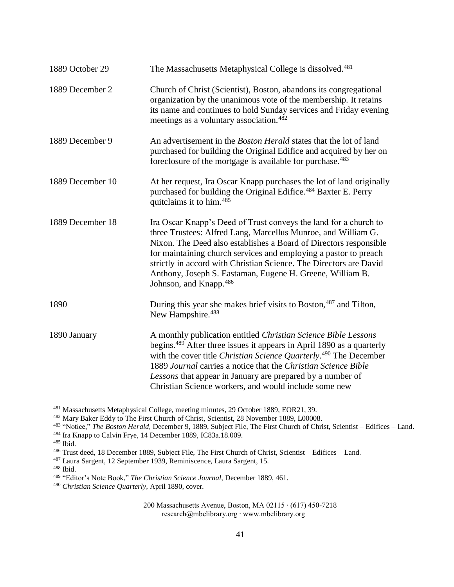| 1889 October 29  | The Massachusetts Metaphysical College is dissolved. <sup>481</sup>                                                                                                                                                                                                                                                                                                                                                                      |
|------------------|------------------------------------------------------------------------------------------------------------------------------------------------------------------------------------------------------------------------------------------------------------------------------------------------------------------------------------------------------------------------------------------------------------------------------------------|
| 1889 December 2  | Church of Christ (Scientist), Boston, abandons its congregational<br>organization by the unanimous vote of the membership. It retains<br>its name and continues to hold Sunday services and Friday evening<br>meetings as a voluntary association. <sup>482</sup>                                                                                                                                                                        |
| 1889 December 9  | An advertisement in the <i>Boston Herald</i> states that the lot of land<br>purchased for building the Original Edifice and acquired by her on<br>foreclosure of the mortgage is available for purchase. <sup>483</sup>                                                                                                                                                                                                                  |
| 1889 December 10 | At her request, Ira Oscar Knapp purchases the lot of land originally<br>purchased for building the Original Edifice. <sup>484</sup> Baxter E. Perry<br>quitclaims it to him. <sup>485</sup>                                                                                                                                                                                                                                              |
| 1889 December 18 | Ira Oscar Knapp's Deed of Trust conveys the land for a church to<br>three Trustees: Alfred Lang, Marcellus Munroe, and William G.<br>Nixon. The Deed also establishes a Board of Directors responsible<br>for maintaining church services and employing a pastor to preach<br>strictly in accord with Christian Science. The Directors are David<br>Anthony, Joseph S. Eastaman, Eugene H. Greene, William B.<br>Johnson, and Knapp. 486 |
| 1890             | During this year she makes brief visits to Boston, <sup>487</sup> and Tilton,<br>New Hampshire. <sup>488</sup>                                                                                                                                                                                                                                                                                                                           |
| 1890 January     | A monthly publication entitled Christian Science Bible Lessons<br>begins. <sup>489</sup> After three issues it appears in April 1890 as a quarterly<br>with the cover title Christian Science Quarterly. <sup>490</sup> The December<br>1889 Journal carries a notice that the Christian Science Bible<br>Lessons that appear in January are prepared by a number of<br>Christian Science workers, and would include some new            |

<sup>481</sup> Massachusetts Metaphysical College, meeting minutes, 29 October 1889, EOR21, 39.

<sup>485</sup> Ibid.

 $\overline{a}$ 

<sup>487</sup> Laura Sargent, 12 September 1939, Reminiscence, Laura Sargent, 15.

<sup>488</sup> Ibid.

<sup>482</sup> Mary Baker Eddy to The First Church of Christ, Scientist, 28 November 1889, L00008.

<sup>483</sup> "Notice," *The Boston Herald,* December 9, 1889, Subject File, The First Church of Christ, Scientist – Edifices – Land.

<sup>484</sup> Ira Knapp to Calvin Frye, 14 December 1889, IC83a.18.009.

<sup>486</sup> Trust deed, 18 December 1889, Subject File, The First Church of Christ, Scientist – Edifices – Land.

<sup>489</sup> "Editor's Note Book," *The Christian Science Journal,* December 1889, 461.

<sup>490</sup> *Christian Science Quarterly,* April 1890, cover.

<sup>200</sup> Massachusetts Avenue, Boston, MA 02115 ∙ (617) 450-7218 research@mbelibrary.org ∙ www.mbelibrary.org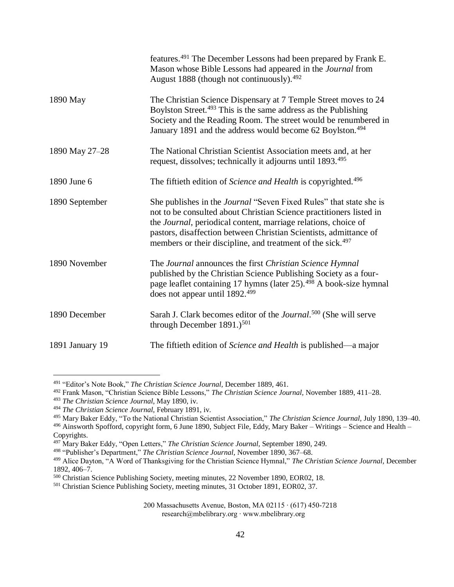|                 | features. <sup>491</sup> The December Lessons had been prepared by Frank E.<br>Mason whose Bible Lessons had appeared in the Journal from<br>August 1888 (though not continuously). <sup>492</sup>                                                                                                                                                                        |
|-----------------|---------------------------------------------------------------------------------------------------------------------------------------------------------------------------------------------------------------------------------------------------------------------------------------------------------------------------------------------------------------------------|
| 1890 May        | The Christian Science Dispensary at 7 Temple Street moves to 24<br>Boylston Street. <sup>493</sup> This is the same address as the Publishing<br>Society and the Reading Room. The street would be renumbered in<br>January 1891 and the address would become 62 Boylston. <sup>494</sup>                                                                                 |
| 1890 May 27-28  | The National Christian Scientist Association meets and, at her<br>request, dissolves; technically it adjourns until 1893. <sup>495</sup>                                                                                                                                                                                                                                  |
| 1890 June 6     | The fiftieth edition of Science and Health is copyrighted. <sup>496</sup>                                                                                                                                                                                                                                                                                                 |
| 1890 September  | She publishes in the <i>Journal</i> "Seven Fixed Rules" that state she is<br>not to be consulted about Christian Science practitioners listed in<br>the <i>Journal</i> , periodical content, marriage relations, choice of<br>pastors, disaffection between Christian Scientists, admittance of<br>members or their discipline, and treatment of the sick. <sup>497</sup> |
| 1890 November   | The Journal announces the first Christian Science Hymnal<br>published by the Christian Science Publishing Society as a four-<br>page leaflet containing 17 hymns (later 25). <sup>498</sup> A book-size hymnal<br>does not appear until 1892. <sup>499</sup>                                                                                                              |
| 1890 December   | Sarah J. Clark becomes editor of the <i>Journal</i> . <sup>500</sup> (She will serve<br>through December $1891.)^{501}$                                                                                                                                                                                                                                                   |
| 1891 January 19 | The fiftieth edition of Science and Health is published—a major                                                                                                                                                                                                                                                                                                           |

<sup>491</sup> "Editor's Note Book," *The Christian Science Journal,* December 1889, 461.

<sup>492</sup> Frank Mason, "Christian Science Bible Lessons," *The Christian Science Journal,* November 1889, 411–28.

<sup>493</sup> *The Christian Science Journal,* May 1890, iv.

<sup>494</sup> *The Christian Science Journal,* February 1891, iv.

<sup>495</sup> Mary Baker Eddy, "To the National Christian Scientist Association," *The Christian Science Journal,* July 1890, 139–40.

<sup>496</sup> Ainsworth Spofford, copyright form, 6 June 1890, Subject File, Eddy, Mary Baker – Writings – Science and Health – Copyrights.

<sup>497</sup> Mary Baker Eddy, "Open Letters," *The Christian Science Journal,* September 1890, 249.

<sup>498</sup> "Publisher's Department," *The Christian Science Journal,* November 1890, 367–68.

<sup>499</sup> Alice Dayton, "A Word of Thanksgiving for the Christian Science Hymnal," *The Christian Science Journal,* December 1892, 406–7.

<sup>500</sup> Christian Science Publishing Society, meeting minutes, 22 November 1890, EOR02, 18.

<sup>501</sup> Christian Science Publishing Society, meeting minutes, 31 October 1891, EOR02, 37.

<sup>200</sup> Massachusetts Avenue, Boston, MA 02115 ∙ (617) 450-7218 research@mbelibrary.org ∙ www.mbelibrary.org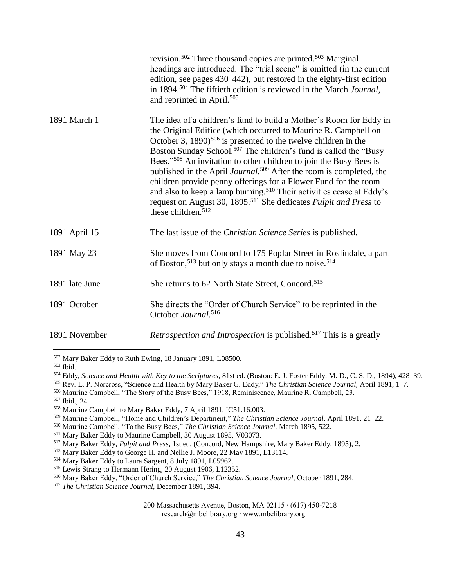|                | revision. <sup>502</sup> Three thousand copies are printed. <sup>503</sup> Marginal<br>headings are introduced. The "trial scene" is omitted (in the current<br>edition, see pages 430–442), but restored in the eighty-first edition<br>in 1894. <sup>504</sup> The fiftieth edition is reviewed in the March Journal,<br>and reprinted in April. <sup>505</sup>                                                                                                                                                                                                                                                                                                                                                                                       |
|----------------|---------------------------------------------------------------------------------------------------------------------------------------------------------------------------------------------------------------------------------------------------------------------------------------------------------------------------------------------------------------------------------------------------------------------------------------------------------------------------------------------------------------------------------------------------------------------------------------------------------------------------------------------------------------------------------------------------------------------------------------------------------|
| 1891 March 1   | The idea of a children's fund to build a Mother's Room for Eddy in<br>the Original Edifice (which occurred to Maurine R. Campbell on<br>October 3, 1890) <sup>506</sup> is presented to the twelve children in the<br>Boston Sunday School. <sup>507</sup> The children's fund is called the "Busy<br>Bees." <sup>508</sup> An invitation to other children to join the Busy Bees is<br>published in the April Journal. <sup>509</sup> After the room is completed, the<br>children provide penny offerings for a Flower Fund for the room<br>and also to keep a lamp burning. <sup>510</sup> Their activities cease at Eddy's<br>request on August 30, 1895. <sup>511</sup> She dedicates <i>Pulpit and Press</i> to<br>these children. <sup>512</sup> |
| 1891 April 15  | The last issue of the <i>Christian Science Series</i> is published.                                                                                                                                                                                                                                                                                                                                                                                                                                                                                                                                                                                                                                                                                     |
| 1891 May 23    | She moves from Concord to 175 Poplar Street in Roslindale, a part<br>of Boston, <sup>513</sup> but only stays a month due to noise. <sup>514</sup>                                                                                                                                                                                                                                                                                                                                                                                                                                                                                                                                                                                                      |
| 1891 late June | She returns to 62 North State Street, Concord. <sup>515</sup>                                                                                                                                                                                                                                                                                                                                                                                                                                                                                                                                                                                                                                                                                           |
| 1891 October   | She directs the "Order of Church Service" to be reprinted in the<br>October Journal. <sup>516</sup>                                                                                                                                                                                                                                                                                                                                                                                                                                                                                                                                                                                                                                                     |
| 1891 November  | Retrospection and Introspection is published. <sup>517</sup> This is a greatly                                                                                                                                                                                                                                                                                                                                                                                                                                                                                                                                                                                                                                                                          |

<sup>502</sup> Mary Baker Eddy to Ruth Ewing, 18 January 1891, L08500.

<sup>505</sup> Rev. L. P. Norcross, "Science and Health by Mary Baker G. Eddy," *The Christian Science Journal,* April 1891, 1–7.

- <sup>506</sup> Maurine Campbell, "The Story of the Busy Bees," 1918, Reminiscence, Maurine R. Campbell, 23.
- <sup>507</sup> Ibid., 24.

- <sup>510</sup> Maurine Campbell, "To the Busy Bees," *The Christian Science Journal,* March 1895, 522.
- <sup>511</sup> Mary Baker Eddy to Maurine Campbell, 30 August 1895, V03073.

<sup>513</sup> Mary Baker Eddy to George H. and Nellie J. Moore, 22 May 1891, L13114.

<sup>503</sup> Ibid.

<sup>504</sup> Eddy, *Science and Health with Key to the Scriptures*, 81st ed. (Boston: E. J. Foster Eddy, M. D., C. S. D., 1894), 428–39.

<sup>508</sup> Maurine Campbell to Mary Baker Eddy, 7 April 1891, IC51.16.003.

<sup>509</sup> Maurine Campbell, "Home and Children's Department," *The Christian Science Journal,* April 1891, 21–22.

<sup>512</sup> Mary Baker Eddy, *Pulpit and Press,* 1st ed. (Concord, New Hampshire, Mary Baker Eddy, 1895), 2.

<sup>514</sup> Mary Baker Eddy to Laura Sargent, 8 July 1891, L05962.

<sup>515</sup> Lewis Strang to Hermann Hering, 20 August 1906, L12352.

<sup>516</sup> Mary Baker Eddy, "Order of Church Service," *The Christian Science Journal,* October 1891, 284.

<sup>517</sup> *The Christian Science Journal,* December 1891, 394.

<sup>200</sup> Massachusetts Avenue, Boston, MA 02115 ∙ (617) 450-7218 research@mbelibrary.org ∙ www.mbelibrary.org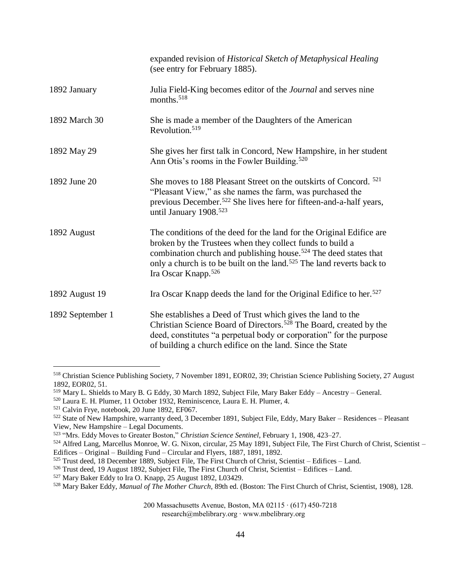|                  | expanded revision of Historical Sketch of Metaphysical Healing<br>(see entry for February 1885).                                                                                                                                                                                                                                          |
|------------------|-------------------------------------------------------------------------------------------------------------------------------------------------------------------------------------------------------------------------------------------------------------------------------------------------------------------------------------------|
| 1892 January     | Julia Field-King becomes editor of the <i>Journal</i> and serves nine<br>months. <sup>518</sup>                                                                                                                                                                                                                                           |
| 1892 March 30    | She is made a member of the Daughters of the American<br>Revolution. <sup>519</sup>                                                                                                                                                                                                                                                       |
| 1892 May 29      | She gives her first talk in Concord, New Hampshire, in her student<br>Ann Otis's rooms in the Fowler Building. <sup>520</sup>                                                                                                                                                                                                             |
| 1892 June 20     | She moves to 188 Pleasant Street on the outskirts of Concord. <sup>521</sup><br>"Pleasant View," as she names the farm, was purchased the<br>previous December. <sup>522</sup> She lives here for fifteen-and-a-half years,<br>until January 1908. <sup>523</sup>                                                                         |
| 1892 August      | The conditions of the deed for the land for the Original Edifice are<br>broken by the Trustees when they collect funds to build a<br>combination church and publishing house. <sup>524</sup> The deed states that<br>only a church is to be built on the land. <sup>525</sup> The land reverts back to<br>Ira Oscar Knapp. <sup>526</sup> |
| 1892 August 19   | Ira Oscar Knapp deeds the land for the Original Edifice to her. <sup>527</sup>                                                                                                                                                                                                                                                            |
| 1892 September 1 | She establishes a Deed of Trust which gives the land to the<br>Christian Science Board of Directors. <sup>528</sup> The Board, created by the<br>deed, constitutes "a perpetual body or corporation" for the purpose<br>of building a church edifice on the land. Since the State                                                         |

<sup>518</sup> Christian Science Publishing Society, 7 November 1891, EOR02, 39; Christian Science Publishing Society, 27 August 1892, EOR02, 51.

200 Massachusetts Avenue, Boston, MA 02115 ∙ (617) 450-7218

research@mbelibrary.org ∙ www.mbelibrary.org

<sup>519</sup> Mary L. Shields to Mary B. G Eddy, 30 March 1892, Subject File, Mary Baker Eddy – Ancestry – General.

<sup>520</sup> Laura E. H. Plumer, 11 October 1932, Reminiscence, Laura E. H. Plumer, 4.

<sup>521</sup> Calvin Frye, notebook, 20 June 1892, EF067.

<sup>522</sup> State of New Hampshire, warranty deed, 3 December 1891, Subject File, Eddy, Mary Baker – Residences – Pleasant View, New Hampshire – Legal Documents.

<sup>523</sup> "Mrs. Eddy Moves to Greater Boston," *Christian Science Sentinel,* February 1, 1908, 423–27.

<sup>524</sup> Alfred Lang, Marcellus Monroe, W. G. Nixon, circular, 25 May 1891, Subject File, The First Church of Christ, Scientist – Edifices – Original – Building Fund – Circular and Flyers, 1887, 1891, 1892.

<sup>525</sup> Trust deed, 18 December 1889, Subject File, The First Church of Christ, Scientist – Edifices – Land.

<sup>526</sup> Trust deed, 19 August 1892, Subject File, The First Church of Christ, Scientist – Edifices – Land.

<sup>527</sup> Mary Baker Eddy to Ira O. Knapp, 25 August 1892, L03429.

<sup>528</sup> Mary Baker Eddy, *Manual of The Mother Church,* 89th ed. (Boston: The First Church of Christ, Scientist, 1908), 128.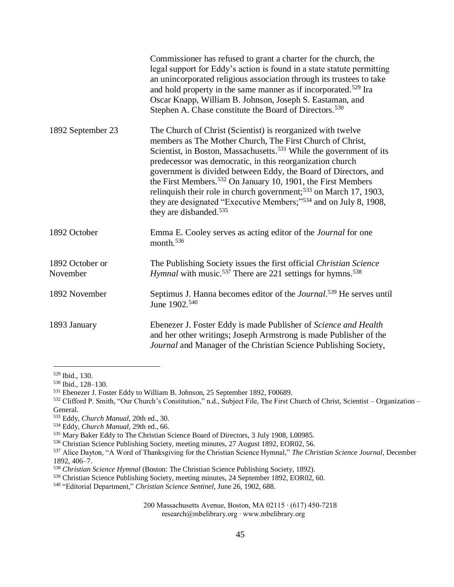|                             | Commissioner has refused to grant a charter for the church, the<br>legal support for Eddy's action is found in a state statute permitting<br>an unincorporated religious association through its trustees to take<br>and hold property in the same manner as if incorporated. <sup>529</sup> Ira<br>Oscar Knapp, William B. Johnson, Joseph S. Eastaman, and<br>Stephen A. Chase constitute the Board of Directors. <sup>530</sup>                                                                                                                                                                                             |
|-----------------------------|--------------------------------------------------------------------------------------------------------------------------------------------------------------------------------------------------------------------------------------------------------------------------------------------------------------------------------------------------------------------------------------------------------------------------------------------------------------------------------------------------------------------------------------------------------------------------------------------------------------------------------|
| 1892 September 23           | The Church of Christ (Scientist) is reorganized with twelve<br>members as The Mother Church, The First Church of Christ,<br>Scientist, in Boston, Massachusetts. <sup>531</sup> While the government of its<br>predecessor was democratic, in this reorganization church<br>government is divided between Eddy, the Board of Directors, and<br>the First Members. <sup>532</sup> On January 10, 1901, the First Members<br>relinquish their role in church government; <sup>533</sup> on March 17, 1903,<br>they are designated "Executive Members;" <sup>534</sup> and on July 8, 1908,<br>they are disbanded. <sup>535</sup> |
| 1892 October                | Emma E. Cooley serves as acting editor of the <i>Journal</i> for one<br>month. <sup>536</sup>                                                                                                                                                                                                                                                                                                                                                                                                                                                                                                                                  |
| 1892 October or<br>November | The Publishing Society issues the first official Christian Science<br><i>Hymnal</i> with music. <sup>537</sup> There are 221 settings for hymns. <sup>538</sup>                                                                                                                                                                                                                                                                                                                                                                                                                                                                |
| 1892 November               | Septimus J. Hanna becomes editor of the <i>Journal</i> . <sup>539</sup> He serves until<br>June 1902. <sup>540</sup>                                                                                                                                                                                                                                                                                                                                                                                                                                                                                                           |
| 1893 January                | Ebenezer J. Foster Eddy is made Publisher of Science and Health<br>and her other writings; Joseph Armstrong is made Publisher of the<br>Journal and Manager of the Christian Science Publishing Society,                                                                                                                                                                                                                                                                                                                                                                                                                       |

<sup>529</sup> Ibid., 130.

<sup>530</sup> Ibid., 128–130.

<sup>531</sup> Ebenezer J. Foster Eddy to William B. Johnson, 25 September 1892, F00689.

<sup>532</sup> Clifford P. Smith, "Our Church's Constitution," n.d., Subject File, The First Church of Christ, Scientist – Organization – General.

<sup>533</sup> Eddy, *Church Manual,* 20th ed., 30.

<sup>534</sup> Eddy, *Church Manual,* 29th ed., 66.

<sup>535</sup> Mary Baker Eddy to The Christian Science Board of Directors, 3 July 1908, L00985.

<sup>536</sup> Christian Science Publishing Society, meeting minutes, 27 August 1892, EOR02, 56.

<sup>537</sup> Alice Dayton, "A Word of Thanksgiving for the Christian Science Hymnal," *The Christian Science Journal,* December 1892, 406–7.

<sup>538</sup> *Christian Science Hymnal* (Boston: The Christian Science Publishing Society, 1892).

<sup>539</sup> Christian Science Publishing Society, meeting minutes, 24 September 1892, EOR02, 60.

<sup>540</sup> "Editorial Department," *Christian Science Sentinel,* June 26, 1902, 688.

<sup>200</sup> Massachusetts Avenue, Boston, MA 02115 ∙ (617) 450-7218 research@mbelibrary.org ∙ www.mbelibrary.org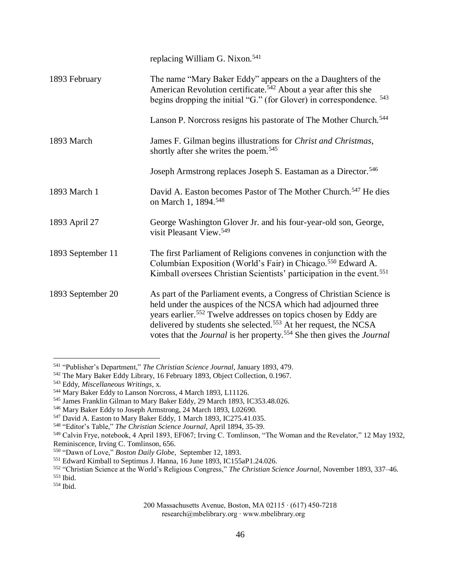|                   | replacing William G. Nixon. <sup>541</sup>                                                                                                                                                                                                                                                                                                                                               |
|-------------------|------------------------------------------------------------------------------------------------------------------------------------------------------------------------------------------------------------------------------------------------------------------------------------------------------------------------------------------------------------------------------------------|
| 1893 February     | The name "Mary Baker Eddy" appears on the a Daughters of the<br>American Revolution certificate. <sup>542</sup> About a year after this she<br>begins dropping the initial "G." (for Glover) in correspondence. <sup>543</sup>                                                                                                                                                           |
|                   | Lanson P. Norcross resigns his pastorate of The Mother Church. <sup>544</sup>                                                                                                                                                                                                                                                                                                            |
| 1893 March        | James F. Gilman begins illustrations for Christ and Christmas,<br>shortly after she writes the poem. <sup>545</sup>                                                                                                                                                                                                                                                                      |
|                   | Joseph Armstrong replaces Joseph S. Eastaman as a Director. <sup>546</sup>                                                                                                                                                                                                                                                                                                               |
| 1893 March 1      | David A. Easton becomes Pastor of The Mother Church. <sup>547</sup> He dies<br>on March 1, 1894. <sup>548</sup>                                                                                                                                                                                                                                                                          |
| 1893 April 27     | George Washington Glover Jr. and his four-year-old son, George,<br>visit Pleasant View. <sup>549</sup>                                                                                                                                                                                                                                                                                   |
| 1893 September 11 | The first Parliament of Religions convenes in conjunction with the<br>Columbian Exposition (World's Fair) in Chicago. <sup>550</sup> Edward A.<br>Kimball oversees Christian Scientists' participation in the event. <sup>551</sup>                                                                                                                                                      |
| 1893 September 20 | As part of the Parliament events, a Congress of Christian Science is<br>held under the auspices of the NCSA which had adjourned three<br>years earlier. <sup>552</sup> Twelve addresses on topics chosen by Eddy are<br>delivered by students she selected. <sup>553</sup> At her request, the NCSA<br>votes that the Journal is her property. <sup>554</sup> She then gives the Journal |

<sup>541</sup> "Publisher's Department," *The Christian Science Journal,* January 1893, 479.

<sup>542</sup> The Mary Baker Eddy Library, 16 February 1893, Object Collection, 0.1967.

<sup>543</sup> Eddy, *Miscellaneous Writings*, x.

<sup>&</sup>lt;sup>544</sup> Mary Baker Eddy to Lanson Norcross, 4 March 1893, L11126.

<sup>545</sup> James Franklin Gilman to Mary Baker Eddy, 29 March 1893, IC353.48.026.

<sup>546</sup> Mary Baker Eddy to Joseph Armstrong, 24 March 1893, L02690.

<sup>547</sup> David A. Easton to Mary Baker Eddy, 1 March 1893, IC275.41.035.

<sup>548</sup> "Editor's Table," *The Christian Science Journal,* April 1894, 35-39.

<sup>549</sup> Calvin Frye, notebook, 4 April 1893, EF067; Irving C. Tomlinson, "The Woman and the Revelator," 12 May 1932, Reminiscence, Irving C. Tomlinson, 656.

<sup>550</sup> "Dawn of Love," *Boston Daily Globe,* September 12, 1893.

<sup>551</sup> Edward Kimball to Septimus J. Hanna, 16 June 1893, IC155aP1.24.026.

<sup>552</sup> "Christian Science at the World's Religious Congress," *The Christian Science Journal,* November 1893, 337–46.

<sup>553</sup> Ibid.

<sup>554</sup> Ibid.

<sup>200</sup> Massachusetts Avenue, Boston, MA 02115 ∙ (617) 450-7218 research@mbelibrary.org ∙ www.mbelibrary.org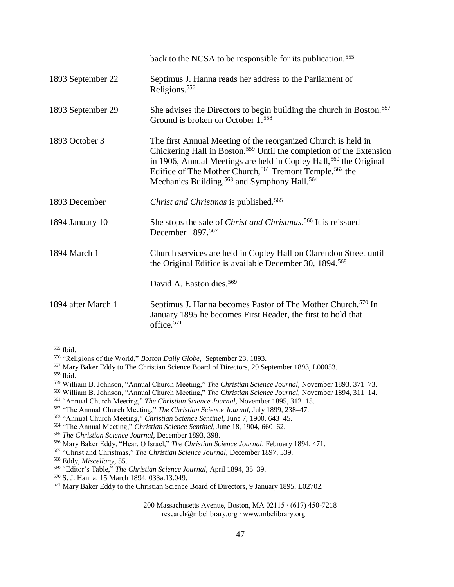|                    | back to the NCSA to be responsible for its publication. <sup>555</sup>                                                                                                                                                                                                                                                                                                 |
|--------------------|------------------------------------------------------------------------------------------------------------------------------------------------------------------------------------------------------------------------------------------------------------------------------------------------------------------------------------------------------------------------|
| 1893 September 22  | Septimus J. Hanna reads her address to the Parliament of<br>Religions. <sup>556</sup>                                                                                                                                                                                                                                                                                  |
| 1893 September 29  | She advises the Directors to begin building the church in Boston. <sup>557</sup><br>Ground is broken on October 1. <sup>558</sup>                                                                                                                                                                                                                                      |
| 1893 October 3     | The first Annual Meeting of the reorganized Church is held in<br>Chickering Hall in Boston. <sup>559</sup> Until the completion of the Extension<br>in 1906, Annual Meetings are held in Copley Hall, <sup>560</sup> the Original<br>Edifice of The Mother Church, <sup>561</sup> Tremont Temple, <sup>562</sup> the<br>Mechanics Building, 563 and Symphony Hall. 564 |
| 1893 December      | <i>Christ and Christmas is published.</i> <sup>565</sup>                                                                                                                                                                                                                                                                                                               |
| 1894 January 10    | She stops the sale of Christ and Christmas. <sup>566</sup> It is reissued<br>December 1897. <sup>567</sup>                                                                                                                                                                                                                                                             |
| 1894 March 1       | Church services are held in Copley Hall on Clarendon Street until<br>the Original Edifice is available December 30, 1894. <sup>568</sup>                                                                                                                                                                                                                               |
|                    | David A. Easton dies. <sup>569</sup>                                                                                                                                                                                                                                                                                                                                   |
| 1894 after March 1 | Septimus J. Hanna becomes Pastor of The Mother Church. <sup>570</sup> In<br>January 1895 he becomes First Reader, the first to hold that<br>office. <sup>571</sup>                                                                                                                                                                                                     |

<sup>555</sup> Ibid.

<sup>558</sup> Ibid.

- <sup>560</sup> William B. Johnson, "Annual Church Meeting," *The Christian Science Journal,* November 1894, 311–14.
- <sup>561</sup> "Annual Church Meeting," *The Christian Science Journal,* November 1895, 312–15.
- <sup>562</sup> "The Annual Church Meeting," *The Christian Science Journal,* July 1899, 238–47.
- <sup>563</sup> "Annual Church Meeting," *Christian Science Sentinel,* June 7, 1900, 643–45.

<sup>568</sup> Eddy, *Miscellany,* 55.

<sup>556</sup> "Religions of the World," *Boston Daily Globe,* September 23, 1893.

<sup>557</sup> Mary Baker Eddy to The Christian Science Board of Directors, 29 September 1893, L00053.

<sup>559</sup> William B. Johnson, "Annual Church Meeting," *The Christian Science Journal,* November 1893, 371–73.

<sup>564</sup> "The Annual Meeting," *Christian Science Sentinel,* June 18, 1904, 660–62.

<sup>565</sup> *The Christian Science Journal*, December 1893, 398.

<sup>566</sup> Mary Baker Eddy, "Hear, O Israel," *The Christian Science Journal*, February 1894, 471.

<sup>567</sup> "Christ and Christmas," *The Christian Science Journal,* December 1897, 539.

<sup>569</sup> "Editor's Table," *The Christian Science Journal,* April 1894, 35–39.

<sup>570</sup> S. J. Hanna, 15 March 1894, 033a.13.049.

<sup>571</sup> Mary Baker Eddy to the Christian Science Board of Directors, 9 January 1895, L02702.

<sup>200</sup> Massachusetts Avenue, Boston, MA 02115 ∙ (617) 450-7218 research@mbelibrary.org ∙ www.mbelibrary.org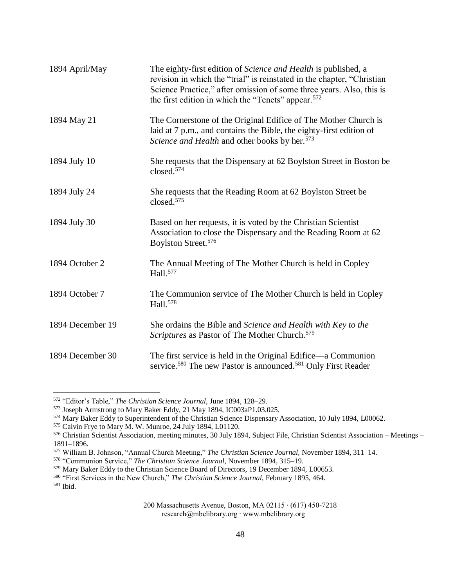| 1894 April/May   | The eighty-first edition of <i>Science and Health</i> is published, a<br>revision in which the "trial" is reinstated in the chapter, "Christian<br>Science Practice," after omission of some three years. Also, this is<br>the first edition in which the "Tenets" appear. <sup>572</sup> |
|------------------|-------------------------------------------------------------------------------------------------------------------------------------------------------------------------------------------------------------------------------------------------------------------------------------------|
| 1894 May 21      | The Cornerstone of the Original Edifice of The Mother Church is<br>laid at 7 p.m., and contains the Bible, the eighty-first edition of<br>Science and Health and other books by her. <sup>573</sup>                                                                                       |
| 1894 July 10     | She requests that the Dispensary at 62 Boylston Street in Boston be<br>closed. $574$                                                                                                                                                                                                      |
| 1894 July 24     | She requests that the Reading Room at 62 Boylston Street be<br>closed. $575$                                                                                                                                                                                                              |
| 1894 July 30     | Based on her requests, it is voted by the Christian Scientist<br>Association to close the Dispensary and the Reading Room at 62<br>Boylston Street. <sup>576</sup>                                                                                                                        |
| 1894 October 2   | The Annual Meeting of The Mother Church is held in Copley<br>Hall. <sup>577</sup>                                                                                                                                                                                                         |
| 1894 October 7   | The Communion service of The Mother Church is held in Copley<br>Hall. <sup>578</sup>                                                                                                                                                                                                      |
| 1894 December 19 | She ordains the Bible and Science and Health with Key to the<br>Scriptures as Pastor of The Mother Church. <sup>579</sup>                                                                                                                                                                 |
| 1894 December 30 | The first service is held in the Original Edifice—a Communion<br>service. <sup>580</sup> The new Pastor is announced. <sup>581</sup> Only First Reader                                                                                                                                    |

<sup>572</sup> "Editor's Table," *The Christian Science Journal,* June 1894, 128–29.

<sup>573</sup> Joseph Armstrong to Mary Baker Eddy, 21 May 1894, IC003aP1.03.025.

<sup>574</sup> Mary Baker Eddy to Superintendent of the Christian Science Dispensary Association, 10 July 1894, L00062.

<sup>575</sup> Calvin Frye to Mary M. W. Munroe, 24 July 1894, L01120.

<sup>576</sup> Christian Scientist Association, meeting minutes, 30 July 1894, Subject File, Christian Scientist Association – Meetings – 1891–1896.

<sup>577</sup> William B. Johnson, "Annual Church Meeting," *The Christian Science Journal,* November 1894, 311–14.

<sup>578</sup> "Communion Service," *The Christian Science Journal,* November 1894, 315–19.

<sup>579</sup> Mary Baker Eddy to the Christian Science Board of Directors, 19 December 1894, L00653.

<sup>580</sup> "First Services in the New Church," *The Christian Science Journal,* February 1895, 464.

<sup>581</sup> Ibid.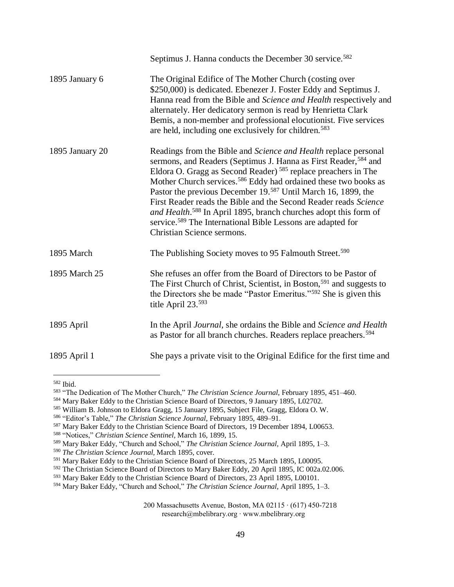|                 | Septimus J. Hanna conducts the December 30 service. <sup>582</sup>                                                                                                                                                                                                                                                                                                                                                                                                                                                                                                                                                                        |
|-----------------|-------------------------------------------------------------------------------------------------------------------------------------------------------------------------------------------------------------------------------------------------------------------------------------------------------------------------------------------------------------------------------------------------------------------------------------------------------------------------------------------------------------------------------------------------------------------------------------------------------------------------------------------|
| 1895 January 6  | The Original Edifice of The Mother Church (costing over<br>\$250,000) is dedicated. Ebenezer J. Foster Eddy and Septimus J.<br>Hanna read from the Bible and Science and Health respectively and<br>alternately. Her dedicatory sermon is read by Henrietta Clark<br>Bemis, a non-member and professional elocutionist. Five services<br>are held, including one exclusively for children. <sup>583</sup>                                                                                                                                                                                                                                 |
| 1895 January 20 | Readings from the Bible and Science and Health replace personal<br>sermons, and Readers (Septimus J. Hanna as First Reader, 584 and<br>Eldora O. Gragg as Second Reader) <sup>585</sup> replace preachers in The<br>Mother Church services. <sup>586</sup> Eddy had ordained these two books as<br>Pastor the previous December 19. <sup>587</sup> Until March 16, 1899, the<br>First Reader reads the Bible and the Second Reader reads Science<br>and Health. <sup>588</sup> In April 1895, branch churches adopt this form of<br>service. <sup>589</sup> The International Bible Lessons are adapted for<br>Christian Science sermons. |
| 1895 March      | The Publishing Society moves to 95 Falmouth Street. <sup>590</sup>                                                                                                                                                                                                                                                                                                                                                                                                                                                                                                                                                                        |
| 1895 March 25   | She refuses an offer from the Board of Directors to be Pastor of<br>The First Church of Christ, Scientist, in Boston, <sup>591</sup> and suggests to<br>the Directors she be made "Pastor Emeritus." <sup>592</sup> She is given this<br>title April 23.593                                                                                                                                                                                                                                                                                                                                                                               |
| 1895 April      | In the April Journal, she ordains the Bible and Science and Health<br>as Pastor for all branch churches. Readers replace preachers. <sup>594</sup>                                                                                                                                                                                                                                                                                                                                                                                                                                                                                        |
| 1895 April 1    | She pays a private visit to the Original Edifice for the first time and                                                                                                                                                                                                                                                                                                                                                                                                                                                                                                                                                                   |

<sup>582</sup> Ibid.

<sup>583</sup> "The Dedication of The Mother Church," *The Christian Science Journal,* February 1895, 451–460.

<sup>584</sup> Mary Baker Eddy to the Christian Science Board of Directors, 9 January 1895, L02702.

<sup>585</sup> William B. Johnson to Eldora Gragg, 15 January 1895, Subject File, Gragg, Eldora O. W.

<sup>586</sup> "Editor's Table," *The Christian Science Journal,* February 1895, 489–91.

<sup>587</sup> Mary Baker Eddy to the Christian Science Board of Directors, 19 December 1894, L00653.

<sup>588</sup> "Notices," *Christian Science Sentinel,* March 16, 1899, 15.

<sup>589</sup> Mary Baker Eddy, "Church and School," *The Christian Science Journal,* April 1895, 1–3.

<sup>590</sup> *The Christian Science Journal,* March 1895, cover.

<sup>591</sup> Mary Baker Eddy to the Christian Science Board of Directors, 25 March 1895, L00095.

<sup>592</sup> The Christian Science Board of Directors to Mary Baker Eddy, 20 April 1895, IC 002a.02.006.

<sup>593</sup> Mary Baker Eddy to the Christian Science Board of Directors, 23 April 1895, L00101.

<sup>594</sup> Mary Baker Eddy, "Church and School," *The Christian Science Journal,* April 1895, 1–3.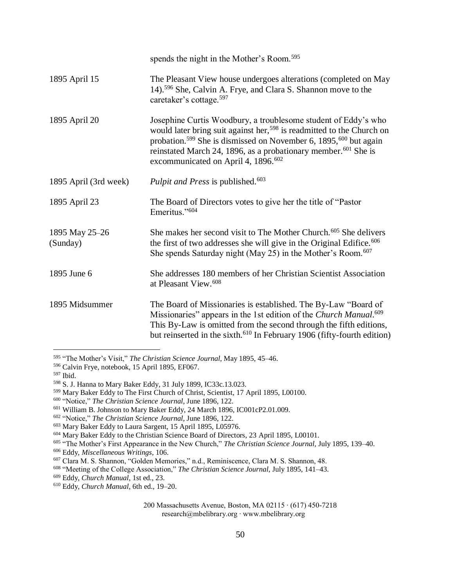|                            | spends the night in the Mother's Room. <sup>595</sup>                                                                                                                                                                                                                                                                                                                            |
|----------------------------|----------------------------------------------------------------------------------------------------------------------------------------------------------------------------------------------------------------------------------------------------------------------------------------------------------------------------------------------------------------------------------|
| 1895 April 15              | The Pleasant View house undergoes alterations (completed on May<br>14). <sup>596</sup> She, Calvin A. Frye, and Clara S. Shannon move to the<br>caretaker's cottage. <sup>597</sup>                                                                                                                                                                                              |
| 1895 April 20              | Josephine Curtis Woodbury, a troublesome student of Eddy's who<br>would later bring suit against her, <sup>598</sup> is readmitted to the Church on<br>probation. <sup>599</sup> She is dismissed on November 6, 1895, <sup>600</sup> but again<br>reinstated March 24, 1896, as a probationary member. <sup>601</sup> She is<br>excommunicated on April 4, 1896. <sup>602</sup> |
| 1895 April (3rd week)      | Pulpit and Press is published. <sup>603</sup>                                                                                                                                                                                                                                                                                                                                    |
| 1895 April 23              | The Board of Directors votes to give her the title of "Pastor"<br>Emeritus." <sup>604</sup>                                                                                                                                                                                                                                                                                      |
| 1895 May 25-26<br>(Sunday) | She makes her second visit to The Mother Church. <sup>605</sup> She delivers<br>the first of two addresses she will give in the Original Edifice. <sup>606</sup><br>She spends Saturday night (May 25) in the Mother's Room. $607$                                                                                                                                               |
| 1895 June 6                | She addresses 180 members of her Christian Scientist Association<br>at Pleasant View. <sup>608</sup>                                                                                                                                                                                                                                                                             |
| 1895 Midsummer             | The Board of Missionaries is established. The By-Law "Board of<br>Missionaries" appears in the 1st edition of the Church Manual. <sup>609</sup><br>This By-Law is omitted from the second through the fifth editions,<br>but reinserted in the sixth. <sup>610</sup> In February 1906 (fifty-fourth edition)                                                                     |

<sup>595</sup> "The Mother's Visit," *The Christian Science Journal,* May 1895, 45–46.

<sup>596</sup> Calvin Frye, notebook, 15 April 1895, EF067.

<sup>597</sup> Ibid.

<sup>598</sup> S. J. Hanna to Mary Baker Eddy, 31 July 1899, IC33c.13.023.

<sup>599</sup> Mary Baker Eddy to The First Church of Christ, Scientist, 17 April 1895, L00100.

<sup>600</sup> "Notice," *The Christian Science Journal,* June 1896, 122.

<sup>601</sup> William B. Johnson to Mary Baker Eddy, 24 March 1896, IC001cP2.01.009.

<sup>602</sup> "Notice," *The Christian Science Journal,* June 1896, 122.

<sup>603</sup> Mary Baker Eddy to Laura Sargent, 15 April 1895, L05976.

<sup>604</sup> Mary Baker Eddy to the Christian Science Board of Directors, 23 April 1895, L00101.

<sup>605</sup> "The Mother's First Appearance in the New Church," *The Christian Science Journal,* July 1895, 139–40.

<sup>606</sup> Eddy, *Miscellaneous Writings*, 106.

<sup>607</sup> Clara M. S. Shannon, "Golden Memories," n.d., Reminiscence, Clara M. S. Shannon, 48.

<sup>608</sup> "Meeting of the College Association," *The Christian Science Journal,* July 1895, 141–43.

<sup>609</sup> Eddy, *Church Manual,* 1st ed., 23.

<sup>610</sup> Eddy, *Church Manual,* 6th ed., 19–20.

<sup>200</sup> Massachusetts Avenue, Boston, MA 02115 ∙ (617) 450-7218 research@mbelibrary.org ∙ www.mbelibrary.org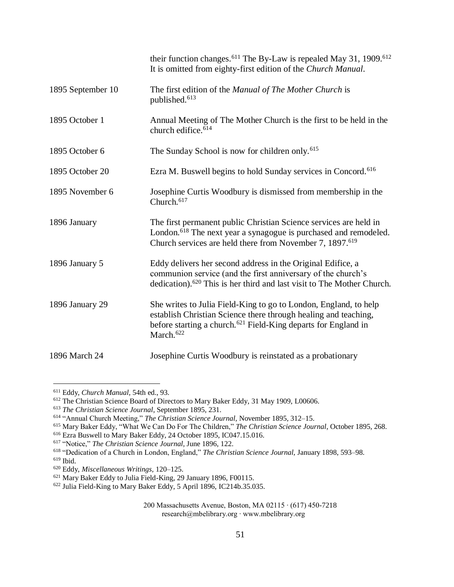|                   | their function changes. <sup>611</sup> The By-Law is repealed May 31, 1909. <sup>612</sup><br>It is omitted from eighty-first edition of the Church Manual.                                                                                |
|-------------------|--------------------------------------------------------------------------------------------------------------------------------------------------------------------------------------------------------------------------------------------|
| 1895 September 10 | The first edition of the Manual of The Mother Church is<br>published. <sup>613</sup>                                                                                                                                                       |
| 1895 October 1    | Annual Meeting of The Mother Church is the first to be held in the<br>church edifice. <sup>614</sup>                                                                                                                                       |
| 1895 October 6    | The Sunday School is now for children only. <sup>615</sup>                                                                                                                                                                                 |
| 1895 October 20   | Ezra M. Buswell begins to hold Sunday services in Concord. <sup>616</sup>                                                                                                                                                                  |
| 1895 November 6   | Josephine Curtis Woodbury is dismissed from membership in the<br>Church. <sup>617</sup>                                                                                                                                                    |
| 1896 January      | The first permanent public Christian Science services are held in<br>London. <sup>618</sup> The next year a synagogue is purchased and remodeled.<br>Church services are held there from November 7, 1897. <sup>619</sup>                  |
| 1896 January 5    | Eddy delivers her second address in the Original Edifice, a<br>communion service (and the first anniversary of the church's<br>dedication). <sup>620</sup> This is her third and last visit to The Mother Church.                          |
| 1896 January 29   | She writes to Julia Field-King to go to London, England, to help<br>establish Christian Science there through healing and teaching,<br>before starting a church. <sup>621</sup> Field-King departs for England in<br>March. <sup>622</sup> |
| 1896 March 24     | Josephine Curtis Woodbury is reinstated as a probationary                                                                                                                                                                                  |

<sup>611</sup> Eddy, *Church Manual,* 54th ed., 93.

<sup>&</sup>lt;sup>612</sup> The Christian Science Board of Directors to Mary Baker Eddy, 31 May 1909, L00606.

<sup>613</sup> *The Christian Science Journal*, September 1895, 231.

<sup>614</sup> "Annual Church Meeting," *The Christian Science Journal,* November 1895, 312–15.

<sup>615</sup> Mary Baker Eddy, "What We Can Do For The Children," *The Christian Science Journal*, October 1895, 268.

<sup>616</sup> Ezra Buswell to Mary Baker Eddy, 24 October 1895, IC047.15.016.

<sup>617</sup> "Notice," *The Christian Science Journal,* June 1896, 122.

<sup>618</sup> "Dedication of a Church in London, England," *The Christian Science Journal,* January 1898, 593–98.

<sup>619</sup> Ibid.

<sup>620</sup> Eddy, *Miscellaneous Writings,* 120–125.

<sup>&</sup>lt;sup>621</sup> Mary Baker Eddy to Julia Field-King, 29 January 1896, F00115.

<sup>&</sup>lt;sup>622</sup> Julia Field-King to Mary Baker Eddy, 5 April 1896, IC214b.35.035.

<sup>200</sup> Massachusetts Avenue, Boston, MA 02115 ∙ (617) 450-7218 research@mbelibrary.org ∙ www.mbelibrary.org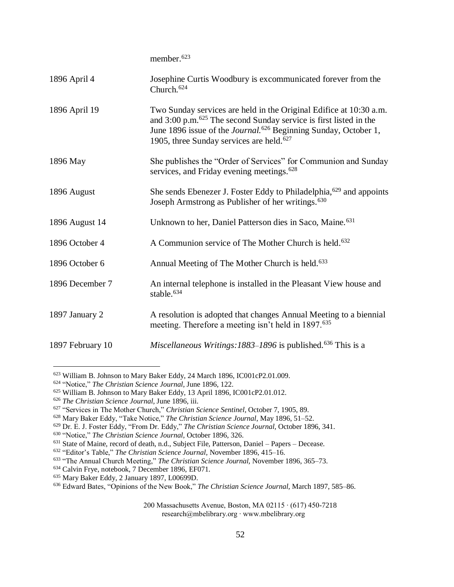|                  | member. <sup>623</sup>                                                                                                                                                                                                                                                                               |
|------------------|------------------------------------------------------------------------------------------------------------------------------------------------------------------------------------------------------------------------------------------------------------------------------------------------------|
| 1896 April 4     | Josephine Curtis Woodbury is excommunicated forever from the<br>Church. <sup>624</sup>                                                                                                                                                                                                               |
| 1896 April 19    | Two Sunday services are held in the Original Edifice at 10:30 a.m.<br>and $3:00$ p.m. <sup>625</sup> The second Sunday service is first listed in the<br>June 1896 issue of the <i>Journal</i> . <sup>626</sup> Beginning Sunday, October 1,<br>1905, three Sunday services are held. <sup>627</sup> |
| 1896 May         | She publishes the "Order of Services" for Communion and Sunday<br>services, and Friday evening meetings. <sup>628</sup>                                                                                                                                                                              |
| 1896 August      | She sends Ebenezer J. Foster Eddy to Philadelphia, <sup>629</sup> and appoints<br>Joseph Armstrong as Publisher of her writings. <sup>630</sup>                                                                                                                                                      |
| 1896 August 14   | Unknown to her, Daniel Patterson dies in Saco, Maine. <sup>631</sup>                                                                                                                                                                                                                                 |
| 1896 October 4   | A Communion service of The Mother Church is held. <sup>632</sup>                                                                                                                                                                                                                                     |
| 1896 October 6   | Annual Meeting of The Mother Church is held. <sup>633</sup>                                                                                                                                                                                                                                          |
| 1896 December 7  | An internal telephone is installed in the Pleasant View house and<br>stable. <sup>634</sup>                                                                                                                                                                                                          |
| 1897 January 2   | A resolution is adopted that changes Annual Meeting to a biennial<br>meeting. Therefore a meeting isn't held in 1897. <sup>635</sup>                                                                                                                                                                 |
| 1897 February 10 | Miscellaneous Writings: 1883-1896 is published. <sup>636</sup> This is a                                                                                                                                                                                                                             |

<sup>623</sup> William B. Johnson to Mary Baker Eddy, 24 March 1896, IC001cP2.01.009.

<sup>624</sup> "Notice," *The Christian Science Journal,* June 1896, 122.

<sup>625</sup> William B. Johnson to Mary Baker Eddy, 13 April 1896, IC001cP2.01.012.

<sup>626</sup> *The Christian Science Journal,* June 1896, iii.

<sup>627</sup> "Services in The Mother Church," *Christian Science Sentinel,* October 7, 1905, 89.

<sup>628</sup> Mary Baker Eddy, "Take Notice," *The Christian Science Journal*, May 1896, 51–52.

<sup>629</sup> Dr. E. J. Foster Eddy, "From Dr. Eddy," *The Christian Science Journal,* October 1896, 341.

<sup>630</sup> "Notice," *The Christian Science Journal,* October 1896, 326.

<sup>631</sup> State of Maine, record of death, n.d., Subject File, Patterson, Daniel – Papers – Decease.

<sup>632</sup> "Editor's Table," *The Christian Science Journal,* November 1896, 415–16.

<sup>633</sup> "The Annual Church Meeting," *The Christian Science Journal,* November 1896, 365–73.

<sup>634</sup> Calvin Frye, notebook, 7 December 1896, EF071.

<sup>635</sup> Mary Baker Eddy, 2 January 1897, L00699D.

<sup>636</sup> Edward Bates, "Opinions of the New Book," *The Christian Science Journal,* March 1897, 585–86.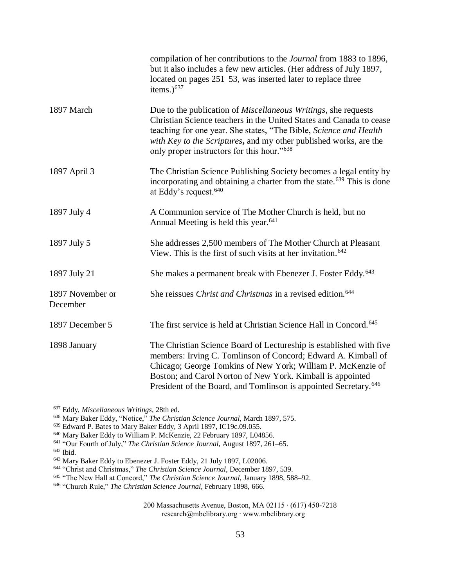|                              | compilation of her contributions to the <i>Journal</i> from 1883 to 1896,<br>but it also includes a few new articles. (Her address of July 1897,<br>located on pages 251–53, was inserted later to replace three<br>items.) $637$                                                                                                                 |
|------------------------------|---------------------------------------------------------------------------------------------------------------------------------------------------------------------------------------------------------------------------------------------------------------------------------------------------------------------------------------------------|
| 1897 March                   | Due to the publication of <i>Miscellaneous Writings</i> , she requests<br>Christian Science teachers in the United States and Canada to cease<br>teaching for one year. She states, "The Bible, Science and Health<br>with Key to the Scriptures, and my other published works, are the<br>only proper instructors for this hour." <sup>638</sup> |
| 1897 April 3                 | The Christian Science Publishing Society becomes a legal entity by<br>incorporating and obtaining a charter from the state. <sup>639</sup> This is done<br>at Eddy's request. <sup>640</sup>                                                                                                                                                      |
| 1897 July 4                  | A Communion service of The Mother Church is held, but no<br>Annual Meeting is held this year. <sup>641</sup>                                                                                                                                                                                                                                      |
| 1897 July 5                  | She addresses 2,500 members of The Mother Church at Pleasant<br>View. This is the first of such visits at her invitation. $642$                                                                                                                                                                                                                   |
| 1897 July 21                 | She makes a permanent break with Ebenezer J. Foster Eddy. <sup>643</sup>                                                                                                                                                                                                                                                                          |
| 1897 November or<br>December | She reissues <i>Christ and Christmas</i> in a revised edition. <sup>644</sup>                                                                                                                                                                                                                                                                     |
| 1897 December 5              | The first service is held at Christian Science Hall in Concord. <sup>645</sup>                                                                                                                                                                                                                                                                    |
| 1898 January                 | The Christian Science Board of Lectureship is established with five<br>members: Irving C. Tomlinson of Concord; Edward A. Kimball of<br>Chicago; George Tomkins of New York; William P. McKenzie of<br>Boston; and Carol Norton of New York. Kimball is appointed<br>President of the Board, and Tomlinson is appointed Secretary. <sup>646</sup> |

<sup>637</sup> Eddy, *Miscellaneous Writings,* 28th ed.

<sup>638</sup> Mary Baker Eddy, "Notice," *The Christian Science Journal,* March 1897, 575.

<sup>639</sup> Edward P. Bates to Mary Baker Eddy, 3 April 1897, IC19c.09.055.

<sup>640</sup> Mary Baker Eddy to William P. McKenzie, 22 February 1897, L04856.

<sup>641</sup> "Our Fourth of July," *The Christian Science Journal,* August 1897, 261–65.

<sup>642</sup> Ibid.

<sup>643</sup> Mary Baker Eddy to Ebenezer J. Foster Eddy, 21 July 1897, L02006.

<sup>644</sup> "Christ and Christmas," *The Christian Science Journal,* December 1897, 539.

<sup>645</sup> "The New Hall at Concord," *The Christian Science Journal,* January 1898, 588–92.

<sup>646</sup> "Church Rule," *The Christian Science Journal,* February 1898, 666.

<sup>200</sup> Massachusetts Avenue, Boston, MA 02115 ∙ (617) 450-7218 research@mbelibrary.org ∙ www.mbelibrary.org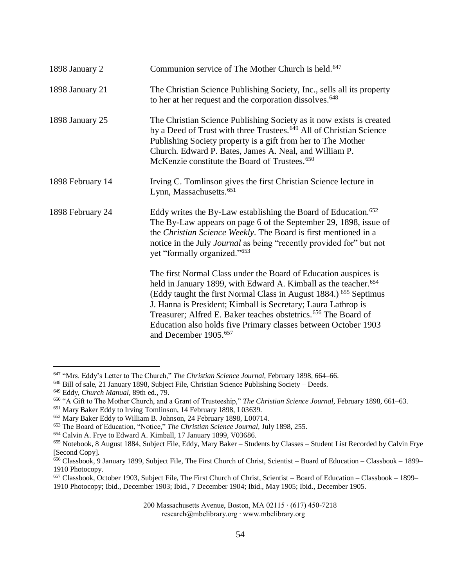| 1898 January 2   | Communion service of The Mother Church is held. <sup>647</sup>                                                                                                                                                                                                                                                                                                                                                                                                                       |
|------------------|--------------------------------------------------------------------------------------------------------------------------------------------------------------------------------------------------------------------------------------------------------------------------------------------------------------------------------------------------------------------------------------------------------------------------------------------------------------------------------------|
| 1898 January 21  | The Christian Science Publishing Society, Inc., sells all its property<br>to her at her request and the corporation dissolves. <sup>648</sup>                                                                                                                                                                                                                                                                                                                                        |
| 1898 January 25  | The Christian Science Publishing Society as it now exists is created<br>by a Deed of Trust with three Trustees. <sup>649</sup> All of Christian Science<br>Publishing Society property is a gift from her to The Mother<br>Church. Edward P. Bates, James A. Neal, and William P.<br>McKenzie constitute the Board of Trustees. <sup>650</sup>                                                                                                                                       |
| 1898 February 14 | Irving C. Tomlinson gives the first Christian Science lecture in<br>Lynn, Massachusetts. <sup>651</sup>                                                                                                                                                                                                                                                                                                                                                                              |
| 1898 February 24 | Eddy writes the By-Law establishing the Board of Education. <sup>652</sup><br>The By-Law appears on page 6 of the September 29, 1898, issue of<br>the Christian Science Weekly. The Board is first mentioned in a<br>notice in the July Journal as being "recently provided for" but not<br>yet "formally organized." <sup>653</sup>                                                                                                                                                 |
|                  | The first Normal Class under the Board of Education auspices is<br>held in January 1899, with Edward A. Kimball as the teacher. <sup>654</sup><br>(Eddy taught the first Normal Class in August 1884.) <sup>655</sup> Septimus<br>J. Hanna is President; Kimball is Secretary; Laura Lathrop is<br>Treasurer; Alfred E. Baker teaches obstetrics. <sup>656</sup> The Board of<br>Education also holds five Primary classes between October 1903<br>and December 1905. <sup>657</sup> |

<sup>647</sup> "Mrs. Eddy's Letter to The Church," *The Christian Science Journal,* February 1898, 664–66.

<sup>648</sup> Bill of sale, 21 January 1898, Subject File, Christian Science Publishing Society – Deeds.

<sup>649</sup> Eddy, *Church Manual,* 89th ed., 79.

<sup>650</sup> "A Gift to The Mother Church, and a Grant of Trusteeship," *The Christian Science Journal,* February 1898, 661–63.

<sup>651</sup> Mary Baker Eddy to Irving Tomlinson, 14 February 1898, L03639.

<sup>652</sup> Mary Baker Eddy to William B. Johnson, 24 February 1898, L00714.

<sup>653</sup> The Board of Education, "Notice," *The Christian Science Journal,* July 1898, 255.

<sup>654</sup> Calvin A. Frye to Edward A. Kimball, 17 January 1899, V03686.

<sup>655</sup> Notebook, 8 August 1884, Subject File, Eddy, Mary Baker – Students by Classes – Student List Recorded by Calvin Frye [Second Copy].

<sup>&</sup>lt;sup>656</sup> Classbook, 9 January 1899, Subject File, The First Church of Christ, Scientist – Board of Education – Classbook – 1899– 1910 Photocopy.

<sup>657</sup> Classbook, October 1903, Subject File, The First Church of Christ, Scientist – Board of Education – Classbook – 1899– 1910 Photocopy; Ibid., December 1903; Ibid., 7 December 1904; Ibid., May 1905; Ibid., December 1905.

<sup>200</sup> Massachusetts Avenue, Boston, MA 02115 ∙ (617) 450-7218 research@mbelibrary.org ∙ www.mbelibrary.org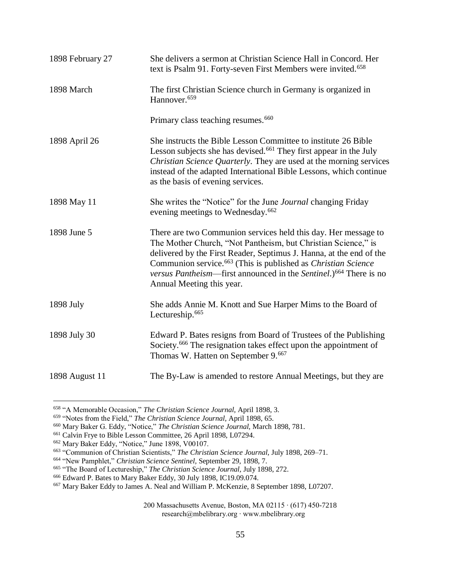| 1898 February 27 | She delivers a sermon at Christian Science Hall in Concord. Her<br>text is Psalm 91. Forty-seven First Members were invited. <sup>658</sup>                                                                                                                                                                                                                                                              |
|------------------|----------------------------------------------------------------------------------------------------------------------------------------------------------------------------------------------------------------------------------------------------------------------------------------------------------------------------------------------------------------------------------------------------------|
| 1898 March       | The first Christian Science church in Germany is organized in<br>Hannover. <sup>659</sup>                                                                                                                                                                                                                                                                                                                |
|                  | Primary class teaching resumes. <sup>660</sup>                                                                                                                                                                                                                                                                                                                                                           |
| 1898 April 26    | She instructs the Bible Lesson Committee to institute 26 Bible<br>Lesson subjects she has devised. <sup>661</sup> They first appear in the July<br>Christian Science Quarterly. They are used at the morning services<br>instead of the adapted International Bible Lessons, which continue<br>as the basis of evening services.                                                                         |
| 1898 May 11      | She writes the "Notice" for the June <i>Journal</i> changing Friday<br>evening meetings to Wednesday. <sup>662</sup>                                                                                                                                                                                                                                                                                     |
| 1898 June 5      | There are two Communion services held this day. Her message to<br>The Mother Church, "Not Pantheism, but Christian Science," is<br>delivered by the First Reader, Septimus J. Hanna, at the end of the<br>Communion service. <sup>663</sup> (This is published as <i>Christian Science</i><br>versus Pantheism—first announced in the Sentinel.) <sup>664</sup> There is no<br>Annual Meeting this year. |
| 1898 July        | She adds Annie M. Knott and Sue Harper Mims to the Board of<br>Lectureship. <sup>665</sup>                                                                                                                                                                                                                                                                                                               |
| 1898 July 30     | Edward P. Bates resigns from Board of Trustees of the Publishing<br>Society. <sup>666</sup> The resignation takes effect upon the appointment of<br>Thomas W. Hatten on September 9. <sup>667</sup>                                                                                                                                                                                                      |
| 1898 August 11   | The By-Law is amended to restore Annual Meetings, but they are                                                                                                                                                                                                                                                                                                                                           |

<sup>658</sup> "A Memorable Occasion," *The Christian Science Journal,* April 1898, 3.

<sup>659</sup> "Notes from the Field," *The Christian Science Journal,* April 1898, 65.

<sup>660</sup> Mary Baker G. Eddy, "Notice," *The Christian Science Journal,* March 1898, 781.

<sup>661</sup> Calvin Frye to Bible Lesson Committee, 26 April 1898, L07294.

<sup>662</sup> Mary Baker Eddy, "Notice," June 1898, V00107.

<sup>663</sup> "Communion of Christian Scientists," *The Christian Science Journal,* July 1898, 269–71.

<sup>664</sup> "New Pamphlet," *Christian Science Sentinel,* September 29, 1898, 7.

<sup>665</sup> "The Board of Lectureship," *The Christian Science Journal,* July 1898, 272.

<sup>666</sup> Edward P. Bates to Mary Baker Eddy, 30 July 1898, IC19.09.074.

<sup>667</sup> Mary Baker Eddy to James A. Neal and William P. McKenzie, 8 September 1898, L07207.

<sup>200</sup> Massachusetts Avenue, Boston, MA 02115 ∙ (617) 450-7218 research@mbelibrary.org ∙ www.mbelibrary.org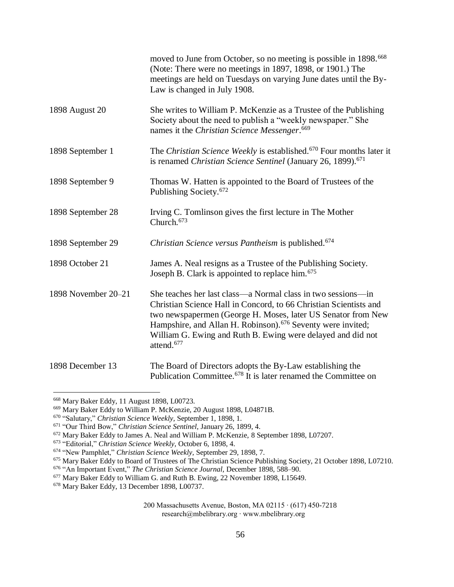|                     | moved to June from October, so no meeting is possible in 1898. <sup>668</sup><br>(Note: There were no meetings in 1897, 1898, or 1901.) The<br>meetings are held on Tuesdays on varying June dates until the By-<br>Law is changed in July 1908.                                                                                                                      |
|---------------------|-----------------------------------------------------------------------------------------------------------------------------------------------------------------------------------------------------------------------------------------------------------------------------------------------------------------------------------------------------------------------|
| 1898 August 20      | She writes to William P. McKenzie as a Trustee of the Publishing<br>Society about the need to publish a "weekly newspaper." She<br>names it the Christian Science Messenger. <sup>669</sup>                                                                                                                                                                           |
| 1898 September 1    | The Christian Science Weekly is established. <sup>670</sup> Four months later it<br>is renamed Christian Science Sentinel (January 26, 1899). <sup>671</sup>                                                                                                                                                                                                          |
| 1898 September 9    | Thomas W. Hatten is appointed to the Board of Trustees of the<br>Publishing Society. <sup>672</sup>                                                                                                                                                                                                                                                                   |
| 1898 September 28   | Irving C. Tomlinson gives the first lecture in The Mother<br>Church. <sup>673</sup>                                                                                                                                                                                                                                                                                   |
| 1898 September 29   | Christian Science versus Pantheism is published. <sup>674</sup>                                                                                                                                                                                                                                                                                                       |
| 1898 October 21     | James A. Neal resigns as a Trustee of the Publishing Society.<br>Joseph B. Clark is appointed to replace him. <sup>675</sup>                                                                                                                                                                                                                                          |
| 1898 November 20-21 | She teaches her last class—a Normal class in two sessions—in<br>Christian Science Hall in Concord, to 66 Christian Scientists and<br>two newspapermen (George H. Moses, later US Senator from New<br>Hampshire, and Allan H. Robinson). <sup>676</sup> Seventy were invited;<br>William G. Ewing and Ruth B. Ewing were delayed and did not<br>attend. <sup>677</sup> |
| 1898 December 13    | The Board of Directors adopts the By-Law establishing the<br>Publication Committee. <sup>678</sup> It is later renamed the Committee on                                                                                                                                                                                                                               |

<sup>668</sup> Mary Baker Eddy, 11 August 1898, L00723.

<sup>669</sup> Mary Baker Eddy to William P. McKenzie, 20 August 1898, L04871B.

<sup>670</sup> "Salutary," *Christian Science Weekly,* September 1, 1898, 1.

<sup>671</sup> "Our Third Bow," *Christian Science Sentinel,* January 26, 1899, 4.

<sup>672</sup> Mary Baker Eddy to James A. Neal and William P. McKenzie, 8 September 1898, L07207.

<sup>673</sup> "Editorial," *Christian Science Weekly,* October 6, 1898, 4.

<sup>674</sup> "New Pamphlet," *Christian Science Weekly,* September 29, 1898, 7.

<sup>675</sup> Mary Baker Eddy to Board of Trustees of The Christian Science Publishing Society, 21 October 1898, L07210.

<sup>676</sup> "An Important Event," *The Christian Science Journal,* December 1898, 588–90.

<sup>&</sup>lt;sup>677</sup> Mary Baker Eddy to William G. and Ruth B. Ewing, 22 November 1898, L15649.

<sup>678</sup> Mary Baker Eddy, 13 December 1898, L00737.

<sup>200</sup> Massachusetts Avenue, Boston, MA 02115 ∙ (617) 450-7218 research@mbelibrary.org ∙ www.mbelibrary.org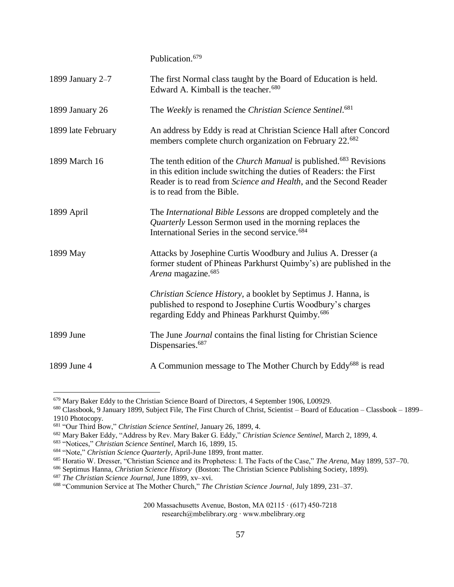Publication.<sup>679</sup>

| 1899 January 2-7   | The first Normal class taught by the Board of Education is held.<br>Edward A. Kimball is the teacher. <sup>680</sup>                                                                                                                                         |
|--------------------|--------------------------------------------------------------------------------------------------------------------------------------------------------------------------------------------------------------------------------------------------------------|
| 1899 January 26    | The Weekly is renamed the Christian Science Sentinel. <sup>681</sup>                                                                                                                                                                                         |
| 1899 late February | An address by Eddy is read at Christian Science Hall after Concord<br>members complete church organization on February 22. <sup>682</sup>                                                                                                                    |
| 1899 March 16      | The tenth edition of the <i>Church Manual</i> is published. <sup>683</sup> Revisions<br>in this edition include switching the duties of Readers: the First<br>Reader is to read from Science and Health, and the Second Reader<br>is to read from the Bible. |
| 1899 April         | The <i>International Bible Lessons</i> are dropped completely and the<br>Quarterly Lesson Sermon used in the morning replaces the<br>International Series in the second service. <sup>684</sup>                                                              |
| 1899 May           | Attacks by Josephine Curtis Woodbury and Julius A. Dresser (a<br>former student of Phineas Parkhurst Quimby's) are published in the<br>Arena magazine. <sup>685</sup>                                                                                        |
|                    | Christian Science History, a booklet by Septimus J. Hanna, is<br>published to respond to Josephine Curtis Woodbury's charges<br>regarding Eddy and Phineas Parkhurst Quimby. <sup>686</sup>                                                                  |
| 1899 June          | The June <i>Journal</i> contains the final listing for Christian Science<br>Dispensaries. <sup>687</sup>                                                                                                                                                     |
| 1899 June 4        | A Communion message to The Mother Church by Eddy <sup>688</sup> is read                                                                                                                                                                                      |

<sup>679</sup> Mary Baker Eddy to the Christian Science Board of Directors, 4 September 1906, L00929.

 $\overline{a}$ 

200 Massachusetts Avenue, Boston, MA 02115 ∙ (617) 450-7218

research@mbelibrary.org ∙ www.mbelibrary.org

<sup>680</sup> Classbook, 9 January 1899, Subject File, The First Church of Christ, Scientist – Board of Education – Classbook – 1899– 1910 Photocopy.

<sup>681</sup> "Our Third Bow," *Christian Science Sentinel,* January 26, 1899, 4.

<sup>682</sup> Mary Baker Eddy, "Address by Rev. Mary Baker G. Eddy," *Christian Science Sentinel,* March 2, 1899, 4*.*

<sup>683</sup> "Notices," *Christian Science Sentinel,* March 16, 1899, 15.

<sup>684</sup> "Note," *Christian Science Quarterly,* April-June 1899, front matter.

<sup>685</sup> Horatio W. Dresser, "Christian Science and its Prophetess: I. The Facts of the Case," *The Arena,* May 1899, 537–70.

<sup>686</sup> Septimus Hanna, *Christian Science History* (Boston: The Christian Science Publishing Society, 1899).

<sup>687</sup> *The Christian Science Journal,* June 1899, xv–xvi.

<sup>688</sup> "Communion Service at The Mother Church," *The Christian Science Journal*, July 1899, 231–37.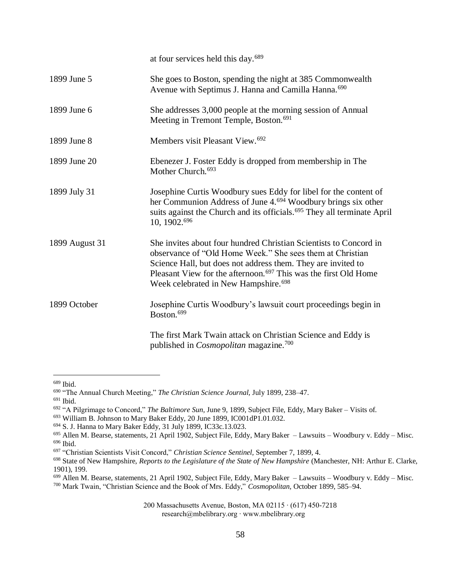|                | at four services held this day. <sup>689</sup>                                                                                                                                                                                                                                                                                    |
|----------------|-----------------------------------------------------------------------------------------------------------------------------------------------------------------------------------------------------------------------------------------------------------------------------------------------------------------------------------|
| 1899 June 5    | She goes to Boston, spending the night at 385 Commonwealth<br>Avenue with Septimus J. Hanna and Camilla Hanna. <sup>690</sup>                                                                                                                                                                                                     |
| 1899 June 6    | She addresses 3,000 people at the morning session of Annual<br>Meeting in Tremont Temple, Boston. <sup>691</sup>                                                                                                                                                                                                                  |
| 1899 June 8    | Members visit Pleasant View. <sup>692</sup>                                                                                                                                                                                                                                                                                       |
| 1899 June 20   | Ebenezer J. Foster Eddy is dropped from membership in The<br>Mother Church. <sup>693</sup>                                                                                                                                                                                                                                        |
| 1899 July 31   | Josephine Curtis Woodbury sues Eddy for libel for the content of<br>her Communion Address of June 4. <sup>694</sup> Woodbury brings six other<br>suits against the Church and its officials. <sup>695</sup> They all terminate April<br>10, 1902.696                                                                              |
| 1899 August 31 | She invites about four hundred Christian Scientists to Concord in<br>observance of "Old Home Week." She sees them at Christian<br>Science Hall, but does not address them. They are invited to<br>Pleasant View for the afternoon. <sup>697</sup> This was the first Old Home<br>Week celebrated in New Hampshire. <sup>698</sup> |
| 1899 October   | Josephine Curtis Woodbury's lawsuit court proceedings begin in<br>Boston. <sup>699</sup>                                                                                                                                                                                                                                          |
|                | The first Mark Twain attack on Christian Science and Eddy is<br>published in <i>Cosmopolitan</i> magazine. <sup>700</sup>                                                                                                                                                                                                         |

<sup>689</sup> Ibid.

<sup>690</sup> "The Annual Church Meeting," *The Christian Science Journal,* July 1899, 238–47.

<sup>691</sup> Ibid.

<sup>692</sup> "A Pilgrimage to Concord," *The Baltimore Sun,* June 9, 1899, Subject File, Eddy, Mary Baker – Visits of.

<sup>&</sup>lt;sup>693</sup> William B. Johnson to Mary Baker Eddy, 20 June 1899, IC001dP1.01.032.

<sup>694</sup> S. J. Hanna to Mary Baker Eddy, 31 July 1899, IC33c.13.023.

<sup>695</sup> Allen M. Bearse, statements, 21 April 1902, Subject File, Eddy, Mary Baker – Lawsuits – Woodbury v. Eddy – Misc. <sup>696</sup> Ibid.

<sup>697</sup> "Christian Scientists Visit Concord," *Christian Science Sentinel,* September 7, 1899, 4.

<sup>698</sup> State of New Hampshire, *Reports to the Legislature of the State of New Hampshire* (Manchester, NH: Arthur E. Clarke, 1901), 199.

<sup>699</sup> Allen M. Bearse, statements, 21 April 1902, Subject File, Eddy, Mary Baker – Lawsuits – Woodbury v. Eddy – Misc.

<sup>700</sup> Mark Twain, "Christian Science and the Book of Mrs. Eddy," *Cosmopolitan,* October 1899, 585–94.

<sup>200</sup> Massachusetts Avenue, Boston, MA 02115 ∙ (617) 450-7218 research@mbelibrary.org ∙ www.mbelibrary.org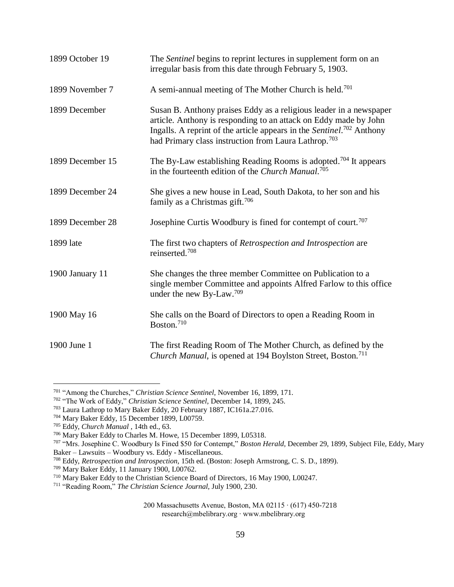| 1899 October 19  | The Sentinel begins to reprint lectures in supplement form on an<br>irregular basis from this date through February 5, 1903.                                                                                                                                                                    |
|------------------|-------------------------------------------------------------------------------------------------------------------------------------------------------------------------------------------------------------------------------------------------------------------------------------------------|
| 1899 November 7  | A semi-annual meeting of The Mother Church is held. <sup>701</sup>                                                                                                                                                                                                                              |
| 1899 December    | Susan B. Anthony praises Eddy as a religious leader in a newspaper<br>article. Anthony is responding to an attack on Eddy made by John<br>Ingalls. A reprint of the article appears in the Sentinel. <sup>702</sup> Anthony<br>had Primary class instruction from Laura Lathrop. <sup>703</sup> |
| 1899 December 15 | The By-Law establishing Reading Rooms is adopted. <sup>704</sup> It appears<br>in the fourteenth edition of the Church Manual.705                                                                                                                                                               |
| 1899 December 24 | She gives a new house in Lead, South Dakota, to her son and his<br>family as a Christmas gift. <sup>706</sup>                                                                                                                                                                                   |
| 1899 December 28 | Josephine Curtis Woodbury is fined for contempt of court. <sup>707</sup>                                                                                                                                                                                                                        |
| 1899 late        | The first two chapters of Retrospection and Introspection are<br>reinserted. <sup>708</sup>                                                                                                                                                                                                     |
| 1900 January 11  | She changes the three member Committee on Publication to a<br>single member Committee and appoints Alfred Farlow to this office<br>under the new By-Law. <sup>709</sup>                                                                                                                         |
| 1900 May 16      | She calls on the Board of Directors to open a Reading Room in<br>Boston. <sup>710</sup>                                                                                                                                                                                                         |
| 1900 June 1      | The first Reading Room of The Mother Church, as defined by the<br>Church Manual, is opened at 194 Boylston Street, Boston. <sup>711</sup>                                                                                                                                                       |

<sup>701</sup> "Among the Churches," *Christian Science Sentinel,* November 16, 1899, 171.

<sup>702</sup> "The Work of Eddy," *Christian Science Sentinel,* December 14, 1899, 245.

<sup>703</sup> Laura Lathrop to Mary Baker Eddy, 20 February 1887, IC161a.27.016.

<sup>704</sup> Mary Baker Eddy, 15 December 1899, L00759.

<sup>705</sup> Eddy, *Church Manual ,* 14th ed., 63.

<sup>706</sup> Mary Baker Eddy to Charles M. Howe, 15 December 1899, L05318.

<sup>707</sup> "Mrs. Josephine C. Woodbury Is Fined \$50 for Contempt," *Boston Herald,* December 29, 1899, Subject File, Eddy, Mary Baker – Lawsuits – Woodbury vs. Eddy - Miscellaneous.

<sup>708</sup> Eddy, *Retrospection and Introspection,* 15th ed. (Boston: Joseph Armstrong, C. S. D., 1899).

<sup>709</sup> Mary Baker Eddy, 11 January 1900, L00762.

<sup>&</sup>lt;sup>710</sup> Mary Baker Eddy to the Christian Science Board of Directors, 16 May 1900, L00247.

<sup>711</sup> "Reading Room," *The Christian Science Journal,* July 1900, 230.

<sup>200</sup> Massachusetts Avenue, Boston, MA 02115 ∙ (617) 450-7218 research@mbelibrary.org ∙ www.mbelibrary.org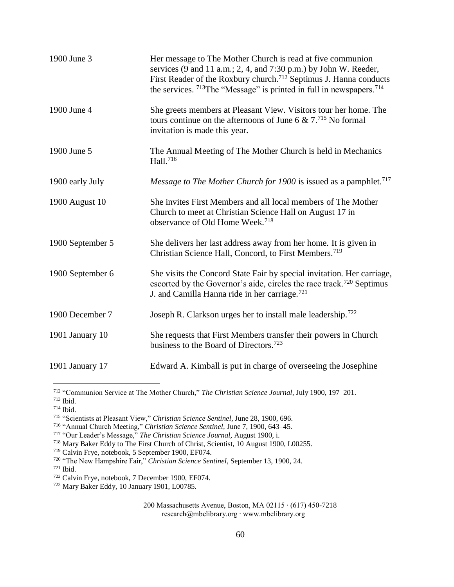| 1900 June 3      | Her message to The Mother Church is read at five communion<br>services $(9 \text{ and } 11 \text{ a.m.}; 2, 4, \text{ and } 7:30 \text{ p.m.})$ by John W. Reeder,<br>First Reader of the Roxbury church. <sup>712</sup> Septimus J. Hanna conducts<br>the services. $713$ The "Message" is printed in full in newspapers. $714$ |
|------------------|----------------------------------------------------------------------------------------------------------------------------------------------------------------------------------------------------------------------------------------------------------------------------------------------------------------------------------|
| 1900 June 4      | She greets members at Pleasant View. Visitors tour her home. The<br>tours continue on the afternoons of June 6 & $7.^{715}$ No formal<br>invitation is made this year.                                                                                                                                                           |
| 1900 June 5      | The Annual Meeting of The Mother Church is held in Mechanics<br>Hall. <sup>716</sup>                                                                                                                                                                                                                                             |
| 1900 early July  | Message to The Mother Church for 1900 is issued as a pamphlet. <sup>717</sup>                                                                                                                                                                                                                                                    |
| 1900 August 10   | She invites First Members and all local members of The Mother<br>Church to meet at Christian Science Hall on August 17 in<br>observance of Old Home Week. <sup>718</sup>                                                                                                                                                         |
| 1900 September 5 | She delivers her last address away from her home. It is given in<br>Christian Science Hall, Concord, to First Members. <sup>719</sup>                                                                                                                                                                                            |
| 1900 September 6 | She visits the Concord State Fair by special invitation. Her carriage,<br>escorted by the Governor's aide, circles the race track. <sup>720</sup> Septimus<br>J. and Camilla Hanna ride in her carriage. <sup>721</sup>                                                                                                          |
| 1900 December 7  | Joseph R. Clarkson urges her to install male leadership. <sup>722</sup>                                                                                                                                                                                                                                                          |
| 1901 January 10  | She requests that First Members transfer their powers in Church<br>business to the Board of Directors. <sup>723</sup>                                                                                                                                                                                                            |
| 1901 January 17  | Edward A. Kimball is put in charge of overseeing the Josephine                                                                                                                                                                                                                                                                   |

<sup>712</sup> "Communion Service at The Mother Church," *The Christian Science Journal*, July 1900, 197–201.

<sup>713</sup> Ibid.

<sup>714</sup> Ibid.

<sup>715</sup> "Scientists at Pleasant View," *Christian Science Sentinel*, June 28, 1900, 696.

<sup>716</sup> "Annual Church Meeting," *Christian Science Sentinel,* June 7, 1900, 643–45.

<sup>717</sup> "Our Leader's Message," *The Christian Science Journal,* August 1900, i.

<sup>718</sup> Mary Baker Eddy to The First Church of Christ, Scientist, 10 August 1900, L00255.

<sup>719</sup> Calvin Frye, notebook, 5 September 1900, EF074.

<sup>720</sup> "The New Hampshire Fair," *Christian Science Sentinel*, September 13, 1900, 24.

<sup>721</sup> Ibid.

<sup>722</sup> Calvin Frye, notebook, 7 December 1900, EF074.

<sup>723</sup> Mary Baker Eddy, 10 January 1901, L00785.

<sup>200</sup> Massachusetts Avenue, Boston, MA 02115 ∙ (617) 450-7218 research@mbelibrary.org ∙ www.mbelibrary.org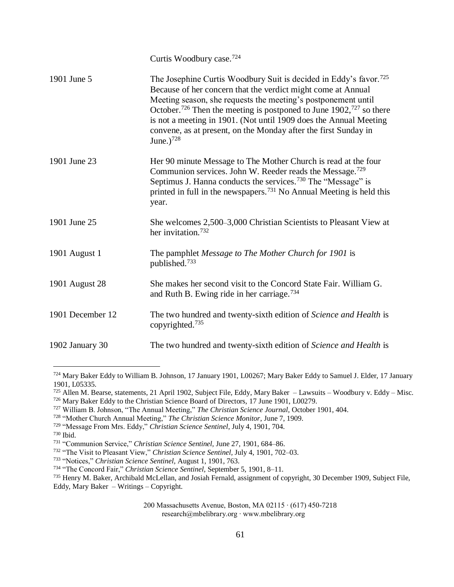|                  | Curtis Woodbury case. <sup>724</sup>                                                                                                                                                                                                                                                                                                                                                                                                                                     |
|------------------|--------------------------------------------------------------------------------------------------------------------------------------------------------------------------------------------------------------------------------------------------------------------------------------------------------------------------------------------------------------------------------------------------------------------------------------------------------------------------|
| 1901 June 5      | The Josephine Curtis Woodbury Suit is decided in Eddy's favor. <sup>725</sup><br>Because of her concern that the verdict might come at Annual<br>Meeting season, she requests the meeting's postponement until<br>October. <sup>726</sup> Then the meeting is postponed to June $1902$ , <sup>727</sup> so there<br>is not a meeting in 1901. (Not until 1909 does the Annual Meeting<br>convene, as at present, on the Monday after the first Sunday in<br>June.) $728$ |
| 1901 June 23     | Her 90 minute Message to The Mother Church is read at the four<br>Communion services. John W. Reeder reads the Message. <sup>729</sup><br>Septimus J. Hanna conducts the services. <sup>730</sup> The "Message" is<br>printed in full in the newspapers. <sup>731</sup> No Annual Meeting is held this<br>year.                                                                                                                                                          |
| 1901 June 25     | She welcomes 2,500–3,000 Christian Scientists to Pleasant View at<br>her invitation. <sup>732</sup>                                                                                                                                                                                                                                                                                                                                                                      |
| 1901 August 1    | The pamphlet Message to The Mother Church for 1901 is<br>published. <sup>733</sup>                                                                                                                                                                                                                                                                                                                                                                                       |
| 1901 August 28   | She makes her second visit to the Concord State Fair. William G.<br>and Ruth B. Ewing ride in her carriage. <sup>734</sup>                                                                                                                                                                                                                                                                                                                                               |
| 1901 December 12 | The two hundred and twenty-sixth edition of Science and Health is<br>copyrighted. <sup>735</sup>                                                                                                                                                                                                                                                                                                                                                                         |
| 1902 January 30  | The two hundred and twenty-sixth edition of Science and Health is                                                                                                                                                                                                                                                                                                                                                                                                        |

<sup>724</sup> Mary Baker Eddy to William B. Johnson, 17 January 1901, L00267; Mary Baker Eddy to Samuel J. Elder, 17 January 1901, L05335.

<sup>725</sup> Allen M. Bearse, statements, 21 April 1902, Subject File, Eddy, Mary Baker – Lawsuits – Woodbury v. Eddy – Misc. <sup>726</sup> Mary Baker Eddy to the Christian Science Board of Directors, 17 June 1901, L00279.

<sup>727</sup> William B. Johnson, "The Annual Meeting," *The Christian Science Journal,* October 1901, 404.

<sup>728</sup> "Mother Church Annual Meeting," *The Christian Science Monitor,* June 7, 1909.

<sup>729</sup> "Message From Mrs. Eddy," *Christian Science Sentinel*, July 4, 1901, 704.

<sup>730</sup> Ibid.

<sup>731</sup> "Communion Service," *Christian Science Sentinel,* June 27, 1901, 684–86.

<sup>732</sup> "The Visit to Pleasant View," *Christian Science Sentinel,* July 4, 1901, 702–03.

<sup>733</sup> "Notices," *Christian Science Sentinel,* August 1, 1901, 763.

<sup>734</sup> "The Concord Fair," *Christian Science Sentinel,* September 5, 1901, 8–11.

<sup>735</sup> Henry M. Baker, Archibald McLellan, and Josiah Fernald, assignment of copyright, 30 December 1909, Subject File, Eddy, Mary Baker – Writings – Copyright.

<sup>200</sup> Massachusetts Avenue, Boston, MA 02115 ∙ (617) 450-7218

research@mbelibrary.org ∙ www.mbelibrary.org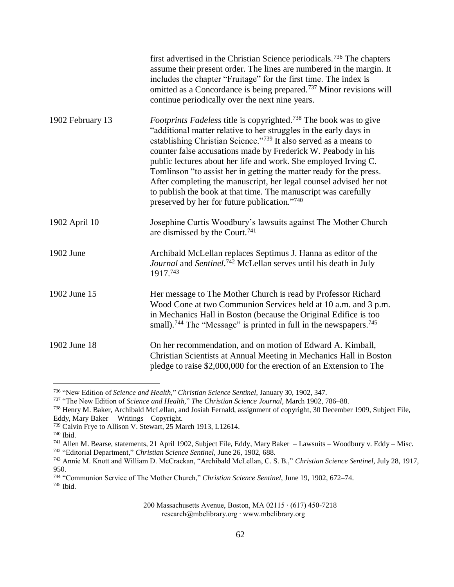|                  | first advertised in the Christian Science periodicals. <sup>736</sup> The chapters<br>assume their present order. The lines are numbered in the margin. It<br>includes the chapter "Fruitage" for the first time. The index is<br>omitted as a Concordance is being prepared. <sup>737</sup> Minor revisions will<br>continue periodically over the next nine years.                                                                                                                                                                                                                                                      |
|------------------|---------------------------------------------------------------------------------------------------------------------------------------------------------------------------------------------------------------------------------------------------------------------------------------------------------------------------------------------------------------------------------------------------------------------------------------------------------------------------------------------------------------------------------------------------------------------------------------------------------------------------|
| 1902 February 13 | Footprints Fadeless title is copyrighted. <sup>738</sup> The book was to give<br>"additional matter relative to her struggles in the early days in<br>establishing Christian Science."739 It also served as a means to<br>counter false accusations made by Frederick W. Peabody in his<br>public lectures about her life and work. She employed Irving C.<br>Tomlinson "to assist her in getting the matter ready for the press.<br>After completing the manuscript, her legal counsel advised her not<br>to publish the book at that time. The manuscript was carefully<br>preserved by her for future publication."740 |
| 1902 April 10    | Josephine Curtis Woodbury's lawsuits against The Mother Church<br>are dismissed by the Court. <sup>741</sup>                                                                                                                                                                                                                                                                                                                                                                                                                                                                                                              |
| 1902 June        | Archibald McLellan replaces Septimus J. Hanna as editor of the<br>Journal and Sentinel. <sup>742</sup> McLellan serves until his death in July<br>1917.743                                                                                                                                                                                                                                                                                                                                                                                                                                                                |
| 1902 June 15     | Her message to The Mother Church is read by Professor Richard<br>Wood Cone at two Communion Services held at 10 a.m. and 3 p.m.<br>in Mechanics Hall in Boston (because the Original Edifice is too<br>small). <sup>744</sup> The "Message" is printed in full in the newspapers. <sup>745</sup>                                                                                                                                                                                                                                                                                                                          |
| 1902 June 18     | On her recommendation, and on motion of Edward A. Kimball,<br>Christian Scientists at Annual Meeting in Mechanics Hall in Boston<br>pledge to raise \$2,000,000 for the erection of an Extension to The                                                                                                                                                                                                                                                                                                                                                                                                                   |

<sup>736</sup> "New Edition of *Science and Health,*" *Christian Science Sentinel,* January 30, 1902, 347.

<sup>737</sup> "The New Edition of *Science and Health,*" *The Christian Science Journal*, March 1902, 786–88.

<sup>738</sup> Henry M. Baker, Archibald McLellan, and Josiah Fernald, assignment of copyright, 30 December 1909, Subject File, Eddy, Mary Baker – Writings – Copyright.

<sup>739</sup> Calvin Frye to Allison V. Stewart, 25 March 1913, L12614.

<sup>740</sup> Ibid.

<sup>741</sup> Allen M. Bearse, statements, 21 April 1902, Subject File, Eddy, Mary Baker – Lawsuits – Woodbury v. Eddy – Misc. <sup>742</sup> "Editorial Department," *Christian Science Sentinel,* June 26, 1902, 688.

<sup>743</sup> Annie M. Knott and William D. McCrackan, "Archibald McLellan, C. S. B.," *Christian Science Sentinel,* July 28, 1917, 950.

<sup>744</sup> "Communion Service of The Mother Church," *Christian Science Sentinel*, June 19, 1902, 672–74. <sup>745</sup> Ibid.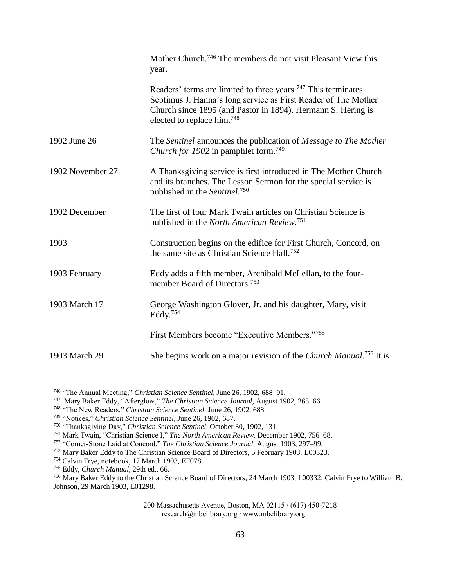|                  | Mother Church. <sup>746</sup> The members do not visit Pleasant View this<br>year.                                                                                                                                                                    |
|------------------|-------------------------------------------------------------------------------------------------------------------------------------------------------------------------------------------------------------------------------------------------------|
|                  | Readers' terms are limited to three years. <sup>747</sup> This terminates<br>Septimus J. Hanna's long service as First Reader of The Mother<br>Church since 1895 (and Pastor in 1894). Hermann S. Hering is<br>elected to replace him. <sup>748</sup> |
| 1902 June 26     | The Sentinel announces the publication of Message to The Mother<br>Church for 1902 in pamphlet form. <sup>749</sup>                                                                                                                                   |
| 1902 November 27 | A Thanksgiving service is first introduced in The Mother Church<br>and its branches. The Lesson Sermon for the special service is<br>published in the Sentinel. <sup>750</sup>                                                                        |
| 1902 December    | The first of four Mark Twain articles on Christian Science is<br>published in the North American Review. <sup>751</sup>                                                                                                                               |
| 1903             | Construction begins on the edifice for First Church, Concord, on<br>the same site as Christian Science Hall. <sup>752</sup>                                                                                                                           |
| 1903 February    | Eddy adds a fifth member, Archibald McLellan, to the four-<br>member Board of Directors. <sup>753</sup>                                                                                                                                               |
| 1903 March 17    | George Washington Glover, Jr. and his daughter, Mary, visit<br>Eddy. <sup>754</sup>                                                                                                                                                                   |
|                  | First Members become "Executive Members."755                                                                                                                                                                                                          |
| 1903 March 29    | She begins work on a major revision of the Church Manual. <sup>756</sup> It is                                                                                                                                                                        |

<sup>746</sup> "The Annual Meeting," *Christian Science Sentinel,* June 26, 1902, 688–91.

<sup>747</sup> Mary Baker Eddy, "Afterglow," *The Christian Science Journal*, August 1902, 265–66.

<sup>748</sup> "The New Readers," *Christian Science Sentinel,* June 26, 1902, 688.

<sup>749</sup> "Notices," *Christian Science Sentinel,* June 26, 1902, 687.

<sup>750</sup> "Thanksgiving Day," *Christian Science Sentinel,* October 30, 1902, 131.

<sup>751</sup> Mark Twain, "Christian Science I," *The North American Review,* December 1902, 756–68.

<sup>752</sup> "Corner-Stone Laid at Concord," *The Christian Science Journal,* August 1903, 297–99.

<sup>753</sup> Mary Baker Eddy to The Christian Science Board of Directors, 5 February 1903, L00323.

<sup>754</sup> Calvin Frye, notebook, 17 March 1903, EF078.

<sup>755</sup> Eddy, *Church Manual,* 29th ed., 66.

<sup>756</sup> Mary Baker Eddy to the Christian Science Board of Directors, 24 March 1903, L00332; Calvin Frye to William B. Johnson, 29 March 1903, L01298.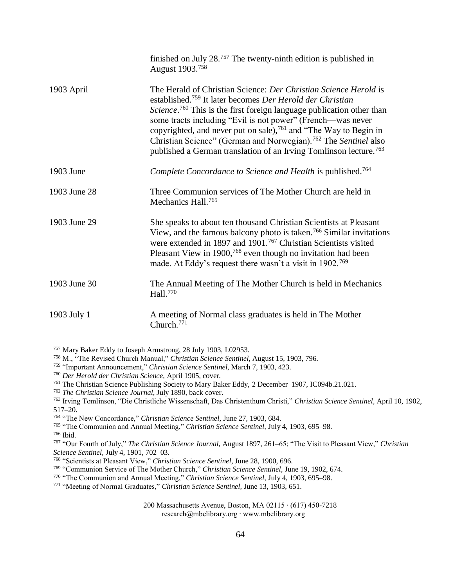|              | finished on July $28.757$ The twenty-ninth edition is published in<br>August 1903. <sup>758</sup>                                                                                                                                                                                                                                                                                                                                                                                                                                             |
|--------------|-----------------------------------------------------------------------------------------------------------------------------------------------------------------------------------------------------------------------------------------------------------------------------------------------------------------------------------------------------------------------------------------------------------------------------------------------------------------------------------------------------------------------------------------------|
| 1903 April   | The Herald of Christian Science: Der Christian Science Herold is<br>established. <sup>759</sup> It later becomes Der Herold der Christian<br>Science. <sup>760</sup> This is the first foreign language publication other than<br>some tracts including "Evil is not power" (French—was never<br>copyrighted, and never put on sale), <sup>761</sup> and "The Way to Begin in<br>Christian Science" (German and Norwegian). <sup>762</sup> The Sentinel also<br>published a German translation of an Irving Tomlinson lecture. <sup>763</sup> |
| 1903 June    | Complete Concordance to Science and Health is published. <sup>764</sup>                                                                                                                                                                                                                                                                                                                                                                                                                                                                       |
| 1903 June 28 | Three Communion services of The Mother Church are held in<br>Mechanics Hall. <sup>765</sup>                                                                                                                                                                                                                                                                                                                                                                                                                                                   |
| 1903 June 29 | She speaks to about ten thousand Christian Scientists at Pleasant<br>View, and the famous balcony photo is taken. <sup>766</sup> Similar invitations<br>were extended in 1897 and 1901. <sup>767</sup> Christian Scientists visited<br>Pleasant View in 1900, $768$ even though no invitation had been<br>made. At Eddy's request there wasn't a visit in 1902. <sup>769</sup>                                                                                                                                                                |
| 1903 June 30 | The Annual Meeting of The Mother Church is held in Mechanics<br>Hall. <sup>770</sup>                                                                                                                                                                                                                                                                                                                                                                                                                                                          |
| 1903 July 1  | A meeting of Normal class graduates is held in The Mother<br>Church. <sup>771</sup>                                                                                                                                                                                                                                                                                                                                                                                                                                                           |

<sup>757</sup> Mary Baker Eddy to Joseph Armstrong, 28 July 1903, L02953.

<sup>758</sup> M., "The Revised Church Manual," *Christian Science Sentinel,* August 15, 1903, 796.

<sup>759</sup> "Important Announcement," *Christian Science Sentinel,* March 7, 1903, 423.

<sup>760</sup> *Der Herold der Christian Science,* April 1905, cover.

<sup>761</sup> The Christian Science Publishing Society to Mary Baker Eddy, 2 December 1907, IC094b.21.021.

<sup>762</sup> *The Christian Science Journal,* July 1890, back cover.

<sup>763</sup> Irving Tomlinson, "Die Christliche Wissenschaft, Das Christenthum Christi," *Christian Science Sentinel,* April 10, 1902, 517–20.

<sup>764</sup> "The New Concordance," *Christian Science Sentinel,* June 27, 1903, 684.

<sup>765</sup> "The Communion and Annual Meeting," *Christian Science Sentinel,* July 4, 1903, 695–98.

<sup>766</sup> Ibid.

<sup>767</sup> "Our Fourth of July," *The Christian Science Journal,* August 1897, 261–65; "The Visit to Pleasant View," *Christian Science Sentinel,* July 4, 1901, 702–03.

<sup>768</sup> "Scientists at Pleasant View," *Christian Science Sentinel*, June 28, 1900, 696.

<sup>769</sup> "Communion Service of The Mother Church," *Christian Science Sentinel,* June 19, 1902, 674.

<sup>770</sup> "The Communion and Annual Meeting," *Christian Science Sentinel,* July 4, 1903, 695–98.

<sup>771</sup> "Meeting of Normal Graduates," *Christian Science Sentinel,* June 13, 1903, 651.

<sup>200</sup> Massachusetts Avenue, Boston, MA 02115 ∙ (617) 450-7218 research@mbelibrary.org ∙ www.mbelibrary.org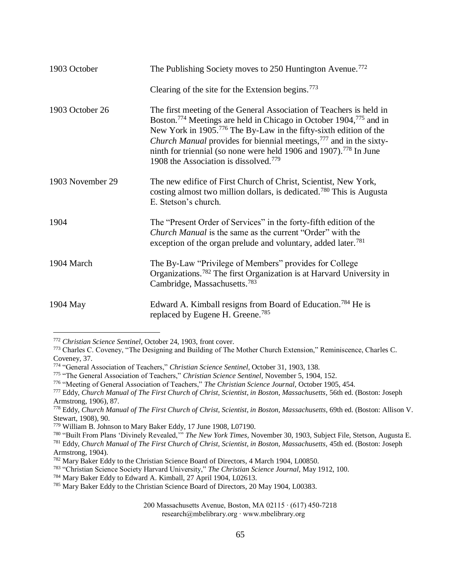| 1903 October     | The Publishing Society moves to 250 Huntington Avenue. <sup>772</sup>                                                                                                                                                                                                                                                                                                                                                                                                             |
|------------------|-----------------------------------------------------------------------------------------------------------------------------------------------------------------------------------------------------------------------------------------------------------------------------------------------------------------------------------------------------------------------------------------------------------------------------------------------------------------------------------|
|                  | Clearing of the site for the Extension begins. <sup>773</sup>                                                                                                                                                                                                                                                                                                                                                                                                                     |
| 1903 October 26  | The first meeting of the General Association of Teachers is held in<br>Boston. <sup>774</sup> Meetings are held in Chicago in October 1904, <sup>775</sup> and in<br>New York in 1905. <sup>776</sup> The By-Law in the fifty-sixth edition of the<br><i>Church Manual</i> provides for biennial meetings, <sup>777</sup> and in the sixty-<br>ninth for triennial (so none were held 1906 and 1907). <sup>778</sup> In June<br>1908 the Association is dissolved. <sup>779</sup> |
| 1903 November 29 | The new edifice of First Church of Christ, Scientist, New York,<br>costing almost two million dollars, is dedicated. <sup>780</sup> This is Augusta<br>E. Stetson's church.                                                                                                                                                                                                                                                                                                       |
| 1904             | The "Present Order of Services" in the forty-fifth edition of the<br>Church Manual is the same as the current "Order" with the<br>exception of the organ prelude and voluntary, added later. <sup>781</sup>                                                                                                                                                                                                                                                                       |
| 1904 March       | The By-Law "Privilege of Members" provides for College<br>Organizations. <sup>782</sup> The first Organization is at Harvard University in<br>Cambridge, Massachusetts. <sup>783</sup>                                                                                                                                                                                                                                                                                            |
| 1904 May         | Edward A. Kimball resigns from Board of Education. <sup>784</sup> He is<br>replaced by Eugene H. Greene. <sup>785</sup>                                                                                                                                                                                                                                                                                                                                                           |

<sup>772</sup> *Christian Science Sentinel,* October 24, 1903, front cover.

<sup>773</sup> Charles C. Coveney, "The Designing and Building of The Mother Church Extension," Reminiscence, Charles C. Coveney, 37.

<sup>774</sup> "General Association of Teachers," *Christian Science Sentinel,* October 31, 1903, 138.

<sup>775</sup> "The General Association of Teachers," *Christian Science Sentinel,* November 5, 1904, 152.

<sup>776</sup> "Meeting of General Association of Teachers," *The Christian Science Journal,* October 1905, 454.

<sup>777</sup> Eddy, *Church Manual of The First Church of Christ, Scientist, in Boston, Massachusetts,* 56th ed. (Boston: Joseph Armstrong, 1906), 87.

<sup>778</sup> Eddy, *Church Manual of The First Church of Christ, Scientist, in Boston, Massachusetts,* 69th ed. (Boston: Allison V. Stewart, 1908), 90.

<sup>779</sup> William B. Johnson to Mary Baker Eddy, 17 June 1908, L07190.

<sup>780</sup> "Built From Plans 'Divinely Revealed,'" *The New York Times,* November 30, 1903, Subject File, Stetson, Augusta E. <sup>781</sup> Eddy, *Church Manual of The First Church of Christ, Scientist, in Boston, Massachusetts,* 45th ed. (Boston: Joseph Armstrong, 1904).

<sup>782</sup> Mary Baker Eddy to the Christian Science Board of Directors, 4 March 1904, L00850.

<sup>783</sup> "Christian Science Society Harvard University," *The Christian Science Journal,* May 1912, 100.

<sup>784</sup> Mary Baker Eddy to Edward A. Kimball, 27 April 1904, L02613.

<sup>785</sup> Mary Baker Eddy to the Christian Science Board of Directors, 20 May 1904, L00383.

<sup>200</sup> Massachusetts Avenue, Boston, MA 02115 ∙ (617) 450-7218 research@mbelibrary.org ∙ www.mbelibrary.org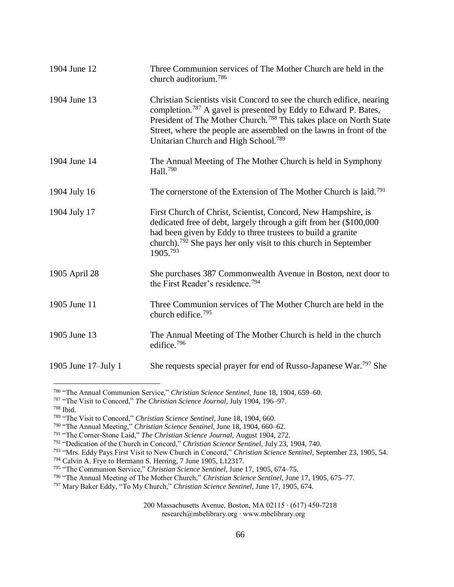| 1904 June 12        | Three Communion services of The Mother Church are held in the<br>church auditorium. <sup>786</sup>                                                                                                                                                                                                                                                                |
|---------------------|-------------------------------------------------------------------------------------------------------------------------------------------------------------------------------------------------------------------------------------------------------------------------------------------------------------------------------------------------------------------|
| 1904 June 13        | Christian Scientists visit Concord to see the church edifice, nearing<br>completion. <sup>787</sup> A gavel is presented by Eddy to Edward P. Bates,<br>President of The Mother Church. <sup>788</sup> This takes place on North State<br>Street, where the people are assembled on the lawns in front of the<br>Unitarian Church and High School. <sup>789</sup> |
| 1904 June 14        | The Annual Meeting of The Mother Church is held in Symphony<br>Hall. <sup>790</sup>                                                                                                                                                                                                                                                                               |
| 1904 July 16        | The cornerstone of the Extension of The Mother Church is laid. <sup>791</sup>                                                                                                                                                                                                                                                                                     |
| 1904 July 17        | First Church of Christ, Scientist, Concord, New Hampshire, is<br>dedicated free of debt, largely through a gift from her (\$100,000<br>had been given by Eddy to three trustees to build a granite<br>church). <sup>792</sup> She pays her only visit to this church in September<br>1905.793                                                                     |
| 1905 April 28       | She purchases 387 Commonwealth Avenue in Boston, next door to<br>the First Reader's residence. <sup>794</sup>                                                                                                                                                                                                                                                     |
| 1905 June 11        | Three Communion services of The Mother Church are held in the<br>church edifice. <sup>795</sup>                                                                                                                                                                                                                                                                   |
| 1905 June 13        | The Annual Meeting of The Mother Church is held in the church<br>edifice. <sup>796</sup>                                                                                                                                                                                                                                                                          |
| 1905 June 17–July 1 | She requests special prayer for end of Russo-Japanese War. <sup>797</sup> She                                                                                                                                                                                                                                                                                     |

<sup>786</sup> "The Annual Communion Service," *Christian Science Sentinel,* June 18, 1904, 659–60.

<sup>787</sup> "The Visit to Concord," *The Christian Science Journal,* July 1904, 196–97.

<sup>788</sup> Ibid.

<sup>789</sup> "The Visit to Concord," *Christian Science Sentinel,* June 18, 1904, 660.

<sup>790</sup> "The Annual Meeting," *Christian Science Sentinel,* June 18, 1904, 660–62.

<sup>791</sup> "The Corner-Stone Laid," *The Christian Science Journal*, August 1904, 272.

<sup>792</sup> "Dedication of the Church in Concord," *Christian Science Sentinel*, July 23, 1904, 740.

<sup>793</sup> "Mrs. Eddy Pays First Visit to New Church in Concord," *Christian Science Sentinel*, September 23, 1905, 54.

<sup>794</sup> Calvin A. Frye to Hermann S. Herring, 7 June 1905, L12317.

<sup>795</sup> "The Communion Service," *Christian Science Sentinel,* June 17, 1905, 674–75.

<sup>796</sup> "The Annual Meeting of The Mother Church," *Christian Science Sentinel,* June 17, 1905, 675–77.

<sup>797</sup> Mary Baker Eddy, "To My Church," *Christian Science Sentinel,* June 17, 1905, 674.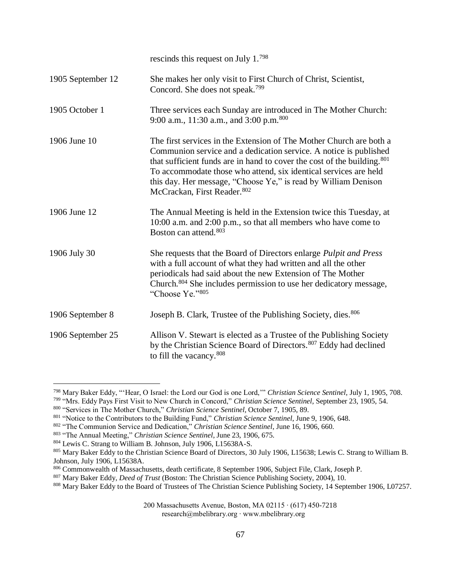|                   | rescinds this request on July 1.798                                                                                                                                                                                                                                                                                                                                                                   |
|-------------------|-------------------------------------------------------------------------------------------------------------------------------------------------------------------------------------------------------------------------------------------------------------------------------------------------------------------------------------------------------------------------------------------------------|
| 1905 September 12 | She makes her only visit to First Church of Christ, Scientist,<br>Concord. She does not speak. <sup>799</sup>                                                                                                                                                                                                                                                                                         |
| 1905 October 1    | Three services each Sunday are introduced in The Mother Church:<br>9:00 a.m., 11:30 a.m., and 3:00 p.m. <sup>800</sup>                                                                                                                                                                                                                                                                                |
| 1906 June 10      | The first services in the Extension of The Mother Church are both a<br>Communion service and a dedication service. A notice is published<br>that sufficient funds are in hand to cover the cost of the building. <sup>801</sup><br>To accommodate those who attend, six identical services are held<br>this day. Her message, "Choose Ye," is read by William Denison<br>McCrackan, First Reader. 802 |
| 1906 June 12      | The Annual Meeting is held in the Extension twice this Tuesday, at<br>10:00 a.m. and 2:00 p.m., so that all members who have come to<br>Boston can attend. <sup>803</sup>                                                                                                                                                                                                                             |
| 1906 July 30      | She requests that the Board of Directors enlarge Pulpit and Press<br>with a full account of what they had written and all the other<br>periodicals had said about the new Extension of The Mother<br>Church. <sup>804</sup> She includes permission to use her dedicatory message,<br>"Choose Ye."805                                                                                                 |
| 1906 September 8  | Joseph B. Clark, Trustee of the Publishing Society, dies. 806                                                                                                                                                                                                                                                                                                                                         |
| 1906 September 25 | Allison V. Stewart is elected as a Trustee of the Publishing Society<br>by the Christian Science Board of Directors. 807 Eddy had declined<br>to fill the vacancy. <sup>808</sup>                                                                                                                                                                                                                     |

<sup>798</sup> Mary Baker Eddy, "'Hear, O Israel: the Lord our God is one Lord,'" *Christian Science Sentinel,* July 1, 1905, 708. <sup>799</sup> "Mrs. Eddy Pays First Visit to New Church in Concord," *Christian Science Sentinel*, September 23, 1905, 54.

200 Massachusetts Avenue, Boston, MA 02115 ∙ (617) 450-7218

research@mbelibrary.org ∙ www.mbelibrary.org

<sup>800</sup> "Services in The Mother Church," *Christian Science Sentinel,* October 7, 1905, 89.

<sup>801</sup> "Notice to the Contributors to the Building Fund," *Christian Science Sentinel*, June 9, 1906, 648.

<sup>802</sup> "The Communion Service and Dedication," *Christian Science Sentinel*, June 16, 1906, 660.

<sup>803</sup> "The Annual Meeting," *Christian Science Sentinel*, June 23, 1906, 675.

<sup>804</sup> Lewis C. Strang to William B. Johnson, July 1906, L15638A-S.

<sup>805</sup> Mary Baker Eddy to the Christian Science Board of Directors, 30 July 1906, L15638; Lewis C. Strang to William B. Johnson, July 1906, L15638A.

<sup>806</sup> Commonwealth of Massachusetts, death certificate, 8 September 1906, Subject File, Clark, Joseph P.

<sup>807</sup> Mary Baker Eddy, *Deed of Trust* (Boston: The Christian Science Publishing Society, 2004), 10.

<sup>808</sup> Mary Baker Eddy to the Board of Trustees of The Christian Science Publishing Society, 14 September 1906, L07257.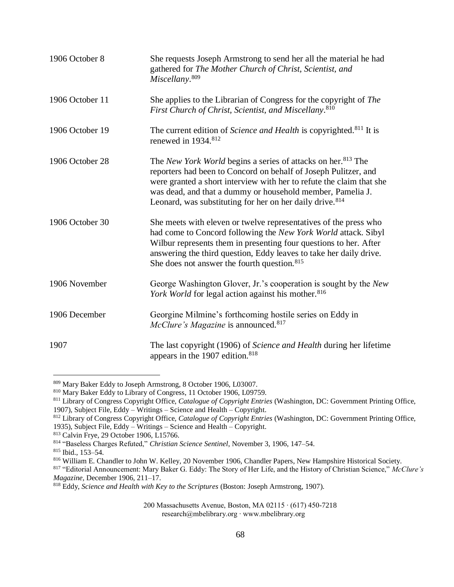| 1906 October 8  | She requests Joseph Armstrong to send her all the material he had<br>gathered for The Mother Church of Christ, Scientist, and<br>Miscellany. <sup>809</sup>                                                                                                                                                                                               |
|-----------------|-----------------------------------------------------------------------------------------------------------------------------------------------------------------------------------------------------------------------------------------------------------------------------------------------------------------------------------------------------------|
| 1906 October 11 | She applies to the Librarian of Congress for the copyright of The<br>First Church of Christ, Scientist, and Miscellany. <sup>810</sup>                                                                                                                                                                                                                    |
| 1906 October 19 | The current edition of Science and Health is copyrighted. <sup>811</sup> It is<br>renewed in 1934. <sup>812</sup>                                                                                                                                                                                                                                         |
| 1906 October 28 | The New York World begins a series of attacks on her. <sup>813</sup> The<br>reporters had been to Concord on behalf of Joseph Pulitzer, and<br>were granted a short interview with her to refute the claim that she<br>was dead, and that a dummy or household member, Pamelia J.<br>Leonard, was substituting for her on her daily drive. <sup>814</sup> |
| 1906 October 30 | She meets with eleven or twelve representatives of the press who<br>had come to Concord following the New York World attack. Sibyl<br>Wilbur represents them in presenting four questions to her. After<br>answering the third question, Eddy leaves to take her daily drive.<br>She does not answer the fourth question. <sup>815</sup>                  |
| 1906 November   | George Washington Glover, Jr.'s cooperation is sought by the New<br>York World for legal action against his mother. <sup>816</sup>                                                                                                                                                                                                                        |
| 1906 December   | Georgine Milmine's forthcoming hostile series on Eddy in<br><i>McClure's Magazine</i> is announced. <sup>817</sup>                                                                                                                                                                                                                                        |
| 1907            | The last copyright (1906) of Science and Health during her lifetime<br>appears in the 1907 edition. <sup>818</sup>                                                                                                                                                                                                                                        |

<sup>809</sup> Mary Baker Eddy to Joseph Armstrong, 8 October 1906, L03007.

813 Calvin Frye, 29 October 1906, L15766.

 $\overline{a}$ 

<sup>810</sup> Mary Baker Eddy to Library of Congress, 11 October 1906, L09759.

<sup>811</sup> Library of Congress Copyright Office, *Catalogue of Copyright Entries* (Washington, DC: Government Printing Office, 1907), Subject File, Eddy – Writings – Science and Health – Copyright.

<sup>812</sup> Library of Congress Copyright Office, *Catalogue of Copyright Entries* (Washington, DC: Government Printing Office, 1935), Subject File, Eddy – Writings – Science and Health – Copyright.

<sup>814</sup> "Baseless Charges Refuted," *Christian Science Sentinel*, November 3, 1906, 147–54.

<sup>815</sup> Ibid., 153–54.

<sup>816</sup> William E. Chandler to John W. Kelley, 20 November 1906, Chandler Papers, New Hampshire Historical Society.

<sup>817</sup> "Editorial Announcement: Mary Baker G. Eddy: The Story of Her Life, and the History of Christian Science," *McClure's Magazine,* December 1906, 211–17.

<sup>818</sup> Eddy, *Science and Health with Key to the Scriptures* (Boston: Joseph Armstrong, 1907).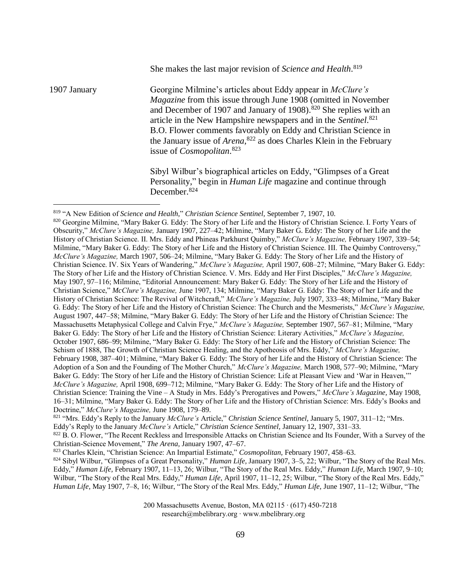1907 January Georgine Milmine's articles about Eddy appear in *McClure's Magazine* from this issue through June 1908 (omitted in November and December of 1907 and January of 1908).<sup>820</sup> She replies with an article in the New Hampshire newspapers and in the *Sentinel*. 821 B.O. Flower comments favorably on Eddy and Christian Science in the January issue of *Arena*, <sup>822</sup> as does Charles Klein in the February issue of *Cosmopolitan*. 823

> Sibyl Wilbur's biographical articles on Eddy, "Glimpses of a Great Personality," begin in *Human Life* magazine and continue through December.<sup>824</sup>

She makes the last major revision of *Science and Health*. 819

 $\overline{a}$ 

820 Georgine Milmine, "Mary Baker G. Eddy: The Story of her Life and the History of Christian Science. I. Forty Years of Obscurity," *McClure's Magazine,* January 1907, 227–42; Milmine, "Mary Baker G. Eddy: The Story of her Life and the History of Christian Science. II. Mrs. Eddy and Phineas Parkhurst Quimby," *McClure's Magazine,* February 1907, 339–54; Milmine, "Mary Baker G. Eddy: The Story of her Life and the History of Christian Science. III. The Quimby Controversy," *McClure's Magazine,* March 1907, 506–24; Milmine, "Mary Baker G. Eddy: The Story of her Life and the History of Christian Science. IV. Six Years of Wandering," *McClure's Magazine,* April 1907, 608–27; Milmine, "Mary Baker G. Eddy: The Story of her Life and the History of Christian Science. V. Mrs. Eddy and Her First Disciples," *McClure's Magazine,*  May 1907, 97–116; Milmine, "Editorial Announcement: Mary Baker G. Eddy: The Story of her Life and the History of Christian Science," *McClure's Magazine,* June 1907, 134; Milmine, "Mary Baker G. Eddy: The Story of her Life and the History of Christian Science: The Revival of Witchcraft," *McClure's Magazine,* July 1907, 333–48; Milmine, "Mary Baker G. Eddy: The Story of her Life and the History of Christian Science: The Church and the Mesmerists," *McClure's Magazine,*  August 1907, 447–58; Milmine, "Mary Baker G. Eddy: The Story of her Life and the History of Christian Science: The Massachusetts Metaphysical College and Calvin Frye," *McClure's Magazine,* September 1907, 567–81; Milmine, "Mary Baker G. Eddy: The Story of her Life and the History of Christian Science: Literary Activities," *McClure's Magazine,*  October 1907, 686–99; Milmine, "Mary Baker G. Eddy: The Story of her Life and the History of Christian Science: The Schism of 1888, The Growth of Christian Science Healing, and the Apotheosis of Mrs. Eddy," *McClure's Magazine,*  February 1908, 387–401; Milmine, "Mary Baker G. Eddy: The Story of her Life and the History of Christian Science: The Adoption of a Son and the Founding of The Mother Church," *McClure's Magazine,* March 1908, 577–90; Milmine, "Mary Baker G. Eddy: The Story of her Life and the History of Christian Science: Life at Pleasant View and 'War in Heaven,'" *McClure's Magazine,* April 1908, 699–712; Milmine, "Mary Baker G. Eddy: The Story of her Life and the History of Christian Science: Training the Vine – A Study in Mrs. Eddy's Prerogatives and Powers," *McClure's Magazine,* May 1908, 16–31; Milmine, "Mary Baker G. Eddy: The Story of her Life and the History of Christian Science: Mrs. Eddy's Books and Doctrine," *McClure's Magazine,* June 1908, 179–89.

<sup>821</sup> "Mrs. Eddy's Reply to the January *McClure's* Article," *Christian Science Sentinel,* January 5, 1907, 311–12; "Mrs.

Eddy's Reply to the January *McClure's* Article," *Christian Science Sentinel,* January 12, 1907, 331–33.

<sup>822</sup> B. O. Flower, "The Recent Reckless and Irresponsible Attacks on Christian Science and Its Founder, With a Survey of the Christian-Science Movement," *The Arena,* January 1907, 47–67.

<sup>823</sup> Charles Klein, "Christian Science: An Impartial Estimate," *Cosmopolitan,* February 1907, 458–63.

<sup>824</sup> Sibyl Wilbur, "Glimpses of a Great Personality," *Human Life,* January 1907, 3–5, 22; Wilbur, "The Story of the Real Mrs. Eddy," *Human Life,* February 1907, 11–13, 26; Wilbur, "The Story of the Real Mrs. Eddy," *Human Life,* March 1907, 9–10; Wilbur, "The Story of the Real Mrs. Eddy," *Human Life,* April 1907, 11–12, 25; Wilbur, "The Story of the Real Mrs. Eddy," *Human Life,* May 1907, 7–8, 16; Wilbur, "The Story of the Real Mrs. Eddy," *Human Life,* June 1907, 11–12; Wilbur, "The

<sup>819</sup> "A New Edition of *Science and Health,*" *Christian Science Sentinel,* September 7, 1907, 10.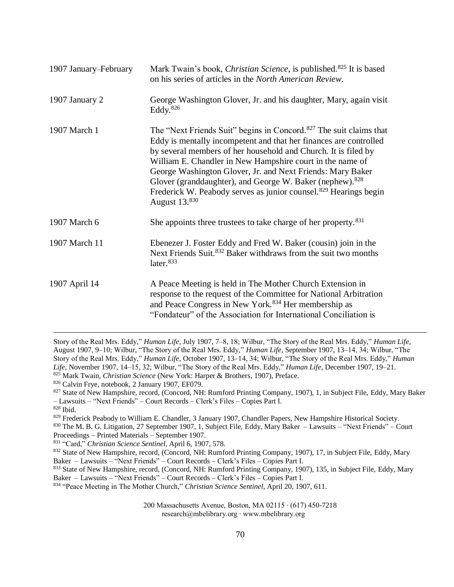| 1907 January-February | Mark Twain's book, <i>Christian Science</i> , is published. <sup>825</sup> It is based<br>on his series of articles in the North American Review.                                                                                                                                                                                                                                                                                                                                                                         |
|-----------------------|---------------------------------------------------------------------------------------------------------------------------------------------------------------------------------------------------------------------------------------------------------------------------------------------------------------------------------------------------------------------------------------------------------------------------------------------------------------------------------------------------------------------------|
| 1907 January 2        | George Washington Glover, Jr. and his daughter, Mary, again visit<br>Eddy. <sup>826</sup>                                                                                                                                                                                                                                                                                                                                                                                                                                 |
| 1907 March 1          | The "Next Friends Suit" begins in Concord. <sup>827</sup> The suit claims that<br>Eddy is mentally incompetent and that her finances are controlled<br>by several members of her household and Church. It is filed by<br>William E. Chandler in New Hampshire court in the name of<br>George Washington Glover, Jr. and Next Friends: Mary Baker<br>Glover (granddaughter), and George W. Baker (nephew). <sup>828</sup><br>Frederick W. Peabody serves as junior counsel. <sup>829</sup> Hearings begin<br>August 13.830 |
| 1907 March 6          | She appoints three trustees to take charge of her property. <sup>831</sup>                                                                                                                                                                                                                                                                                                                                                                                                                                                |
| 1907 March 11         | Ebenezer J. Foster Eddy and Fred W. Baker (cousin) join in the<br>Next Friends Suit. <sup>832</sup> Baker withdraws from the suit two months<br>later. <sup>833</sup>                                                                                                                                                                                                                                                                                                                                                     |
| 1907 April 14         | A Peace Meeting is held in The Mother Church Extension in<br>response to the request of the Committee for National Arbitration<br>and Peace Congress in New York. <sup>834</sup> Her membership as<br>"Fondateur" of the Association for International Conciliation is                                                                                                                                                                                                                                                    |

Story of the Real Mrs. Eddy," *Human Life,* July 1907, 7–8, 18; Wilbur, "The Story of the Real Mrs. Eddy," *Human Life,* August 1907, 9–10; Wilbur, "The Story of the Real Mrs. Eddy," *Human Life,* September 1907, 13–14, 34; Wilbur, "The Story of the Real Mrs. Eddy," *Human Life,* October 1907, 13–14, 34; Wilbur, "The Story of the Real Mrs. Eddy," *Human Life,* November 1907, 14–15, 32; Wilbur, "The Story of the Real Mrs. Eddy," *Human Life,* December 1907, 19–21. <sup>825</sup> Mark Twain, *Christian Science* (New York: Harper & Brothers, 1907), Preface.

<sup>826</sup> Calvin Frye, notebook, 2 January 1907, EF079.

<sup>827</sup> State of New Hampshire, record, (Concord, NH: Rumford Printing Company, 1907), 1, in Subject File, Eddy, Mary Baker – Lawsuits – "Next Friends" – Court Records – Clerk's Files – Copies Part I.

 $\overline{a}$ 

<sup>829</sup> Frederick Peabody to William E. Chandler, 3 January 1907, Chandler Papers, New Hampshire Historical Society.

<sup>830</sup> The M. B. G. Litigation, 27 September 1907, 1, Subject File, Eddy, Mary Baker – Lawsuits – "Next Friends" – Court Proceedings – Printed Materials – September 1907.

<sup>831</sup> "Card," *Christian Science Sentinel,* April 6, 1907, 578.

833 State of New Hampshire, record, (Concord, NH: Rumford Printing Company, 1907), 135, in Subject File, Eddy, Mary Baker – Lawsuits – "Next Friends" – Court Records – Clerk's Files – Copies Part I.

<sup>834</sup> "Peace Meeting in The Mother Church," *Christian Science Sentinel*, April 20, 1907, 611.

<sup>828</sup> Ibid.

<sup>832</sup> State of New Hampshire, record, (Concord, NH: Rumford Printing Company, 1907), 17, in Subject File, Eddy, Mary Baker – Lawsuits – "Next Friends" – Court Records – Clerk's Files – Copies Part I.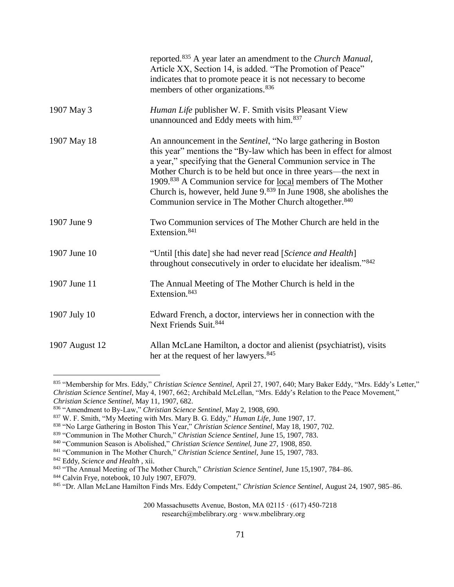|                | reported. <sup>835</sup> A year later an amendment to the <i>Church Manual</i> ,<br>Article XX, Section 14, is added. "The Promotion of Peace"<br>indicates that to promote peace it is not necessary to become<br>members of other organizations. <sup>836</sup>                                                                                                                                                                                                                               |
|----------------|-------------------------------------------------------------------------------------------------------------------------------------------------------------------------------------------------------------------------------------------------------------------------------------------------------------------------------------------------------------------------------------------------------------------------------------------------------------------------------------------------|
| 1907 May 3     | Human Life publisher W. F. Smith visits Pleasant View<br>unannounced and Eddy meets with him. <sup>837</sup>                                                                                                                                                                                                                                                                                                                                                                                    |
| 1907 May 18    | An announcement in the <i>Sentinel</i> , "No large gathering in Boston<br>this year" mentions the "By-law which has been in effect for almost<br>a year," specifying that the General Communion service in The<br>Mother Church is to be held but once in three years—the next in<br>1909.838 A Communion service for local members of The Mother<br>Church is, however, held June $9.839$ In June 1908, she abolishes the<br>Communion service in The Mother Church altogether. <sup>840</sup> |
| 1907 June 9    | Two Communion services of The Mother Church are held in the<br>Extension. <sup>841</sup>                                                                                                                                                                                                                                                                                                                                                                                                        |
| 1907 June 10   | "Until [this date] she had never read [Science and Health]<br>throughout consecutively in order to elucidate her idealism."842                                                                                                                                                                                                                                                                                                                                                                  |
| 1907 June 11   | The Annual Meeting of The Mother Church is held in the<br>Extension. <sup>843</sup>                                                                                                                                                                                                                                                                                                                                                                                                             |
| 1907 July 10   | Edward French, a doctor, interviews her in connection with the<br>Next Friends Suit. 844                                                                                                                                                                                                                                                                                                                                                                                                        |
| 1907 August 12 | Allan McLane Hamilton, a doctor and alienist (psychiatrist), visits<br>her at the request of her lawyers. <sup>845</sup>                                                                                                                                                                                                                                                                                                                                                                        |

<sup>835</sup> "Membership for Mrs. Eddy," *Christian Science Sentinel,* April 27, 1907, 640; Mary Baker Eddy, "Mrs. Eddy's Letter," *Christian Science Sentinel,* May 4, 1907, 662; Archibald McLellan, "Mrs. Eddy's Relation to the Peace Movement," *Christian Science Sentinel,* May 11, 1907, 682.

<sup>836</sup> "Amendment to By-Law," *Christian Science Sentinel*, May 2, 1908, 690.

<sup>837</sup> W. F. Smith, "My Meeting with Mrs. Mary B. G. Eddy," *Human Life*, June 1907, 17.

<sup>838</sup> "No Large Gathering in Boston This Year," *Christian Science Sentinel,* May 18, 1907, 702.

<sup>839</sup> "Communion in The Mother Church," *Christian Science Sentinel,* June 15, 1907, 783.

<sup>840</sup> "Communion Season is Abolished," *Christian Science Sentinel,* June 27, 1908, 850.

<sup>841</sup> "Communion in The Mother Church," *Christian Science Sentinel,* June 15, 1907, 783.

<sup>842</sup> Eddy, *Science and Health* , xii.

<sup>843</sup> "The Annual Meeting of The Mother Church," *Christian Science Sentinel,* June 15,1907, 784–86.

<sup>844</sup> Calvin Frye, notebook, 10 July 1907, EF079.

<sup>845</sup> "Dr. Allan McLane Hamilton Finds Mrs. Eddy Competent," *Christian Science Sentinel*, August 24, 1907, 985–86.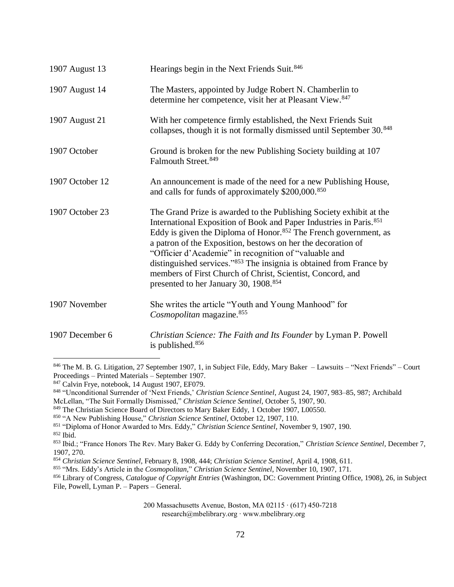| 1907 August 13  | Hearings begin in the Next Friends Suit. <sup>846</sup>                                                                                                                                                                                                                                                                                                                                                                                                                                                                                                  |
|-----------------|----------------------------------------------------------------------------------------------------------------------------------------------------------------------------------------------------------------------------------------------------------------------------------------------------------------------------------------------------------------------------------------------------------------------------------------------------------------------------------------------------------------------------------------------------------|
| 1907 August 14  | The Masters, appointed by Judge Robert N. Chamberlin to<br>determine her competence, visit her at Pleasant View. <sup>847</sup>                                                                                                                                                                                                                                                                                                                                                                                                                          |
| 1907 August 21  | With her competence firmly established, the Next Friends Suit<br>collapses, though it is not formally dismissed until September 30. <sup>848</sup>                                                                                                                                                                                                                                                                                                                                                                                                       |
| 1907 October    | Ground is broken for the new Publishing Society building at 107<br>Falmouth Street. 849                                                                                                                                                                                                                                                                                                                                                                                                                                                                  |
| 1907 October 12 | An announcement is made of the need for a new Publishing House,<br>and calls for funds of approximately \$200,000.850                                                                                                                                                                                                                                                                                                                                                                                                                                    |
| 1907 October 23 | The Grand Prize is awarded to the Publishing Society exhibit at the<br>International Exposition of Book and Paper Industries in Paris. <sup>851</sup><br>Eddy is given the Diploma of Honor. <sup>852</sup> The French government, as<br>a patron of the Exposition, bestows on her the decoration of<br>"Officier d'Academie" in recognition of "valuable and<br>distinguished services."853 The insignia is obtained from France by<br>members of First Church of Christ, Scientist, Concord, and<br>presented to her January 30, 1908. <sup>854</sup> |
| 1907 November   | She writes the article "Youth and Young Manhood" for<br>Cosmopolitan magazine. <sup>855</sup>                                                                                                                                                                                                                                                                                                                                                                                                                                                            |
| 1907 December 6 | Christian Science: The Faith and Its Founder by Lyman P. Powell<br>is published. <sup>856</sup>                                                                                                                                                                                                                                                                                                                                                                                                                                                          |

<sup>846</sup> The M. B. G. Litigation, 27 September 1907, 1, in Subject File, Eddy, Mary Baker – Lawsuits – "Next Friends" – Court Proceedings – Printed Materials – September 1907.

<sup>852</sup> Ibid.

 $\overline{a}$ 

<sup>847</sup> Calvin Frye, notebook, 14 August 1907, EF079.

<sup>848</sup> "Unconditional Surrender of 'Next Friends,' *Christian Science Sentinel*, August 24, 1907, 983–85, 987; Archibald McLellan, "The Suit Formally Dismissed," *Christian Science Sentinel,* October 5, 1907, 90.

<sup>849</sup> The Christian Science Board of Directors to Mary Baker Eddy, 1 October 1907, L00550.

<sup>850</sup> "A New Publishing House," *Christian Science Sentinel,* October 12, 1907, 110.

<sup>851</sup> "Diploma of Honor Awarded to Mrs. Eddy," *Christian Science Sentinel*, November 9, 1907, 190.

<sup>853</sup> Ibid.; "France Honors The Rev. Mary Baker G. Eddy by Conferring Decoration," *Christian Science Sentinel,* December 7, 1907, 270.

<sup>854</sup> *Christian Science Sentinel,* February 8, 1908, 444; *Christian Science Sentinel,* April 4, 1908, 611.

<sup>855</sup> "Mrs. Eddy's Article in the *Cosmopolitan,*" *Christian Science Sentinel*, November 10, 1907, 171.

<sup>856</sup> Library of Congress, *Catalogue of Copyright Entries* (Washington, DC: Government Printing Office, 1908), 26, in Subject File, Powell, Lyman P. – Papers – General.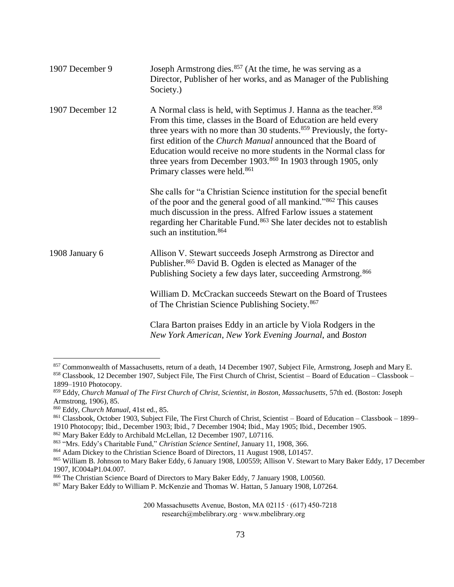| 1907 December 9  | Joseph Armstrong dies. <sup>857</sup> (At the time, he was serving as a<br>Director, Publisher of her works, and as Manager of the Publishing<br>Society.)                                                                                                                                                                                                                                                                                                                                |
|------------------|-------------------------------------------------------------------------------------------------------------------------------------------------------------------------------------------------------------------------------------------------------------------------------------------------------------------------------------------------------------------------------------------------------------------------------------------------------------------------------------------|
| 1907 December 12 | A Normal class is held, with Septimus J. Hanna as the teacher. <sup>858</sup><br>From this time, classes in the Board of Education are held every<br>three years with no more than 30 students. <sup>859</sup> Previously, the forty-<br>first edition of the Church Manual announced that the Board of<br>Education would receive no more students in the Normal class for<br>three years from December 1903.860 In 1903 through 1905, only<br>Primary classes were held. <sup>861</sup> |
|                  | She calls for "a Christian Science institution for the special benefit<br>of the poor and the general good of all mankind." <sup>862</sup> This causes<br>much discussion in the press. Alfred Farlow issues a statement<br>regarding her Charitable Fund. <sup>863</sup> She later decides not to establish<br>such an institution. <sup>864</sup>                                                                                                                                       |
| 1908 January 6   | Allison V. Stewart succeeds Joseph Armstrong as Director and<br>Publisher. <sup>865</sup> David B. Ogden is elected as Manager of the<br>Publishing Society a few days later, succeeding Armstrong. <sup>866</sup>                                                                                                                                                                                                                                                                        |
|                  | William D. McCrackan succeeds Stewart on the Board of Trustees<br>of The Christian Science Publishing Society. <sup>867</sup>                                                                                                                                                                                                                                                                                                                                                             |
|                  | Clara Barton praises Eddy in an article by Viola Rodgers in the<br>New York American, New York Evening Journal, and Boston                                                                                                                                                                                                                                                                                                                                                                |

<sup>&</sup>lt;sup>857</sup> Commonwealth of Massachusetts, return of a death, 14 December 1907, Subject File, Armstrong, Joseph and Mary E. 858 Classbook, 12 December 1907, Subject File, The First Church of Christ, Scientist – Board of Education – Classbook – 1899–1910 Photocopy.

<sup>859</sup> Eddy, *Church Manual of The First Church of Christ, Scientist, in Boston, Massachusetts,* 57th ed. (Boston: Joseph Armstrong, 1906), 85.

<sup>860</sup> Eddy, *Church Manual,* 41st ed., 85.

<sup>861</sup> Classbook, October 1903, Subject File, The First Church of Christ, Scientist – Board of Education – Classbook – 1899– 1910 Photocopy; Ibid., December 1903; Ibid., 7 December 1904; Ibid., May 1905; Ibid., December 1905.

<sup>862</sup> Mary Baker Eddy to Archibald McLellan, 12 December 1907, L07116.

<sup>863</sup> "Mrs. Eddy's Charitable Fund," *Christian Science Sentinel*, January 11, 1908, 366.

<sup>864</sup> Adam Dickey to the Christian Science Board of Directors, 11 August 1908, L01457.

<sup>865</sup> William B. Johnson to Mary Baker Eddy, 6 January 1908, L00559; Allison V. Stewart to Mary Baker Eddy, 17 December 1907, IC004aP1.04.007.

<sup>866</sup> The Christian Science Board of Directors to Mary Baker Eddy, 7 January 1908, L00560.

<sup>867</sup> Mary Baker Eddy to William P. McKenzie and Thomas W. Hattan, 5 January 1908, L07264.

<sup>200</sup> Massachusetts Avenue, Boston, MA 02115 ∙ (617) 450-7218 research@mbelibrary.org ∙ www.mbelibrary.org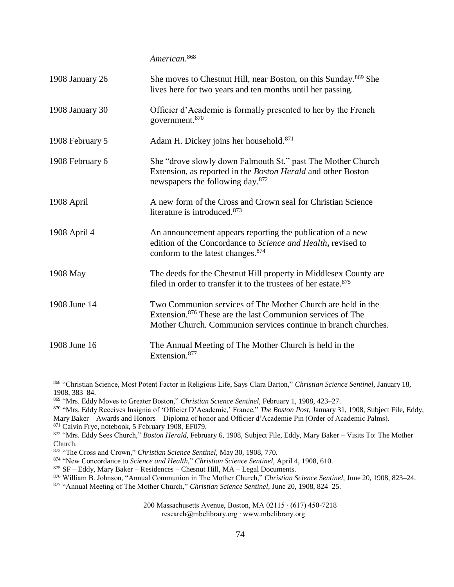*American*. 868

| 1908 January 26 | She moves to Chestnut Hill, near Boston, on this Sunday. <sup>869</sup> She<br>lives here for two years and ten months until her passing.                                                               |
|-----------------|---------------------------------------------------------------------------------------------------------------------------------------------------------------------------------------------------------|
| 1908 January 30 | Officier d'Academie is formally presented to her by the French<br>government. <sup>870</sup>                                                                                                            |
| 1908 February 5 | Adam H. Dickey joins her household. <sup>871</sup>                                                                                                                                                      |
| 1908 February 6 | She "drove slowly down Falmouth St." past The Mother Church<br>Extension, as reported in the <i>Boston Herald</i> and other Boston<br>newspapers the following day. <sup>872</sup>                      |
| 1908 April      | A new form of the Cross and Crown seal for Christian Science<br>literature is introduced. <sup>873</sup>                                                                                                |
| 1908 April 4    | An announcement appears reporting the publication of a new<br>edition of the Concordance to Science and Health, revised to<br>conform to the latest changes. <sup>874</sup>                             |
| 1908 May        | The deeds for the Chestnut Hill property in Middlesex County are<br>filed in order to transfer it to the trustees of her estate. <sup>875</sup>                                                         |
| 1908 June 14    | Two Communion services of The Mother Church are held in the<br>Extension. <sup>876</sup> These are the last Communion services of The<br>Mother Church. Communion services continue in branch churches. |
| 1908 June 16    | The Annual Meeting of The Mother Church is held in the<br>Extension. <sup>877</sup>                                                                                                                     |

<sup>868</sup> "Christian Science, Most Potent Factor in Religious Life, Says Clara Barton," *Christian Science Sentinel,* January 18, 1908, 383–84.

<sup>869</sup> "Mrs. Eddy Moves to Greater Boston," *Christian Science Sentinel,* February 1, 1908, 423–27.

<sup>870</sup> "Mrs. Eddy Receives Insignia of 'Officier D'Academie,' France," *The Boston Post,* January 31, 1908, Subject File, Eddy, Mary Baker – Awards and Honors – Diploma of honor and Officier d'Academie Pin (Order of Academic Palms).

<sup>871</sup> Calvin Frye, notebook, 5 February 1908, EF079.

<sup>872</sup> "Mrs. Eddy Sees Church," *Boston Herald,* February 6, 1908, Subject File, Eddy, Mary Baker – Visits To: The Mother Church.

<sup>873</sup> "The Cross and Crown," *Christian Science Sentinel,* May 30, 1908, 770.

<sup>874</sup> "New Concordance to *Science and Health,*" *Christian Science Sentinel*, April 4, 1908, 610.

<sup>875</sup> SF – Eddy, Mary Baker – Residences – Chesnut Hill, MA – Legal Documents.

<sup>876</sup> William B. Johnson, "Annual Communion in The Mother Church," *Christian Science Sentinel,* June 20, 1908, 823–24.

<sup>877</sup> "Annual Meeting of The Mother Church," *Christian Science Sentinel,* June 20, 1908, 824–25.

<sup>200</sup> Massachusetts Avenue, Boston, MA 02115 ∙ (617) 450-7218

research@mbelibrary.org ∙ www.mbelibrary.org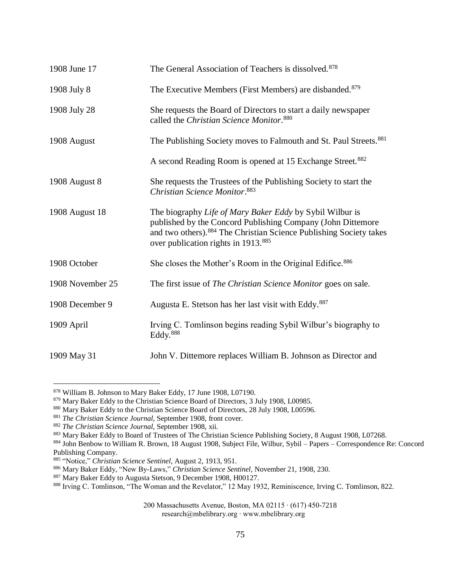| 1908 June 17     | The General Association of Teachers is dissolved. <sup>878</sup>                                                                                                                                                                                  |
|------------------|---------------------------------------------------------------------------------------------------------------------------------------------------------------------------------------------------------------------------------------------------|
| 1908 July 8      | The Executive Members (First Members) are disbanded. <sup>879</sup>                                                                                                                                                                               |
| 1908 July 28     | She requests the Board of Directors to start a daily newspaper<br>called the Christian Science Monitor. <sup>880</sup>                                                                                                                            |
| 1908 August      | The Publishing Society moves to Falmouth and St. Paul Streets. <sup>881</sup>                                                                                                                                                                     |
|                  | A second Reading Room is opened at 15 Exchange Street. <sup>882</sup>                                                                                                                                                                             |
| 1908 August 8    | She requests the Trustees of the Publishing Society to start the<br>Christian Science Monitor. <sup>883</sup>                                                                                                                                     |
| 1908 August 18   | The biography Life of Mary Baker Eddy by Sybil Wilbur is<br>published by the Concord Publishing Company (John Dittemore<br>and two others). 884 The Christian Science Publishing Society takes<br>over publication rights in 1913. <sup>885</sup> |
| 1908 October     | She closes the Mother's Room in the Original Edifice. <sup>886</sup>                                                                                                                                                                              |
| 1908 November 25 | The first issue of The Christian Science Monitor goes on sale.                                                                                                                                                                                    |
| 1908 December 9  | Augusta E. Stetson has her last visit with Eddy. <sup>887</sup>                                                                                                                                                                                   |
| 1909 April       | Irving C. Tomlinson begins reading Sybil Wilbur's biography to<br>Eddy. <sup>888</sup>                                                                                                                                                            |
| 1909 May 31      | John V. Dittemore replaces William B. Johnson as Director and                                                                                                                                                                                     |

<sup>878</sup> William B. Johnson to Mary Baker Eddy, 17 June 1908, L07190.

200 Massachusetts Avenue, Boston, MA 02115 ∙ (617) 450-7218

research@mbelibrary.org ∙ www.mbelibrary.org

<sup>879</sup> Mary Baker Eddy to the Christian Science Board of Directors, 3 July 1908, L00985.

<sup>880</sup> Mary Baker Eddy to the Christian Science Board of Directors, 28 July 1908, L00596.

<sup>881</sup> *The Christian Science Journal,* September 1908, front cover.

<sup>882</sup> *The Christian Science Journal,* September 1908, xii.

<sup>883</sup> Mary Baker Eddy to Board of Trustees of The Christian Science Publishing Society, 8 August 1908, L07268.

<sup>884</sup> John Benbow to William R. Brown, 18 August 1908, Subject File, Wilbur, Sybil – Papers – Correspondence Re: Concord Publishing Company.

<sup>885</sup> "Notice," *Christian Science Sentinel,* August 2, 1913, 951.

<sup>886</sup> Mary Baker Eddy, "New By-Laws," *Christian Science Sentinel*, November 21, 1908, 230.

<sup>887</sup> Mary Baker Eddy to Augusta Stetson, 9 December 1908, H00127.

<sup>888</sup> Irving C. Tomlinson, "The Woman and the Revelator," 12 May 1932, Reminiscence, Irving C. Tomlinson, 822.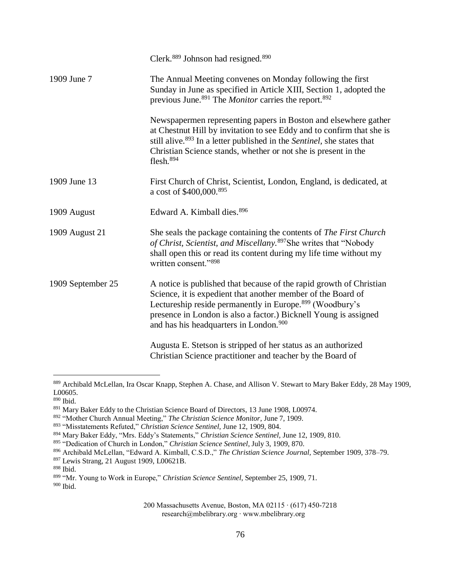|                   | Clerk. <sup>889</sup> Johnson had resigned. <sup>890</sup>                                                                                                                                                                                                                                                                            |
|-------------------|---------------------------------------------------------------------------------------------------------------------------------------------------------------------------------------------------------------------------------------------------------------------------------------------------------------------------------------|
| 1909 June 7       | The Annual Meeting convenes on Monday following the first<br>Sunday in June as specified in Article XIII, Section 1, adopted the<br>previous June. <sup>891</sup> The <i>Monitor</i> carries the report. <sup>892</sup>                                                                                                               |
|                   | Newspapermen representing papers in Boston and elsewhere gather<br>at Chestnut Hill by invitation to see Eddy and to confirm that she is<br>still alive. <sup>893</sup> In a letter published in the Sentinel, she states that<br>Christian Science stands, whether or not she is present in the<br>$f$ lesh. $894$                   |
| 1909 June 13      | First Church of Christ, Scientist, London, England, is dedicated, at<br>a cost of \$400,000.895                                                                                                                                                                                                                                       |
| 1909 August       | Edward A. Kimball dies. 896                                                                                                                                                                                                                                                                                                           |
| 1909 August 21    | She seals the package containing the contents of The First Church<br>of Christ, Scientist, and Miscellany. <sup>897</sup> She writes that "Nobody"<br>shall open this or read its content during my life time without my<br>written consent."898                                                                                      |
| 1909 September 25 | A notice is published that because of the rapid growth of Christian<br>Science, it is expedient that another member of the Board of<br>Lectureship reside permanently in Europe. <sup>899</sup> (Woodbury's<br>presence in London is also a factor.) Bicknell Young is assigned<br>and has his headquarters in London. <sup>900</sup> |
|                   | Augusta E. Stetson is stripped of her status as an authorized<br>Christian Science practitioner and teacher by the Board of                                                                                                                                                                                                           |

<sup>889</sup> Archibald McLellan, Ira Oscar Knapp, Stephen A. Chase, and Allison V. Stewart to Mary Baker Eddy, 28 May 1909, L00605.

<sup>890</sup> Ibid.

<sup>891</sup> Mary Baker Eddy to the Christian Science Board of Directors, 13 June 1908, L00974.

<sup>892</sup> "Mother Church Annual Meeting," *The Christian Science Monitor,* June 7, 1909.

<sup>893</sup> "Misstatements Refuted," *Christian Science Sentinel,* June 12, 1909, 804.

<sup>894</sup> Mary Baker Eddy, "Mrs. Eddy's Statements," *Christian Science Sentinel,* June 12, 1909, 810.

<sup>895</sup> "Dedication of Church in London," *Christian Science Sentinel*, July 3, 1909, 870.

<sup>896</sup> Archibald McLellan, "Edward A. Kimball, C.S.D.," *The Christian Science Journal,* September 1909, 378–79.

<sup>897</sup> Lewis Strang, 21 August 1909, L00621B.

<sup>898</sup> Ibid.

<sup>899</sup> "Mr. Young to Work in Europe," *Christian Science Sentinel*, September 25, 1909, 71. <sup>900</sup> Ibid.

<sup>200</sup> Massachusetts Avenue, Boston, MA 02115 ∙ (617) 450-7218 research@mbelibrary.org ∙ www.mbelibrary.org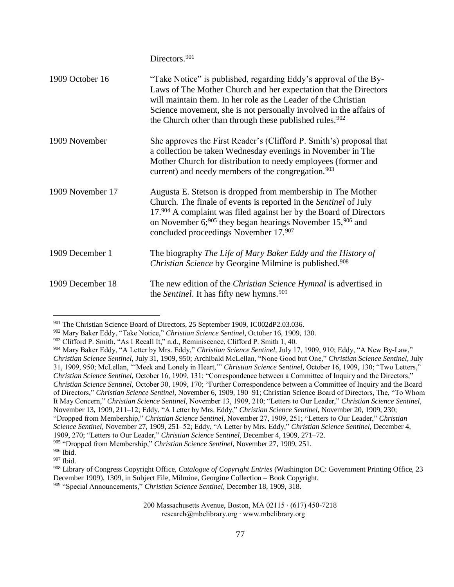|                  | Directors. <sup>901</sup>                                                                                                                                                                                                                                                                                                                           |
|------------------|-----------------------------------------------------------------------------------------------------------------------------------------------------------------------------------------------------------------------------------------------------------------------------------------------------------------------------------------------------|
| 1909 October 16  | "Take Notice" is published, regarding Eddy's approval of the By-<br>Laws of The Mother Church and her expectation that the Directors<br>will maintain them. In her role as the Leader of the Christian<br>Science movement, she is not personally involved in the affairs of<br>the Church other than through these published rules. <sup>902</sup> |
| 1909 November    | She approves the First Reader's (Clifford P. Smith's) proposal that<br>a collection be taken Wednesday evenings in November in The<br>Mother Church for distribution to needy employees (former and<br>current) and needy members of the congregation. <sup>903</sup>                                                                               |
| 1909 November 17 | Augusta E. Stetson is dropped from membership in The Mother<br>Church. The finale of events is reported in the Sentinel of July<br>17.904 A complaint was filed against her by the Board of Directors<br>on November $6;^{905}$ they began hearings November 15, <sup>906</sup> and<br>concluded proceedings November 17.907                        |
| 1909 December 1  | The biography The Life of Mary Baker Eddy and the History of<br>Christian Science by Georgine Milmine is published. <sup>908</sup>                                                                                                                                                                                                                  |
| 1909 December 18 | The new edition of the <i>Christian Science Hymnal</i> is advertised in<br>the <i>Sentinel</i> . It has fifty new hymns. <sup>909</sup>                                                                                                                                                                                                             |

<sup>901</sup> The Christian Science Board of Directors, 25 September 1909, IC002dP2.03.036.

<sup>902</sup> Mary Baker Eddy, "Take Notice," *Christian Science Sentinel*, October 16, 1909, 130.

<sup>903</sup> Clifford P. Smith, "As I Recall It," n.d., Reminiscence, Clifford P. Smith 1, 40.

<sup>904</sup> Mary Baker Eddy, "A Letter by Mrs. Eddy," *Christian Science Sentinel,* July 17, 1909, 910; Eddy, "A New By-Law," *Christian Science Sentinel,* July 31, 1909, 950; Archibald McLellan, "None Good but One," *Christian Science Sentinel,* July 31, 1909, 950; McLellan, "'Meek and Lonely in Heart,'" *Christian Science Sentinel,* October 16, 1909, 130; "Two Letters," *Christian Science Sentinel,* October 16, 1909, 131; "Correspondence between a Committee of Inquiry and the Directors," *Christian Science Sentinel,* October 30, 1909, 170; "Further Correspondence between a Committee of Inquiry and the Board of Directors," *Christian Science Sentinel,* November 6, 1909, 190–91; Christian Science Board of Directors, The, "To Whom It May Concern," *Christian Science Sentinel,* November 13, 1909, 210; "Letters to Our Leader," *Christian Science Sentinel,*  November 13, 1909, 211–12; Eddy, "A Letter by Mrs. Eddy," *Christian Science Sentinel,* November 20, 1909, 230; "Dropped from Membership," *Christian Science Sentinel,* November 27, 1909, 251; "Letters to Our Leader," *Christian Science Sentinel,* November 27, 1909, 251–52; Eddy, "A Letter by Mrs. Eddy," *Christian Science Sentinel,* December 4, 1909, 270; "Letters to Our Leader," *Christian Science Sentinel,* December 4, 1909, 271–72. <sup>905</sup> "Dropped from Membership," *Christian Science Sentinel,* November 27, 1909, 251.

<sup>906</sup> Ibid.

<sup>907</sup> Ibid.

<sup>908</sup> Library of Congress Copyright Office, *Catalogue of Copyright Entries* (Washington DC: Government Printing Office, 23 December 1909), 1309, in Subject File, Milmine, Georgine Collection – Book Copyright. <sup>909</sup> "Special Announcements," *Christian Science Sentinel,* December 18, 1909, 318.

<sup>200</sup> Massachusetts Avenue, Boston, MA 02115 ∙ (617) 450-7218 research@mbelibrary.org ∙ www.mbelibrary.org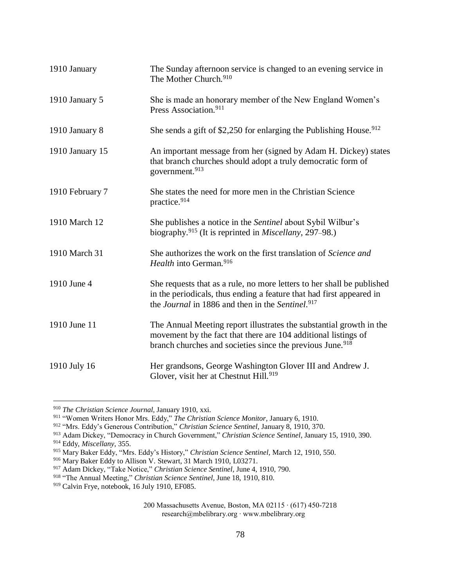| 1910 January    | The Sunday afternoon service is changed to an evening service in<br>The Mother Church. <sup>910</sup>                                                                                                          |
|-----------------|----------------------------------------------------------------------------------------------------------------------------------------------------------------------------------------------------------------|
| 1910 January 5  | She is made an honorary member of the New England Women's<br>Press Association. <sup>911</sup>                                                                                                                 |
| 1910 January 8  | She sends a gift of \$2,250 for enlarging the Publishing House. $912$                                                                                                                                          |
| 1910 January 15 | An important message from her (signed by Adam H. Dickey) states<br>that branch churches should adopt a truly democratic form of<br>government. <sup>913</sup>                                                  |
| 1910 February 7 | She states the need for more men in the Christian Science<br>practice. <sup>914</sup>                                                                                                                          |
| 1910 March 12   | She publishes a notice in the Sentinel about Sybil Wilbur's<br>biography. <sup>915</sup> (It is reprinted in <i>Miscellany</i> , 297–98.)                                                                      |
| 1910 March 31   | She authorizes the work on the first translation of Science and<br>Health into German. <sup>916</sup>                                                                                                          |
| 1910 June 4     | She requests that as a rule, no more letters to her shall be published<br>in the periodicals, thus ending a feature that had first appeared in<br>the Journal in 1886 and then in the Sentinel. <sup>917</sup> |
| 1910 June 11    | The Annual Meeting report illustrates the substantial growth in the<br>movement by the fact that there are 104 additional listings of<br>branch churches and societies since the previous June. <sup>918</sup> |
| 1910 July 16    | Her grandsons, George Washington Glover III and Andrew J.<br>Glover, visit her at Chestnut Hill. <sup>919</sup>                                                                                                |

<sup>910</sup> *The Christian Science Journal,* January 1910, xxi.

<sup>911</sup> "Women Writers Honor Mrs. Eddy," *The Christian Science Monitor,* January 6, 1910.

<sup>912</sup> "Mrs. Eddy's Generous Contribution," *Christian Science Sentinel,* January 8, 1910, 370.

<sup>913</sup> Adam Dickey, "Democracy in Church Government," *Christian Science Sentinel*, January 15, 1910, 390. <sup>914</sup> Eddy, *Miscellany,* 355.

<sup>915</sup> Mary Baker Eddy, "Mrs. Eddy's History," *Christian Science Sentinel,* March 12, 1910, 550.

<sup>916</sup> Mary Baker Eddy to Allison V. Stewart, 31 March 1910, L03271.

<sup>917</sup> Adam Dickey, "Take Notice," *Christian Science Sentinel,* June 4, 1910, 790.

<sup>918</sup> "The Annual Meeting," *Christian Science Sentinel,* June 18, 1910, 810.

<sup>919</sup> Calvin Frye, notebook, 16 July 1910, EF085.

<sup>200</sup> Massachusetts Avenue, Boston, MA 02115 ∙ (617) 450-7218 research@mbelibrary.org ∙ www.mbelibrary.org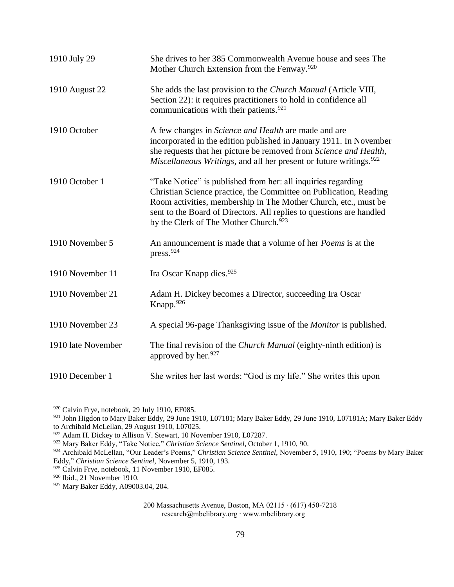| 1910 July 29       | She drives to her 385 Commonwealth Avenue house and sees The<br>Mother Church Extension from the Fenway. <sup>920</sup>                                                                                                                                                                                                           |
|--------------------|-----------------------------------------------------------------------------------------------------------------------------------------------------------------------------------------------------------------------------------------------------------------------------------------------------------------------------------|
| 1910 August 22     | She adds the last provision to the Church Manual (Article VIII,<br>Section 22): it requires practitioners to hold in confidence all<br>communications with their patients. <sup>921</sup>                                                                                                                                         |
| 1910 October       | A few changes in <i>Science and Health</i> are made and are<br>incorporated in the edition published in January 1911. In November<br>she requests that her picture be removed from Science and Health,<br><i>Miscellaneous Writings</i> , and all her present or future writings. <sup>922</sup>                                  |
| 1910 October 1     | "Take Notice" is published from her: all inquiries regarding<br>Christian Science practice, the Committee on Publication, Reading<br>Room activities, membership in The Mother Church, etc., must be<br>sent to the Board of Directors. All replies to questions are handled<br>by the Clerk of The Mother Church. <sup>923</sup> |
| 1910 November 5    | An announcement is made that a volume of her <i>Poems</i> is at the<br>press. <sup>924</sup>                                                                                                                                                                                                                                      |
| 1910 November 11   | Ira Oscar Knapp dies. <sup>925</sup>                                                                                                                                                                                                                                                                                              |
| 1910 November 21   | Adam H. Dickey becomes a Director, succeeding Ira Oscar<br>Knapp. <sup>926</sup>                                                                                                                                                                                                                                                  |
| 1910 November 23   | A special 96-page Thanksgiving issue of the <i>Monitor</i> is published.                                                                                                                                                                                                                                                          |
| 1910 late November | The final revision of the <i>Church Manual</i> (eighty-ninth edition) is<br>approved by her. <sup>927</sup>                                                                                                                                                                                                                       |
| 1910 December 1    | She writes her last words: "God is my life." She writes this upon                                                                                                                                                                                                                                                                 |

<sup>&</sup>lt;sup>920</sup> Calvin Frye, notebook, 29 July 1910, EF085.

 $921$  John Higdon to Mary Baker Eddy, 29 June 1910, L07181; Mary Baker Eddy, 29 June 1910, L07181A; Mary Baker Eddy to Archibald McLellan, 29 August 1910, L07025.

<sup>922</sup> Adam H. Dickey to Allison V. Stewart, 10 November 1910, L07287.

<sup>923</sup> Mary Baker Eddy, "Take Notice," *Christian Science Sentinel,* October 1, 1910, 90.

<sup>924</sup> Archibald McLellan, "Our Leader's Poems," *Christian Science Sentinel,* November 5, 1910, 190; "Poems by Mary Baker Eddy," *Christian Science Sentinel,* November 5, 1910, 193.

<sup>925</sup> Calvin Frye, notebook, 11 November 1910, EF085.

<sup>&</sup>lt;sup>926</sup> Ibid., 21 November 1910.

<sup>927</sup> Mary Baker Eddy, A09003.04, 204.

<sup>200</sup> Massachusetts Avenue, Boston, MA 02115 ∙ (617) 450-7218 research@mbelibrary.org ∙ www.mbelibrary.org